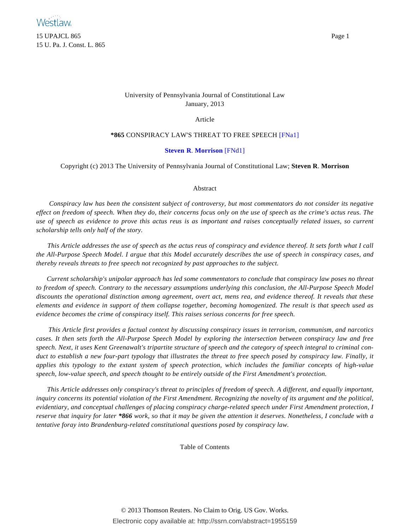

15 UPAJCL 865 Page 1 15 U. Pa. J. Const. L. 865

# University of Pennsylvania Journal of Constitutional Law January, 2013

Article

# **\*865** CONSPIRACY LAW'S THREAT TO FREE SPEECH [\[FNa1\]](#page-22-0)

### **[Steven R](http://www.westlaw.com/Find/Default.wl?rs=dfa1.0&vr=2.0&DB=PROFILER-WLD&DocName=0411557401&FindType=h)**. **[Morrison](http://www.westlaw.com/Find/Default.wl?rs=dfa1.0&vr=2.0&DB=PROFILER-WLD&DocName=0411557401&FindType=h)** [\[FNd1\]](#page-23-0)

## <span id="page-0-1"></span><span id="page-0-0"></span>Copyright (c) 2013 The University of Pennsylvania Journal of Constitutional Law; **Steven R**. **Morrison**

# Abstract

*Conspiracy law has been the consistent subject of controversy, but most commentators do not consider its negative effect on freedom of speech. When they do, their concerns focus only on the use of speech as the crime's actus reus. The use of speech as evidence to prove this actus reus is as important and raises conceptually related issues, so current scholarship tells only half of the story.*

*This Article addresses the use of speech as the actus reus of conspiracy and evidence thereof. It sets forth what I call the All-Purpose Speech Model. I argue that this Model accurately describes the use of speech in conspiracy cases, and thereby reveals threats to free speech not recognized by past approaches to the subject.*

*Current scholarship's unipolar approach has led some commentators to conclude that conspiracy law poses no threat to freedom of speech. Contrary to the necessary assumptions underlying this conclusion, the All-Purpose Speech Model discounts the operational distinction among agreement, overt act, mens rea, and evidence thereof. It reveals that these elements and evidence in support of them collapse together, becoming homogenized. The result is that speech used as evidence becomes the crime of conspiracy itself. This raises serious concerns for free speech.*

*This Article first provides a factual context by discussing conspiracy issues in terrorism, communism, and narcotics cases. It then sets forth the All-Purpose Speech Model by exploring the intersection between conspiracy law and free speech. Next, it uses Kent Greenawalt's tripartite structure of speech and the category of speech integral to criminal conduct to establish a new four-part typology that illustrates the threat to free speech posed by conspiracy law. Finally, it applies this typology to the extant system of speech protection, which includes the familiar concepts of high-value speech, low-value speech, and speech thought to be entirely outside of the First Amendment's protection.*

*This Article addresses only conspiracy's threat to principles of freedom of speech. A different, and equally important, inquiry concerns its potential violation of the First Amendment. Recognizing the novelty of its argument and the political, evidentiary, and conceptual challenges of placing conspiracy charge-related speech under First Amendment protection, I reserve that inquiry for later \*866 work, so that it may be given the attention it deserves. Nonetheless, I conclude with a tentative foray into Brandenburg-related constitutional questions posed by conspiracy law.*

Table of Contents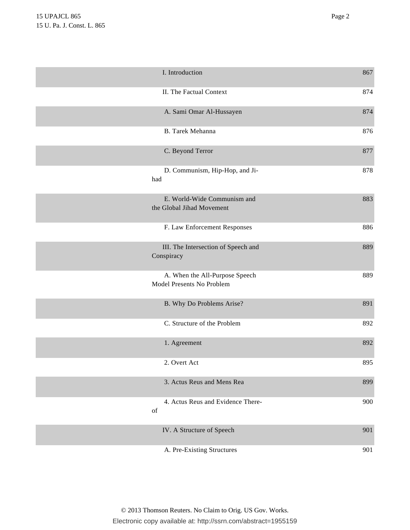| I. Introduction                                             | 867 |
|-------------------------------------------------------------|-----|
| II. The Factual Context                                     | 874 |
| A. Sami Omar Al-Hussayen                                    | 874 |
| B. Tarek Mehanna                                            | 876 |
| C. Beyond Terror                                            | 877 |
| D. Communism, Hip-Hop, and Ji-<br>had                       | 878 |
| E. World-Wide Communism and<br>the Global Jihad Movement    | 883 |
| F. Law Enforcement Responses                                | 886 |
| III. The Intersection of Speech and<br>Conspiracy           | 889 |
| A. When the All-Purpose Speech<br>Model Presents No Problem | 889 |
| B. Why Do Problems Arise?                                   | 891 |
| C. Structure of the Problem                                 | 892 |
| 1. Agreement                                                | 892 |
| 2. Overt Act                                                | 895 |
| 3. Actus Reus and Mens Rea                                  | 899 |
| 4. Actus Reus and Evidence There-<br>of                     | 900 |
| IV. A Structure of Speech                                   | 901 |
| A. Pre-Existing Structures                                  | 901 |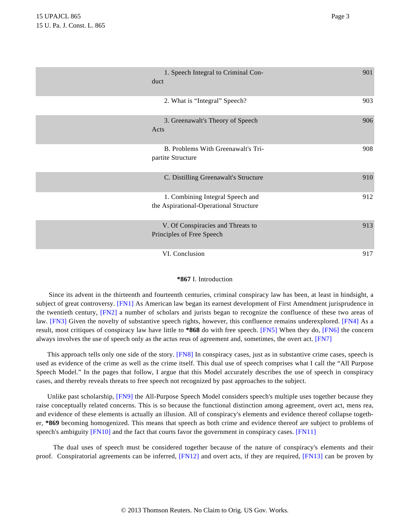| 1. Speech Integral to Criminal Con-<br>duct                                | 901 |
|----------------------------------------------------------------------------|-----|
| 2. What is "Integral" Speech?                                              | 903 |
| 3. Greenawalt's Theory of Speech<br>Acts                                   | 906 |
| B. Problems With Greenawalt's Tri-<br>partite Structure                    | 908 |
| C. Distilling Greenawalt's Structure                                       | 910 |
| 1. Combining Integral Speech and<br>the Aspirational-Operational Structure | 912 |
| V. Of Conspiracies and Threats to<br>Principles of Free Speech             | 913 |
| VI. Conclusion                                                             | 917 |

### **\*867** I. Introduction

<span id="page-2-2"></span><span id="page-2-1"></span><span id="page-2-0"></span>Since its advent in the thirteenth and fourteenth centuries, criminal conspiracy law has been, at least in hindsight, a subject of great controversy. [\[FN1\]](#page-23-1) As American law began its earnest development of First Amendment jurisprudence in the twentieth century, [\[FN2\]](#page-23-2) a number of scholars and jurists began to recognize the confluence of these two areas of law. [\[FN3\]](#page-23-3) Given the novelty of substantive speech rights, however, this confluence remains underexplored. [\[FN4\]](#page-23-4) As a result, most critiques of conspiracy law have little to **\*868** do with free speech. [\[FN5\]](#page-23-5) When they do, [\[FN6\]](#page-24-0) the concern always involves the use of speech only as the actus reus of agreement and, sometimes, the overt act. [\[FN7\]](#page-24-1)

<span id="page-2-5"></span><span id="page-2-4"></span><span id="page-2-3"></span>This approach tells only one side of the story. [\[FN8\]](#page-24-2) In conspiracy cases, just as in substantive crime cases, speech is used as evidence of the crime as well as the crime itself. This dual use of speech comprises what I call the "All Purpose Speech Model." In the pages that follow, I argue that this Model accurately describes the use of speech in conspiracy cases, and thereby reveals threats to free speech not recognized by past approaches to the subject.

<span id="page-2-6"></span>Unlike past scholarship, [\[FN9\]](#page-24-3) the All-Purpose Speech Model considers speech's multiple uses together because they raise conceptually related concerns. This is so because the functional distinction among agreement, overt act, mens rea, and evidence of these elements is actually an illusion. All of conspiracy's elements and evidence thereof collapse together, **\*869** becoming homogenized. This means that speech as both crime and evidence thereof are subject to problems of speech's ambiguity [\[FN10\]](#page-24-4) and the fact that courts favor the government in conspiracy cases. [\[FN11\]](#page-24-5)

<span id="page-2-8"></span><span id="page-2-7"></span>The dual uses of speech must be considered together because of the nature of conspiracy's elements and their proof. Conspiratorial agreements can be inferred, [\[FN12\]](#page-24-6) and overt acts, if they are required, [\[FN13\]](#page-25-0) can be proven by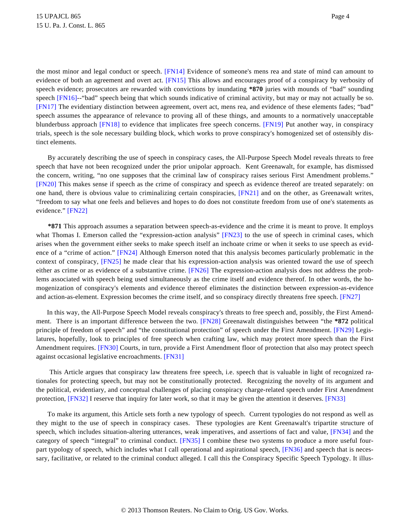<span id="page-3-3"></span><span id="page-3-2"></span><span id="page-3-1"></span><span id="page-3-0"></span>the most minor and legal conduct or speech. [\[FN14\]](#page-25-1) Evidence of someone's mens rea and state of mind can amount to evidence of both an agreement and overt act. [\[FN15\]](#page-25-2) This allows and encourages proof of a conspiracy by verbosity of speech evidence; prosecutors are rewarded with convictions by inundating **\*870** juries with mounds of "bad" sounding speech [\[FN16\]](#page-25-3)--"bad" speech being that which sounds indicative of criminal activity, but may or may not actually be so. [\[FN17\]](#page-25-4) The evidentiary distinction between agreement, overt act, mens rea, and evidence of these elements fades; "bad" speech assumes the appearance of relevance to proving all of these things, and amounts to a normatively unacceptable blunderbuss approach [\[FN18\]](#page-25-5) to evidence that implicates free speech concerns. [\[FN19\]](#page-25-6) Put another way, in conspiracy trials, speech is the sole necessary building block, which works to prove conspiracy's homogenized set of ostensibly distinct elements.

<span id="page-3-6"></span><span id="page-3-5"></span><span id="page-3-4"></span>By accurately describing the use of speech in conspiracy cases, the All-Purpose Speech Model reveals threats to free speech that have not been recognized under the prior unipolar approach. Kent Greenawalt, for example, has dismissed the concern, writing, "no one supposes that the criminal law of conspiracy raises serious First Amendment problems." [\[FN20\]](#page-25-7) This makes sense if speech as the crime of conspiracy and speech as evidence thereof are treated separately: on one hand, there is obvious value to criminalizing certain conspiracies, [\[FN21\]](#page-25-8) and on the other, as Greenawalt writes, "freedom to say what one feels and believes and hopes to do does not constitute freedom from use of one's statements as evidence." [\[FN22\]](#page-25-9)

<span id="page-3-11"></span><span id="page-3-10"></span><span id="page-3-9"></span><span id="page-3-8"></span><span id="page-3-7"></span>**\*871** This approach assumes a separation between speech-as-evidence and the crime it is meant to prove. It employs what Thomas I. Emerson called the "expression-action analysis" [\[FN23\]](#page-25-10) to the use of speech in criminal cases, which arises when the government either seeks to make speech itself an inchoate crime or when it seeks to use speech as evid-ence of a "crime of action." [\[FN24\]](#page-26-0) Although Emerson noted that this analysis becomes particularly problematic in the context of conspiracy, [\[FN25\]](#page-26-1) he made clear that his expression-action analysis was oriented toward the use of speech either as crime or as evidence of a substantive crime. [\[FN26\]](#page-26-2) The expression-action analysis does not address the problems associated with speech being used simultaneously as the crime itself and evidence thereof. In other words, the homogenization of conspiracy's elements and evidence thereof eliminates the distinction between expression-as-evidence and action-as-element. Expression becomes the crime itself, and so conspiracy directly threatens free speech. [\[FN27\]](#page-26-3)

<span id="page-3-14"></span><span id="page-3-13"></span><span id="page-3-12"></span>In this way, the All-Purpose Speech Model reveals conspiracy's threats to free speech and, possibly, the First Amendment. There is an important difference between the two. [\[FN28\]](#page-26-4) Greenawalt distinguishes between "the **\*872** political principle of freedom of speech" and "the constitutional protection" of speech under the First Amendment. [\[FN29\]](#page-26-5) Legislatures, hopefully, look to principles of free speech when crafting law, which may protect more speech than the First Amendment requires. [\[FN30\]](#page-26-6) Courts, in turn, provide a First Amendment floor of protection that also may protect speech against occasional legislative encroachments. [\[FN31\]](#page-26-7)

<span id="page-3-16"></span><span id="page-3-15"></span>This Article argues that conspiracy law threatens free speech, i.e. speech that is valuable in light of recognized rationales for protecting speech, but may not be constitutionally protected. Recognizing the novelty of its argument and the political, evidentiary, and conceptual challenges of placing conspiracy charge-related speech under First Amendment protection, [\[FN32\]](#page-26-8) I reserve that inquiry for later work, so that it may be given the attention it deserves. [\[FN33\]](#page-26-9)

<span id="page-3-20"></span><span id="page-3-19"></span><span id="page-3-18"></span><span id="page-3-17"></span>To make its argument, this Article sets forth a new typology of speech. Current typologies do not respond as well as they might to the use of speech in conspiracy cases. These typologies are Kent Greenawalt's tripartite structure of speech, which includes situation-altering utterances, weak imperatives, and assertions of fact and value, [\[FN34\]](#page-26-10) and the category of speech "integral" to criminal conduct. [\[FN35\]](#page-26-11) I combine these two systems to produce a more useful fourpart typology of speech, which includes what I call operational and aspirational speech, [\[FN36\]](#page-26-12) and speech that is necessary, facilitative, or related to the criminal conduct alleged. I call this the Conspiracy Specific Speech Typology. It illus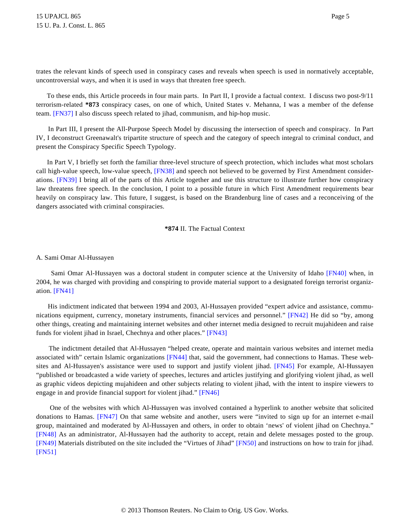trates the relevant kinds of speech used in conspiracy cases and reveals when speech is used in normatively acceptable, uncontroversial ways, and when it is used in ways that threaten free speech.

<span id="page-4-0"></span>To these ends, this Article proceeds in four main parts. In Part II, I provide a factual context. I discuss two post-9/11 terrorism-related **\*873** conspiracy cases, on one of which, United States v. Mehanna, I was a member of the defense team. [\[FN37\]](#page-27-0) I also discuss speech related to jihad, communism, and hip-hop music.

In Part III, I present the All-Purpose Speech Model by discussing the intersection of speech and conspiracy. In Part IV, I deconstruct Greenawalt's tripartite structure of speech and the category of speech integral to criminal conduct, and present the Conspiracy Specific Speech Typology.

<span id="page-4-2"></span><span id="page-4-1"></span>In Part V, I briefly set forth the familiar three-level structure of speech protection, which includes what most scholars call high-value speech, low-value speech, [\[FN38\]](#page-27-1) and speech not believed to be governed by First Amendment considerations. [\[FN39\]](#page-27-2) I bring all of the parts of this Article together and use this structure to illustrate further how conspiracy law threatens free speech. In the conclusion, I point to a possible future in which First Amendment requirements bear heavily on conspiracy law. This future, I suggest, is based on the Brandenburg line of cases and a reconceiving of the dangers associated with criminal conspiracies.

# **\*874** II. The Factual Context

# A. Sami Omar Al-Hussayen

<span id="page-4-4"></span><span id="page-4-3"></span>Sami Omar Al-Hussayen was a doctoral student in computer science at the University of Idaho [\[FN40\]](#page-27-3) when, in 2004, he was charged with providing and conspiring to provide material support to a designated foreign terrorist organization. [\[FN41\]](#page-27-4)

<span id="page-4-5"></span>His indictment indicated that between 1994 and 2003, Al-Hussayen provided "expert advice and assistance, communications equipment, currency, monetary instruments, financial services and personnel." [\[FN42\]](#page-27-5) He did so "by, among other things, creating and maintaining internet websites and other internet media designed to recruit mujahideen and raise funds for violent jihad in Israel, Chechnya and other places." [\[FN43\]](#page-27-6)

<span id="page-4-8"></span><span id="page-4-7"></span><span id="page-4-6"></span>The indictment detailed that Al-Hussayen "helped create, operate and maintain various websites and internet media associated with" certain Islamic organizations [\[FN44\]](#page-27-7) that, said the government, had connections to Hamas. These websites and Al-Hussayen's assistance were used to support and justify violent jihad. [\[FN45\]](#page-27-8) For example, Al-Hussayen "published or broadcasted a wide variety of speeches, lectures and articles justifying and glorifying violent jihad, as well as graphic videos depicting mujahideen and other subjects relating to violent jihad, with the intent to inspire viewers to engage in and provide financial support for violent jihad." [\[FN46\]](#page-27-9)

<span id="page-4-13"></span><span id="page-4-12"></span><span id="page-4-11"></span><span id="page-4-10"></span><span id="page-4-9"></span>One of the websites with which Al-Hussayen was involved contained a hyperlink to another website that solicited donations to Hamas. [\[FN47\]](#page-27-10) On that same website and another, users were "invited to sign up for an internet e-mail group, maintained and moderated by Al-Hussayen and others, in order to obtain 'news' of violent jihad on Chechnya." [\[FN48\]](#page-27-11) As an administrator, Al-Hussayen had the authority to accept, retain and delete messages posted to the group. [\[FN49\]](#page-27-12) Materials distributed on the site included the "Virtues of Jihad" [\[FN50\]](#page-27-13) and instructions on how to train for jihad. [\[FN51\]](#page-27-14)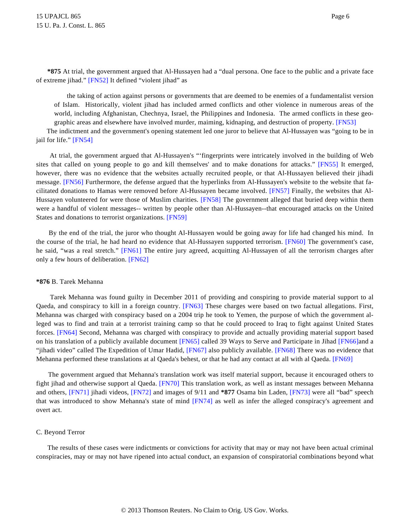<span id="page-5-0"></span>**\*875** At trial, the government argued that Al-Hussayen had a "dual persona. One face to the public and a private face of extreme jihad." [\[FN52\]](#page-27-15) It defined "violent jihad" as

the taking of action against persons or governments that are deemed to be enemies of a fundamentalist version of Islam. Historically, violent jihad has included armed conflicts and other violence in numerous areas of the world, including Afghanistan, Chechnya, Israel, the Philippines and Indonesia. The armed conflicts in these geographic areas and elsewhere have involved murder, maiming, kidnaping, and destruction of property. [\[FN53\]](#page-27-16)

<span id="page-5-2"></span><span id="page-5-1"></span>The indictment and the government's opening statement led one juror to believe that Al-Hussayen was "going to be in jail for life." [\[FN54\]](#page-28-0)

<span id="page-5-5"></span><span id="page-5-4"></span><span id="page-5-3"></span>At trial, the government argued that Al-Hussayen's "'fingerprints were intricately involved in the building of Web sites that called on young people to go and kill themselves' and to make donations for attacks." [\[FN55\]](#page-28-1) It emerged, however, there was no evidence that the websites actually recruited people, or that Al-Hussayen believed their jihadi message. [\[FN56\]](#page-28-2) Furthermore, the defense argued that the hyperlinks from Al-Hussayen's website to the website that facilitated donations to Hamas were removed before Al-Hussayen became involved. [\[FN57\]](#page-28-3) Finally, the websites that Al-Hussayen volunteered for were those of Muslim charities. [\[FN58\]](#page-28-4) The government alleged that buried deep within them were a handful of violent messages-- written by people other than Al-Hussayen--that encouraged attacks on the United States and donations to terrorist organizations. [\[FN59\]](#page-28-5)

<span id="page-5-10"></span><span id="page-5-9"></span><span id="page-5-8"></span><span id="page-5-7"></span><span id="page-5-6"></span>By the end of the trial, the juror who thought Al-Hussayen would be going away for life had changed his mind. In the course of the trial, he had heard no evidence that Al-Hussayen supported terrorism. [\[FN60\]](#page-28-6) The government's case, he said, "was a real stretch." [\[FN61\]](#page-28-7) The entire jury agreed, acquitting Al-Hussayen of all the terrorism charges after only a few hours of deliberation. [\[FN62\]](#page-28-8)

### **\*876** B. Tarek Mehanna

<span id="page-5-12"></span><span id="page-5-11"></span>Tarek Mehanna was found guilty in December 2011 of providing and conspiring to provide material support to al Qaeda, and conspiracy to kill in a foreign country. [\[FN63\]](#page-28-9) These charges were based on two factual allegations. First, Mehanna was charged with conspiracy based on a 2004 trip he took to Yemen, the purpose of which the government alleged was to find and train at a terrorist training camp so that he could proceed to Iraq to fight against United States forces. [\[FN64\]](#page-28-10) Second, Mehanna was charged with conspiracy to provide and actually providing material support based on his translation of a publicly available document [\[FN65\]](#page-28-11) called 39 Ways to Serve and Participate in Jihad [\[FN66\]](#page-28-12)and a "jihadi video" called The Expedition of Umar Hadid, [\[FN67\]](#page-28-13) also publicly available. [\[FN68\]](#page-28-14) There was no evidence that Mehanna performed these translations at al Qaeda's behest, or that he had any contact at all with al Qaeda. [\[FN69\]](#page-28-15)

<span id="page-5-18"></span><span id="page-5-17"></span><span id="page-5-16"></span><span id="page-5-15"></span><span id="page-5-14"></span><span id="page-5-13"></span>The government argued that Mehanna's translation work was itself material support, because it encouraged others to fight jihad and otherwise support al Qaeda. [\[FN70\]](#page-28-16) This translation work, as well as instant messages between Mehanna and others, [\[FN71\]](#page-28-17) jihadi videos, [\[FN72\]](#page-29-0) and images of 9/11 and **\*877** Osama bin Laden, [\[FN73\]](#page-29-1) were all "bad" speech that was introduced to show Mehanna's state of mind [\[FN74\]](#page-29-2) as well as infer the alleged conspiracy's agreement and overt act.

### C. Beyond Terror

The results of these cases were indictments or convictions for activity that may or may not have been actual criminal conspiracies, may or may not have ripened into actual conduct, an expansion of conspiratorial combinations beyond what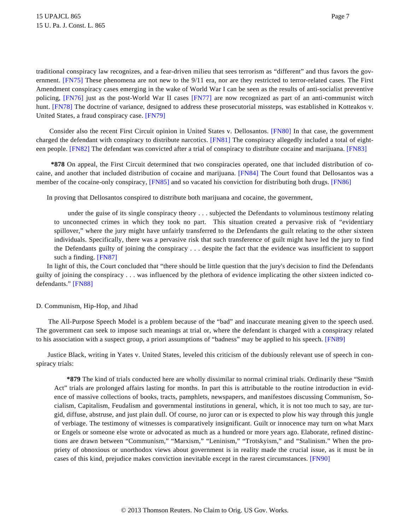<span id="page-6-1"></span><span id="page-6-0"></span>traditional conspiracy law recognizes, and a fear-driven milieu that sees terrorism as "different" and thus favors the government. [\[FN75\]](#page-29-3) These phenomena are not new to the 9/11 era, nor are they restricted to terror-related cases. The First Amendment conspiracy cases emerging in the wake of World War I can be seen as the results of anti-socialist preventive policing, [\[FN76\]](#page-29-4) just as the post-World War II cases [\[FN77\]](#page-29-5) are now recognized as part of an anti-communist witch hunt. [\[FN78\]](#page-29-6) The doctrine of variance, designed to address these prosecutorial missteps, was established in Kotteakos v. United States, a fraud conspiracy case. [\[FN79\]](#page-29-7)

<span id="page-6-6"></span><span id="page-6-5"></span><span id="page-6-4"></span><span id="page-6-3"></span><span id="page-6-2"></span>Consider also the recent First Circuit opinion in United States v. Dellosantos. [\[FN80\]](#page-29-8) In that case, the government charged the defendant with conspiracy to distribute narcotics. [\[FN81\]](#page-29-9) The conspiracy allegedly included a total of eighteen people. [\[FN82\]](#page-29-10) The defendant was convicted after a trial of conspiracy to distribute cocaine and marijuana. [\[FN83\]](#page-29-11)

<span id="page-6-8"></span><span id="page-6-7"></span>**\*878** On appeal, the First Circuit determined that two conspiracies operated, one that included distribution of cocaine, and another that included distribution of cocaine and marijuana. [\[FN84\]](#page-29-12) The Court found that Dellosantos was a member of the cocaine-only conspiracy, [\[FN85\]](#page-29-13) and so vacated his conviction for distributing both drugs. [\[FN86\]](#page-29-14)

In proving that Dellosantos conspired to distribute both marijuana and cocaine, the government,

under the guise of its single conspiracy theory . . . subjected the Defendants to voluminous testimony relating to unconnected crimes in which they took no part. This situation created a pervasive risk of "evidentiary spillover," where the jury might have unfairly transferred to the Defendants the guilt relating to the other sixteen individuals. Specifically, there was a pervasive risk that such transference of guilt might have led the jury to find the Defendants guilty of joining the conspiracy . . . despite the fact that the evidence was insufficient to support such a finding. [\[FN87\]](#page-29-15)

<span id="page-6-10"></span><span id="page-6-9"></span>In light of this, the Court concluded that "there should be little question that the jury's decision to find the Defendants guilty of joining the conspiracy . . . was influenced by the plethora of evidence implicating the other sixteen indicted codefendants." [\[FN88\]](#page-29-16)

### D. Communism, Hip-Hop, and Jihad

<span id="page-6-11"></span>The All-Purpose Speech Model is a problem because of the "bad" and inaccurate meaning given to the speech used. The government can seek to impose such meanings at trial or, where the defendant is charged with a conspiracy related to his association with a suspect group, a priori assumptions of "badness" may be applied to his speech. [\[FN89\]](#page-29-17)

Justice Black, writing in Yates v. United States, leveled this criticism of the dubiously relevant use of speech in conspiracy trials:

<span id="page-6-12"></span>**\*879** The kind of trials conducted here are wholly dissimilar to normal criminal trials. Ordinarily these "Smith Act" trials are prolonged affairs lasting for months. In part this is attributable to the routine introduction in evidence of massive collections of books, tracts, pamphlets, newspapers, and manifestoes discussing Communism, Socialism, Capitalism, Feudalism and governmental institutions in general, which, it is not too much to say, are turgid, diffuse, abstruse, and just plain dull. Of course, no juror can or is expected to plow his way through this jungle of verbiage. The testimony of witnesses is comparatively insignificant. Guilt or innocence may turn on what Marx or Engels or someone else wrote or advocated as much as a hundred or more years ago. Elaborate, refined distinctions are drawn between "Communism," "Marxism," "Leninism," "Trotskyism," and "Stalinism." When the propriety of obnoxious or unorthodox views about government is in reality made the crucial issue, as it must be in cases of this kind, prejudice makes conviction inevitable except in the rarest circumstances. [\[FN90\]](#page-30-0)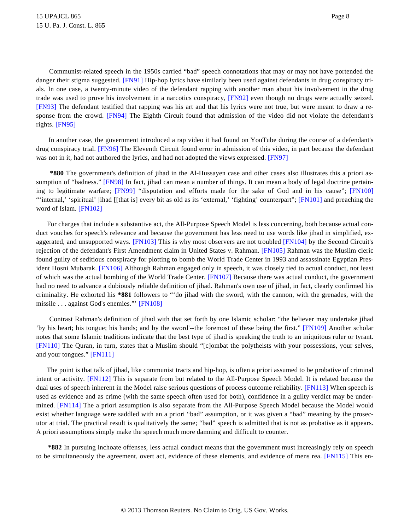<span id="page-7-2"></span><span id="page-7-1"></span><span id="page-7-0"></span>Communist-related speech in the 1950s carried "bad" speech connotations that may or may not have portended the danger their stigma suggested. [\[FN91\]](#page-30-1) Hip-hop lyrics have similarly been used against defendants in drug conspiracy trials. In one case, a twenty-minute video of the defendant rapping with another man about his involvement in the drug trade was used to prove his involvement in a narcotics conspiracy, [\[FN92\]](#page-30-2) even though no drugs were actually seized. [\[FN93\]](#page-30-3) The defendant testified that rapping was his art and that his lyrics were not true, but were meant to draw a re-sponse from the crowd. [\[FN94\]](#page-30-4) The Eighth Circuit found that admission of the video did not violate the defendant's rights. [\[FN95\]](#page-30-5)

<span id="page-7-6"></span><span id="page-7-5"></span><span id="page-7-4"></span><span id="page-7-3"></span>In another case, the government introduced a rap video it had found on YouTube during the course of a defendant's drug conspiracy trial. [\[FN96\]](#page-30-6) The Eleventh Circuit found error in admission of this video, in part because the defendant was not in it, had not authored the lyrics, and had not adopted the views expressed. [\[FN97\]](#page-30-7)

<span id="page-7-9"></span><span id="page-7-8"></span><span id="page-7-7"></span>**\*880** The government's definition of jihad in the Al-Hussayen case and other cases also illustrates this a priori as-sumption of "badness." [\[FN98\]](#page-30-8) In fact, jihad can mean a number of things. It can mean a body of legal doctrine pertaining to legitimate warfare; [\[FN99\]](#page-30-9) "disputation and efforts made for the sake of God and in his cause"; [\[FN100\]](#page-30-10) "'internal,' 'spiritual' jihad [[that is] every bit as old as its 'external,' 'fighting' counterpart''; [\[FN101\]](#page-30-11) and preaching the word of Islam. [\[FN102\]](#page-30-12)

<span id="page-7-13"></span><span id="page-7-12"></span><span id="page-7-11"></span><span id="page-7-10"></span>For charges that include a substantive act, the All-Purpose Speech Model is less concerning, both because actual conduct vouches for speech's relevance and because the government has less need to use words like jihad in simplified, exaggerated, and unsupported ways. [\[FN103\]](#page-30-13) This is why most observers are not troubled [\[FN104\]](#page-30-14) by the Second Circuit's rejection of the defendant's First Amendment claim in United States v. Rahman. [\[FN105\]](#page-31-0) Rahman was the Muslim cleric found guilty of seditious conspiracy for plotting to bomb the World Trade Center in 1993 and assassinate Egyptian President Hosni Mubarak. [\[FN106\]](#page-31-1) Although Rahman engaged only in speech, it was closely tied to actual conduct, not least of which was the actual bombing of the World Trade Center. [\[FN107\]](#page-31-2) Because there was actual conduct, the government had no need to advance a dubiously reliable definition of jihad. Rahman's own use of jihad, in fact, clearly confirmed his criminality. He exhorted his **\*881** followers to "'do jihad with the sword, with the cannon, with the grenades, with the missile . . . against God's enemies."" [\[FN108\]](#page-31-3)

<span id="page-7-17"></span><span id="page-7-16"></span><span id="page-7-15"></span><span id="page-7-14"></span>Contrast Rahman's definition of jihad with that set forth by one Islamic scholar: "the believer may undertake jihad 'by his heart; his tongue; his hands; and by the sword'--the foremost of these being the first." [\[FN109\]](#page-31-4) Another scholar notes that some Islamic traditions indicate that the best type of jihad is speaking the truth to an iniquitous ruler or tyrant. [\[FN110\]](#page-31-5) The Quran, in turn, states that a Muslim should "[c]ombat the polytheists with your possessions, your selves, and your tongues." [\[FN111\]](#page-31-6)

<span id="page-7-21"></span><span id="page-7-20"></span><span id="page-7-19"></span><span id="page-7-18"></span>The point is that talk of jihad, like communist tracts and hip-hop, is often a priori assumed to be probative of criminal intent or activity. [\[FN112\]](#page-31-7) This is separate from but related to the All-Purpose Speech Model. It is related because the dual uses of speech inherent in the Model raise serious questions of process outcome reliability. [\[FN113\]](#page-31-8) When speech is used as evidence and as crime (with the same speech often used for both), confidence in a guilty verdict may be undermined. [\[FN114\]](#page-31-9) The a priori assumption is also separate from the All-Purpose Speech Model because the Model would exist whether language were saddled with an a priori "bad" assumption, or it was given a "bad" meaning by the prosecutor at trial. The practical result is qualitatively the same; "bad" speech is admitted that is not as probative as it appears. A priori assumptions simply make the speech much more damning and difficult to counter.

<span id="page-7-22"></span>**\*882** In pursuing inchoate offenses, less actual conduct means that the government must increasingly rely on speech to be simultaneously the agreement, overt act, evidence of these elements, and evidence of mens rea. [\[FN115\]](#page-31-10) This en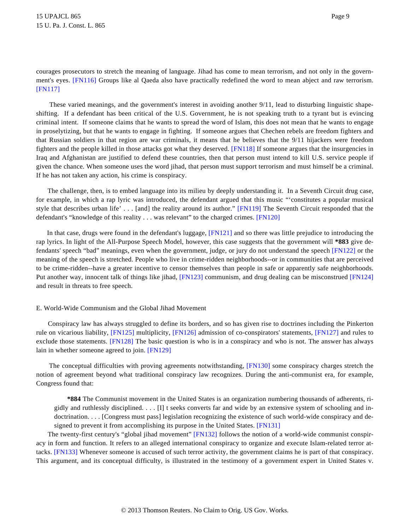<span id="page-8-1"></span><span id="page-8-0"></span>courages prosecutors to stretch the meaning of language. Jihad has come to mean terrorism, and not only in the government's eyes. [\[FN116\]](#page-31-11) Groups like al Qaeda also have practically redefined the word to mean abject and raw terrorism. [\[FN117\]](#page-31-12)

<span id="page-8-2"></span>These varied meanings, and the government's interest in avoiding another 9/11, lead to disturbing linguistic shapeshifting. If a defendant has been critical of the U.S. Government, he is not speaking truth to a tyrant but is evincing criminal intent. If someone claims that he wants to spread the word of Islam, this does not mean that he wants to engage in proselytizing, but that he wants to engage in fighting. If someone argues that Chechen rebels are freedom fighters and that Russian soldiers in that region are war criminals, it means that he believes that the 9/11 hijackers were freedom fighters and the people killed in those attacks got what they deserved. [\[FN118\]](#page-31-13) If someone argues that the insurgencies in Iraq and Afghanistan are justified to defend these countries, then that person must intend to kill U.S. service people if given the chance. When someone uses the word jihad, that person must support terrorism and must himself be a criminal. If he has not taken any action, his crime is conspiracy.

<span id="page-8-3"></span>The challenge, then, is to embed language into its milieu by deeply understanding it. In a Seventh Circuit drug case, for example, in which a rap lyric was introduced, the defendant argued that this music "'constitutes a popular musical style that describes urban life' . . . [and] the reality around its author." [\[FN119\]](#page-31-14) The Seventh Circuit responded that the defendant's "knowledge of this reality . . . was relevant" to the charged crimes. [\[FN120\]](#page-31-15)

<span id="page-8-6"></span><span id="page-8-5"></span><span id="page-8-4"></span>In that case, drugs were found in the defendant's luggage, [\[FN121\]](#page-31-16) and so there was little prejudice to introducing the rap lyrics. In light of the All-Purpose Speech Model, however, this case suggests that the government will **\*883** give defendants' speech "bad" meanings, even when the government, judge, or jury do not understand the speech [\[FN122\]](#page-32-0) or the meaning of the speech is stretched. People who live in crime-ridden neighborhoods--or in communities that are perceived to be crime-ridden--have a greater incentive to censor themselves than people in safe or apparently safe neighborhoods. Put another way, innocent talk of things like jihad, [\[FN123\]](#page-32-1) communism, and drug dealing can be misconstrued [\[FN124\]](#page-32-2) and result in threats to free speech.

### <span id="page-8-7"></span>E. World-Wide Communism and the Global Jihad Movement

<span id="page-8-9"></span><span id="page-8-8"></span>Conspiracy law has always struggled to define its borders, and so has given rise to doctrines including the Pinkerton rule on vicarious liability, [\[FN125\]](#page-32-3) multiplicity, [\[FN126\]](#page-32-4) admission of co-conspirators' statements, [\[FN127\]](#page-32-5) and rules to exclude those statements. [\[FN128\]](#page-32-6) The basic question is who is in a conspiracy and who is not. The answer has always lain in whether someone agreed to join. [\[FN129\]](#page-32-7)

<span id="page-8-11"></span><span id="page-8-10"></span>The conceptual difficulties with proving agreements notwithstanding, [\[FN130\]](#page-32-8) some conspiracy charges stretch the notion of agreement beyond what traditional conspiracy law recognizes. During the anti-communist era, for example, Congress found that:

**\*884** The Communist movement in the United States is an organization numbering thousands of adherents, rigidly and ruthlessly disciplined. . . . [I] t seeks converts far and wide by an extensive system of schooling and indoctrination. . . . [Congress must pass] legislation recognizing the existence of such world-wide conspiracy and designed to prevent it from accomplishing its purpose in the United States. [\[FN131\]](#page-32-9)

<span id="page-8-14"></span><span id="page-8-13"></span><span id="page-8-12"></span>The twenty-first century's "global jihad movement" [\[FN132\]](#page-32-10) follows the notion of a world-wide communist conspiracy in form and function. It refers to an alleged international conspiracy to organize and execute Islam-related terror attacks. [\[FN133\]](#page-32-11) Whenever someone is accused of such terror activity, the government claims he is part of that conspiracy. This argument, and its conceptual difficulty, is illustrated in the testimony of a government expert in United States v.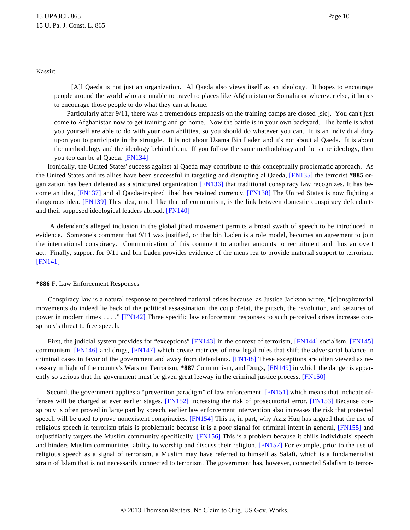# Kassir:

[A]l Qaeda is not just an organization. Al Qaeda also views itself as an ideology. It hopes to encourage people around the world who are unable to travel to places like Afghanistan or Somalia or wherever else, it hopes to encourage those people to do what they can at home.

Particularly after 9/11, there was a tremendous emphasis on the training camps are closed [sic]. You can't just come to Afghanistan now to get training and go home. Now the battle is in your own backyard. The battle is what you yourself are able to do with your own abilities, so you should do whatever you can. It is an individual duty upon you to participate in the struggle. It is not about Usama Bin Laden and it's not about al Qaeda. It is about the methodology and the ideology behind them. If you follow the same methodology and the same ideology, then you too can be al Qaeda. [\[FN134\]](#page-32-12)

<span id="page-9-3"></span><span id="page-9-2"></span><span id="page-9-1"></span><span id="page-9-0"></span>Ironically, the United States' success against al Qaeda may contribute to this conceptually problematic approach. As the United States and its allies have been successful in targeting and disrupting al Qaeda, [\[FN135\]](#page-32-13) the terrorist **\*885** organization has been defeated as a structured organization [\[FN136\]](#page-32-14) that traditional conspiracy law recognizes. It has become an idea, [\[FN137\]](#page-33-0) and al Qaeda-inspired jihad has retained currency. [\[FN138\]](#page-33-1) The United States is now fighting a dangerous idea. [\[FN139\]](#page-33-2) This idea, much like that of communism, is the link between domestic conspiracy defendants and their supposed ideological leaders abroad. [\[FN140\]](#page-33-3)

<span id="page-9-5"></span><span id="page-9-4"></span>A defendant's alleged inclusion in the global jihad movement permits a broad swath of speech to be introduced in evidence. Someone's comment that 9/11 was justified, or that bin Laden is a role model, becomes an agreement to join the international conspiracy. Communication of this comment to another amounts to recruitment and thus an overt act. Finally, support for 9/11 and bin Laden provides evidence of the mens rea to provide material support to terrorism. [\[FN141\]](#page-33-4)

#### <span id="page-9-6"></span>**\*886** F. Law Enforcement Responses

<span id="page-9-7"></span>Conspiracy law is a natural response to perceived national crises because, as Justice Jackson wrote, "[c]onspiratorial movements do indeed lie back of the political assassination, the coup d'etat, the putsch, the revolution, and seizures of power in modern times . . . ." [\[FN142\]](#page-33-5) Three specific law enforcement responses to such perceived crises increase conspiracy's threat to free speech.

<span id="page-9-11"></span><span id="page-9-10"></span><span id="page-9-9"></span><span id="page-9-8"></span>First, the judicial system provides for "exceptions" [\[FN143\]](#page-33-6) in the context of terrorism, [\[FN144\]](#page-33-7) socialism, [\[FN145\]](#page-33-8) communism, [\[FN146\]](#page-33-9) and drugs, [\[FN147\]](#page-33-10) which create matrices of new legal rules that shift the adversarial balance in criminal cases in favor of the government and away from defendants. [\[FN148\]](#page-34-0) These exceptions are often viewed as necessary in light of the country's Wars on Terrorism, **\*887** Communism, and Drugs, [\[FN149\]](#page-34-1) in which the danger is apparently so serious that the government must be given great leeway in the criminal justice process. [\[FN150\]](#page-34-2)

<span id="page-9-18"></span><span id="page-9-17"></span><span id="page-9-16"></span><span id="page-9-15"></span><span id="page-9-14"></span><span id="page-9-13"></span><span id="page-9-12"></span>Second, the government applies a "prevention paradigm" of law enforcement, [\[FN151\]](#page-34-3) which means that inchoate offenses will be charged at ever earlier stages, [\[FN152\]](#page-34-4) increasing the risk of prosecutorial error. [\[FN153\]](#page-34-5) Because conspiracy is often proved in large part by speech, earlier law enforcement intervention also increases the risk that protected speech will be used to prove nonexistent conspiracies. [\[FN154\]](#page-34-6) This is, in part, why Aziz Huq has argued that the use of religious speech in terrorism trials is problematic because it is a poor signal for criminal intent in general, [\[FN155\]](#page-34-7) and unjustifiably targets the Muslim community specifically. [\[FN156\]](#page-34-8) This is a problem because it chills individuals' speech and hinders Muslim communities' ability to worship and discuss their religion. [\[FN157\]](#page-34-9) For example, prior to the use of religious speech as a signal of terrorism, a Muslim may have referred to himself as Salafi, which is a fundamentalist strain of Islam that is not necessarily connected to terrorism. The government has, however, connected Salafism to terror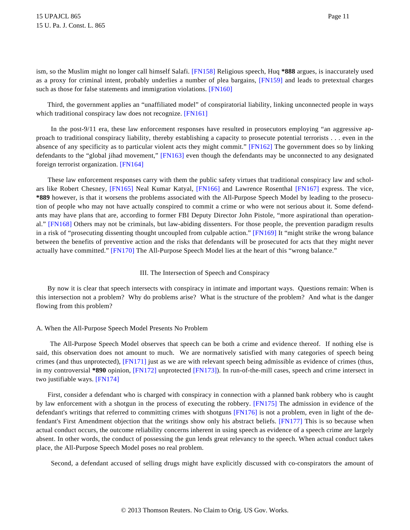<span id="page-10-2"></span><span id="page-10-1"></span><span id="page-10-0"></span>ism, so the Muslim might no longer call himself Salafi. [\[FN158\]](#page-34-10) Religious speech, Huq **\*888** argues, is inaccurately used as a proxy for criminal intent, probably underlies a number of plea bargains, [\[FN159\]](#page-35-0) and leads to pretextual charges such as those for false statements and immigration violations. [\[FN160\]](#page-35-1)

<span id="page-10-3"></span>Third, the government applies an "unaffiliated model" of conspiratorial liability, linking unconnected people in ways which traditional conspiracy law does not recognize. [\[FN161\]](#page-35-2)

<span id="page-10-5"></span><span id="page-10-4"></span>In the post-9/11 era, these law enforcement responses have resulted in prosecutors employing "an aggressive approach to traditional conspiracy liability, thereby establishing a capacity to prosecute potential terrorists . . . even in the absence of any specificity as to particular violent acts they might commit." [\[FN162\]](#page-35-3) The government does so by linking defendants to the "global jihad movement," [\[FN163\]](#page-35-4) even though the defendants may be unconnected to any designated foreign terrorist organization. [\[FN164\]](#page-35-5)

<span id="page-10-9"></span><span id="page-10-8"></span><span id="page-10-7"></span><span id="page-10-6"></span>These law enforcement responses carry with them the public safety virtues that traditional conspiracy law and scholars like Robert Chesney, [\[FN165\]](#page-35-6) Neal Kumar Katyal, [\[FN166\]](#page-35-7) and Lawrence Rosenthal [\[FN167\]](#page-35-8) express. The vice, **\*889** however, is that it worsens the problems associated with the All-Purpose Speech Model by leading to the prosecution of people who may not have actually conspired to commit a crime or who were not serious about it. Some defendants may have plans that are, according to former FBI Deputy Director John Pistole, "more aspirational than operation-al." [\[FN168\]](#page-35-9) Others may not be criminals, but law-abiding dissenters. For those people, the prevention paradigm results in a risk of "prosecuting dissenting thought uncoupled from culpable action." [\[FN169\]](#page-35-10) It "might strike the wrong balance between the benefits of preventive action and the risks that defendants will be prosecuted for acts that they might never actually have committed." [\[FN170\]](#page-35-11) The All-Purpose Speech Model lies at the heart of this "wrong balance."

#### III. The Intersection of Speech and Conspiracy

<span id="page-10-10"></span>By now it is clear that speech intersects with conspiracy in intimate and important ways. Questions remain: When is this intersection not a problem? Why do problems arise? What is the structure of the problem? And what is the danger flowing from this problem?

### A. When the All-Purpose Speech Model Presents No Problem

<span id="page-10-12"></span><span id="page-10-11"></span>The All-Purpose Speech Model observes that speech can be both a crime and evidence thereof. If nothing else is said, this observation does not amount to much. We are normatively satisfied with many categories of speech being crimes (and thus unprotected), [\[FN171\]](#page-35-12) just as we are with relevant speech being admissible as evidence of crimes (thus, in my controversial **\*890** opinion, [\[FN172\]](#page-36-0) unprotected [\[FN173\]](#page-36-1)). In run-of-the-mill cases, speech and crime intersect in two justifiable ways. [\[FN174\]](#page-36-2)

<span id="page-10-16"></span><span id="page-10-15"></span><span id="page-10-14"></span><span id="page-10-13"></span>First, consider a defendant who is charged with conspiracy in connection with a planned bank robbery who is caught by law enforcement with a shotgun in the process of executing the robbery. [\[FN175\]](#page-36-3) The admission in evidence of the defendant's writings that referred to committing crimes with shotguns [\[FN176\]](#page-36-4) is not a problem, even in light of the defendant's First Amendment objection that the writings show only his abstract beliefs. [\[FN177\]](#page-36-5) This is so because when actual conduct occurs, the outcome reliability concerns inherent in using speech as evidence of a speech crime are largely absent. In other words, the conduct of possessing the gun lends great relevancy to the speech. When actual conduct takes place, the All-Purpose Speech Model poses no real problem.

Second, a defendant accused of selling drugs might have explicitly discussed with co-conspirators the amount of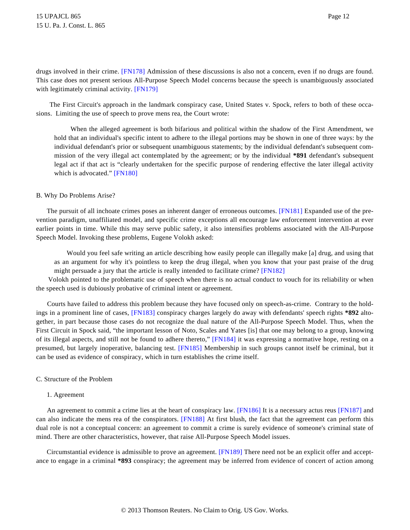<span id="page-11-1"></span><span id="page-11-0"></span>drugs involved in their crime. [\[FN178\]](#page-36-6) Admission of these discussions is also not a concern, even if no drugs are found. This case does not present serious All-Purpose Speech Model concerns because the speech is unambiguously associated with legitimately criminal activity. [\[FN179\]](#page-36-7)

The First Circuit's approach in the landmark conspiracy case, United States v. Spock, refers to both of these occasions. Limiting the use of speech to prove mens rea, the Court wrote:

When the alleged agreement is both bifarious and political within the shadow of the First Amendment, we hold that an individual's specific intent to adhere to the illegal portions may be shown in one of three ways: by the individual defendant's prior or subsequent unambiguous statements; by the individual defendant's subsequent commission of the very illegal act contemplated by the agreement; or by the individual **\*891** defendant's subsequent legal act if that act is "clearly undertaken for the specific purpose of rendering effective the later illegal activity which is advocated." [\[FN180\]](#page-36-8)

### <span id="page-11-2"></span>B. Why Do Problems Arise?

<span id="page-11-3"></span>The pursuit of all inchoate crimes poses an inherent danger of erroneous outcomes. [\[FN181\]](#page-36-9) Expanded use of the prevention paradigm, unaffiliated model, and specific crime exceptions all encourage law enforcement intervention at ever earlier points in time. While this may serve public safety, it also intensifies problems associated with the All-Purpose Speech Model. Invoking these problems, Eugene Volokh asked:

Would you feel safe writing an article describing how easily people can illegally make [a] drug, and using that as an argument for why it's pointless to keep the drug illegal, when you know that your past praise of the drug might persuade a jury that the article is really intended to facilitate crime? [\[FN182\]](#page-36-10)

<span id="page-11-4"></span>Volokh pointed to the problematic use of speech when there is no actual conduct to vouch for its reliability or when the speech used is dubiously probative of criminal intent or agreement.

<span id="page-11-6"></span><span id="page-11-5"></span>Courts have failed to address this problem because they have focused only on speech-as-crime. Contrary to the holdings in a prominent line of cases, [\[FN183\]](#page-36-11) conspiracy charges largely do away with defendants' speech rights **\*892** altogether, in part because those cases do not recognize the dual nature of the All-Purpose Speech Model. Thus, when the First Circuit in Spock said, "the important lesson of Noto, Scales and Yates [is] that one may belong to a group, knowing of its illegal aspects, and still not be found to adhere thereto," [\[FN184\]](#page-37-0) it was expressing a normative hope, resting on a presumed, but largely inoperative, balancing test. [\[FN185\]](#page-37-1) Membership in such groups cannot itself be criminal, but it can be used as evidence of conspiracy, which in turn establishes the crime itself.

### <span id="page-11-7"></span>C. Structure of the Problem

### 1. Agreement

<span id="page-11-9"></span><span id="page-11-8"></span>An agreement to commit a crime lies at the heart of conspiracy law. [\[FN186\]](#page-37-2) It is a necessary actus reus [\[FN187\]](#page-37-3) and can also indicate the mens rea of the conspirators. [\[FN188\]](#page-37-4) At first blush, the fact that the agreement can perform this dual role is not a conceptual concern: an agreement to commit a crime is surely evidence of someone's criminal state of mind. There are other characteristics, however, that raise All-Purpose Speech Model issues.

<span id="page-11-10"></span>Circumstantial evidence is admissible to prove an agreement. [\[FN189\]](#page-37-5) There need not be an explicit offer and acceptance to engage in a criminal **\*893** conspiracy; the agreement may be inferred from evidence of concert of action among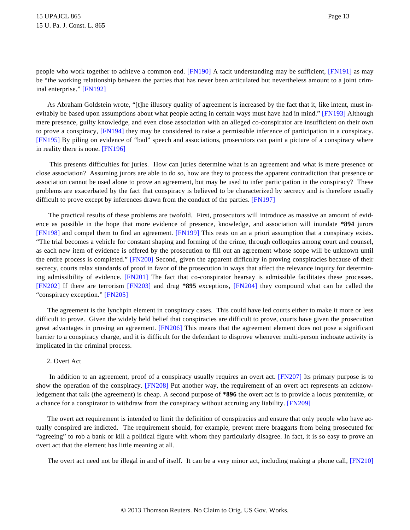<span id="page-12-1"></span><span id="page-12-0"></span>people who work together to achieve a common end. [\[FN190\]](#page-37-6) A tacit understanding may be sufficient, [\[FN191\]](#page-37-7) as may be "the working relationship between the parties that has never been articulated but nevertheless amount to a joint criminal enterprise." [\[FN192\]](#page-37-8)

<span id="page-12-3"></span><span id="page-12-2"></span>As Abraham Goldstein wrote, "[t]he illusory quality of agreement is increased by the fact that it, like intent, must inevitably be based upon assumptions about what people acting in certain ways must have had in mind." [\[FN193\]](#page-37-9) Although mere presence, guilty knowledge, and even close association with an alleged co-conspirator are insufficient on their own to prove a conspiracy, [\[FN194\]](#page-37-10) they may be considered to raise a permissible inference of participation in a conspiracy. [\[FN195\]](#page-37-11) By piling on evidence of "bad" speech and associations, prosecutors can paint a picture of a conspiracy where in reality there is none. [\[FN196\]](#page-37-12)

<span id="page-12-5"></span><span id="page-12-4"></span>This presents difficulties for juries. How can juries determine what is an agreement and what is mere presence or close association? Assuming jurors are able to do so, how are they to process the apparent contradiction that presence or association cannot be used alone to prove an agreement, but may be used to infer participation in the conspiracy? These problems are exacerbated by the fact that conspiracy is believed to be characterized by secrecy and is therefore usually difficult to prove except by inferences drawn from the conduct of the parties. [\[FN197\]](#page-37-13)

<span id="page-12-8"></span><span id="page-12-7"></span><span id="page-12-6"></span>The practical results of these problems are twofold. First, prosecutors will introduce as massive an amount of evidence as possible in the hope that more evidence of presence, knowledge, and association will inundate **\*894** jurors [\[FN198\]](#page-38-0) and compel them to find an agreement. [\[FN199\]](#page-38-1) This rests on an a priori assumption that a conspiracy exists. "The trial becomes a vehicle for constant shaping and forming of the crime, through colloquies among court and counsel, as each new item of evidence is offered by the prosecution to fill out an agreement whose scope will be unknown until the entire process is completed." [\[FN200\]](#page-38-2) Second, given the apparent difficulty in proving conspiracies because of their secrecy, courts relax standards of proof in favor of the prosecution in ways that affect the relevance inquiry for determining admissibility of evidence. [\[FN201\]](#page-38-3) The fact that co-conspirator hearsay is admissible facilitates these processes. [\[FN202\]](#page-38-4) If there are terrorism [\[FN203\]](#page-38-5) and drug **\*895** exceptions, [\[FN204\]](#page-38-6) they compound what can be called the "conspiracy exception." [\[FN205\]](#page-38-7)

<span id="page-12-12"></span><span id="page-12-11"></span><span id="page-12-10"></span><span id="page-12-9"></span>The agreement is the lynchpin element in conspiracy cases. This could have led courts either to make it more or less difficult to prove. Given the widely held belief that conspiracies are difficult to prove, courts have given the prosecution great advantages in proving an agreement. [\[FN206\]](#page-38-8) This means that the agreement element does not pose a significant barrier to a conspiracy charge, and it is difficult for the defendant to disprove whenever multi-person inchoate activity is implicated in the criminal process.

# 2. Overt Act

<span id="page-12-14"></span><span id="page-12-13"></span>In addition to an agreement, proof of a conspiracy usually requires an overt act. [\[FN207\]](#page-38-9) Its primary purpose is to show the operation of the conspiracy. [\[FN208\]](#page-39-0) Put another way, the requirement of an overt act represents an acknowledgement that talk (the agreement) is cheap. A second purpose of **\*896** the overt act is to provide a locus pœnitentiæ, or a chance for a conspirator to withdraw from the conspiracy without accruing any liability. [\[FN209\]](#page-39-1)

<span id="page-12-15"></span>The overt act requirement is intended to limit the definition of conspiracies and ensure that only people who have actually conspired are indicted. The requirement should, for example, prevent mere braggarts from being prosecuted for "agreeing" to rob a bank or kill a political figure with whom they particularly disagree. In fact, it is so easy to prove an overt act that the element has little meaning at all.

<span id="page-12-16"></span>The overt act need not be illegal in and of itself. It can be a very minor act, including making a phone call, [\[FN210\]](#page-39-2)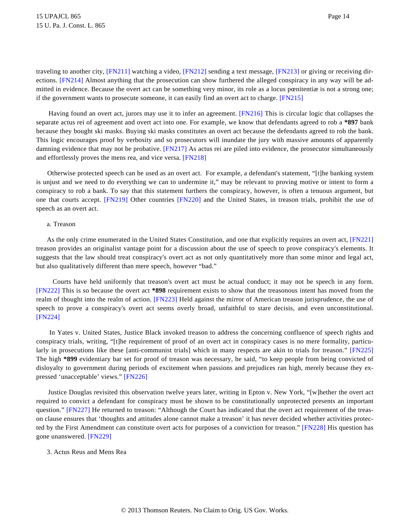<span id="page-13-1"></span><span id="page-13-0"></span>traveling to another city, [\[FN211\]](#page-39-3) watching a video, [\[FN212\]](#page-39-4) sending a text message, [\[FN213\]](#page-39-5) or giving or receiving directions. [\[FN214\]](#page-39-6) Almost anything that the prosecution can show furthered the alleged conspiracy in any way will be admitted in evidence. Because the overt act can be something very minor, its role as a locus pœnitentiæ is not a strong one; if the government wants to prosecute someone, it can easily find an overt act to charge. [\[FN215\]](#page-39-7)

<span id="page-13-3"></span><span id="page-13-2"></span>Having found an overt act, jurors may use it to infer an agreement. [\[FN216\]](#page-39-8) This is circular logic that collapses the separate actus rei of agreement and overt act into one. For example, we know that defendants agreed to rob a **\*897** bank because they bought ski masks. Buying ski masks constitutes an overt act because the defendants agreed to rob the bank. This logic encourages proof by verbosity and so prosecutors will inundate the jury with massive amounts of apparently damning evidence that may not be probative. [\[FN217\]](#page-39-9) As actus rei are piled into evidence, the prosecutor simultaneously and effortlessly proves the mens rea, and vice versa. [\[FN218\]](#page-39-10)

<span id="page-13-6"></span><span id="page-13-5"></span><span id="page-13-4"></span>Otherwise protected speech can be used as an overt act. For example, a defendant's statement, "[t]he banking system is unjust and we need to do everything we can to undermine it," may be relevant to proving motive or intent to form a conspiracy to rob a bank. To say that this statement furthers the conspiracy, however, is often a tenuous argument, but one that courts accept. [\[FN219\]](#page-39-11) Other countries [\[FN220\]](#page-40-0) and the United States, in treason trials, prohibit the use of speech as an overt act.

# a. Treason

<span id="page-13-7"></span>As the only crime enumerated in the United States Constitution, and one that explicitly requires an overt act, [\[FN221\]](#page-40-1) treason provides an originalist vantage point for a discussion about the use of speech to prove conspiracy's elements. It suggests that the law should treat conspiracy's overt act as not only quantitatively more than some minor and legal act, but also qualitatively different than mere speech, however "bad."

<span id="page-13-9"></span><span id="page-13-8"></span>Courts have held uniformly that treason's overt act must be actual conduct; it may not be speech in any form. [\[FN222\]](#page-40-2) This is so because the overt act **\*898** requirement exists to show that the treasonous intent has moved from the realm of thought into the realm of action. [\[FN223\]](#page-40-3) Held against the mirror of American treason jurisprudence, the use of speech to prove a conspiracy's overt act seems overly broad, unfaithful to stare decisis, and even unconstitutional. [\[FN224\]](#page-40-4)

<span id="page-13-11"></span><span id="page-13-10"></span>In Yates v. United States, Justice Black invoked treason to address the concerning confluence of speech rights and conspiracy trials, writing, "[t]he requirement of proof of an overt act in conspiracy cases is no mere formality, particularly in prosecutions like these [anti-communist trials] which in many respects are akin to trials for treason." [\[FN225\]](#page-40-5) The high **\*899** evidentiary bar set for proof of treason was necessary, he said, "to keep people from being convicted of disloyalty to government during periods of excitement when passions and prejudices ran high, merely because they expressed 'unacceptable' views." [\[FN226\]](#page-41-0)

<span id="page-13-14"></span><span id="page-13-13"></span><span id="page-13-12"></span>Justice Douglas revisited this observation twelve years later, writing in Epton v. New York, "[w]hether the overt act required to convict a defendant for conspiracy must be shown to be constitutionally unprotected presents an important question." [\[FN227\]](#page-41-1) He returned to treason: "Although the Court has indicated that the overt act requirement of the treason clause ensures that 'thoughts and attitudes alone cannot make a treason' it has never decided whether activities protected by the First Amendment can constitute overt acts for purposes of a conviction for treason." [\[FN228\]](#page-41-2) His question has gone unanswered. [\[FN229\]](#page-41-3)

### <span id="page-13-15"></span>3. Actus Reus and Mens Rea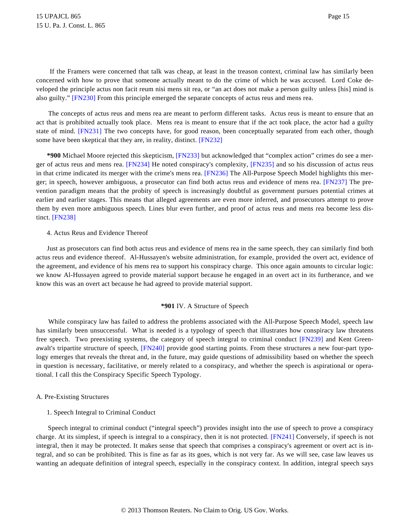If the Framers were concerned that talk was cheap, at least in the treason context, criminal law has similarly been concerned with how to prove that someone actually meant to do the crime of which he was accused. Lord Coke developed the principle actus non facit reum nisi mens sit rea, or "an act does not make a person guilty unless [his] mind is also guilty." [\[FN230\]](#page-41-4) From this principle emerged the separate concepts of actus reus and mens rea.

<span id="page-14-1"></span><span id="page-14-0"></span>The concepts of actus reus and mens rea are meant to perform different tasks. Actus reus is meant to ensure that an act that is prohibited actually took place. Mens rea is meant to ensure that if the act took place, the actor had a guilty state of mind. [\[FN231\]](#page-41-5) The two concepts have, for good reason, been conceptually separated from each other, though some have been skeptical that they are, in reality, distinct. [\[FN232\]](#page-41-6)

<span id="page-14-6"></span><span id="page-14-5"></span><span id="page-14-4"></span><span id="page-14-3"></span><span id="page-14-2"></span>**\*900** Michael Moore rejected this skepticism, [\[FN233\]](#page-41-7) but acknowledged that "complex action" crimes do see a merger of actus reus and mens rea. [\[FN234\]](#page-41-8) He noted conspiracy's complexity, [\[FN235\]](#page-41-9) and so his discussion of actus reus in that crime indicated its merger with the crime's mens rea. [\[FN236\]](#page-41-10) The All-Purpose Speech Model highlights this merger; in speech, however ambiguous, a prosecutor can find both actus reus and evidence of mens rea. [\[FN237\]](#page-41-11) The prevention paradigm means that the probity of speech is increasingly doubtful as government pursues potential crimes at earlier and earlier stages. This means that alleged agreements are even more inferred, and prosecutors attempt to prove them by even more ambiguous speech. Lines blur even further, and proof of actus reus and mens rea become less distinct. [\[FN238\]](#page-41-12)

### <span id="page-14-7"></span>4. Actus Reus and Evidence Thereof

Just as prosecutors can find both actus reus and evidence of mens rea in the same speech, they can similarly find both actus reus and evidence thereof. Al-Hussayen's website administration, for example, provided the overt act, evidence of the agreement, and evidence of his mens rea to support his conspiracy charge. This once again amounts to circular logic: we know Al-Hussayen agreed to provide material support because he engaged in an overt act in its furtherance, and we know this was an overt act because he had agreed to provide material support.

# **\*901** IV. A Structure of Speech

<span id="page-14-9"></span><span id="page-14-8"></span>While conspiracy law has failed to address the problems associated with the All-Purpose Speech Model, speech law has similarly been unsuccessful. What is needed is a typology of speech that illustrates how conspiracy law threatens free speech. Two preexisting systems, the category of speech integral to criminal conduct [\[FN239\]](#page-41-13) and Kent Greenawalt's tripartite structure of speech, [\[FN240\]](#page-41-14) provide good starting points. From these structures a new four-part typology emerges that reveals the threat and, in the future, may guide questions of admissibility based on whether the speech in question is necessary, facilitative, or merely related to a conspiracy, and whether the speech is aspirational or operational. I call this the Conspiracy Specific Speech Typology.

#### A. Pre-Existing Structures

1. Speech Integral to Criminal Conduct

<span id="page-14-10"></span>Speech integral to criminal conduct ("integral speech") provides insight into the use of speech to prove a conspiracy charge. At its simplest, if speech is integral to a conspiracy, then it is not protected. [\[FN241\]](#page-41-15) Conversely, if speech is not integral, then it may be protected. It makes sense that speech that comprises a conspiracy's agreement or overt act is integral, and so can be prohibited. This is fine as far as its goes, which is not very far. As we will see, case law leaves us wanting an adequate definition of integral speech, especially in the conspiracy context. In addition, integral speech says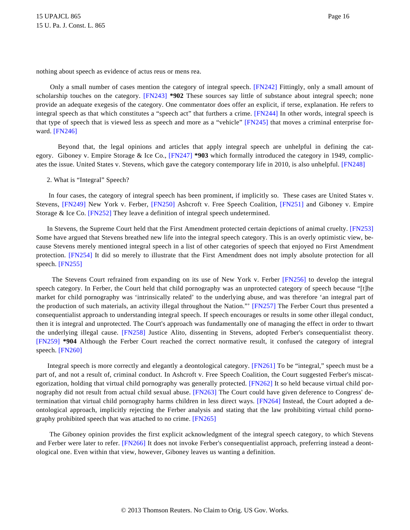nothing about speech as evidence of actus reus or mens rea.

<span id="page-15-2"></span><span id="page-15-1"></span><span id="page-15-0"></span>Only a small number of cases mention the category of integral speech. [\[FN242\]](#page-42-0) Fittingly, only a small amount of scholarship touches on the category. [\[FN243\]](#page-42-1) **\*902** These sources say little of substance about integral speech; none provide an adequate exegesis of the category. One commentator does offer an explicit, if terse, explanation. He refers to integral speech as that which constitutes a "speech act" that furthers a crime. [\[FN244\]](#page-42-2) In other words, integral speech is that type of speech that is viewed less as speech and more as a "vehicle" [\[FN245\]](#page-42-3) that moves a criminal enterprise forward. [\[FN246\]](#page-42-4)

<span id="page-15-6"></span><span id="page-15-5"></span><span id="page-15-4"></span><span id="page-15-3"></span>Beyond that, the legal opinions and articles that apply integral speech are unhelpful in defining the category. Giboney v. Empire Storage & Ice Co., [\[FN247\]](#page-43-0) **\*903** which formally introduced the category in 1949, complicates the issue. United States v. Stevens, which gave the category contemporary life in 2010, is also unhelpful. [\[FN248\]](#page-43-1)

2. What is "Integral" Speech?

<span id="page-15-8"></span><span id="page-15-7"></span>In four cases, the category of integral speech has been prominent, if implicitly so. These cases are United States v. Stevens, [\[FN249\]](#page-43-2) New York v. Ferber, [\[FN250\]](#page-43-3) Ashcroft v. Free Speech Coalition, [\[FN251\]](#page-43-4) and Giboney v. Empire Storage & Ice Co. [\[FN252\]](#page-43-5) They leave a definition of integral speech undetermined.

<span id="page-15-10"></span><span id="page-15-9"></span>In Stevens, the Supreme Court held that the First Amendment protected certain depictions of animal cruelty. [\[FN253\]](#page-43-6) Some have argued that Stevens breathed new life into the integral speech category. This is an overly optimistic view, because Stevens merely mentioned integral speech in a list of other categories of speech that enjoyed no First Amendment protection. [\[FN254\]](#page-43-7) It did so merely to illustrate that the First Amendment does not imply absolute protection for all speech. [\[FN255\]](#page-43-8)

<span id="page-15-13"></span><span id="page-15-12"></span><span id="page-15-11"></span>The Stevens Court refrained from expanding on its use of New York v. Ferber [\[FN256\]](#page-43-9) to develop the integral speech category. In Ferber, the Court held that child pornography was an unprotected category of speech because "[t]he market for child pornography was 'intrinsically related' to the underlying abuse, and was therefore 'an integral part of the production of such materials, an activity illegal throughout the Nation."' [\[FN257\]](#page-43-10) The Ferber Court thus presented a consequentialist approach to understanding integral speech. If speech encourages or results in some other illegal conduct, then it is integral and unprotected. The Court's approach was fundamentally one of managing the effect in order to thwart the underlying illegal cause. [\[FN258\]](#page-43-11) Justice Alito, dissenting in Stevens, adopted Ferber's consequentialist theory. [\[FN259\]](#page-43-12) **\*904** Although the Ferber Court reached the correct normative result, it confused the category of integral speech. [\[FN260\]](#page-43-13)

<span id="page-15-20"></span><span id="page-15-19"></span><span id="page-15-18"></span><span id="page-15-17"></span><span id="page-15-16"></span><span id="page-15-15"></span><span id="page-15-14"></span>Integral speech is more correctly and elegantly a deontological category. [\[FN261\]](#page-43-14) To be "integral," speech must be a part of, and not a result of, criminal conduct. In Ashcroft v. Free Speech Coalition, the Court suggested Ferber's miscat-egorization, holding that virtual child pornography was generally protected. [\[FN262\]](#page-43-15) It so held because virtual child pornography did not result from actual child sexual abuse. [\[FN263\]](#page-43-16) The Court could have given deference to Congress' determination that virtual child pornography harms children in less direct ways. [\[FN264\]](#page-43-17) Instead, the Court adopted a deontological approach, implicitly rejecting the Ferber analysis and stating that the law prohibiting virtual child pornography prohibited speech that was attached to no crime. [\[FN265\]](#page-43-18)

<span id="page-15-22"></span><span id="page-15-21"></span>The Giboney opinion provides the first explicit acknowledgment of the integral speech category, to which Stevens and Ferber were later to refer. [\[FN266\]](#page-43-19) It does not invoke Ferber's consequentialist approach, preferring instead a deontological one. Even within that view, however, Giboney leaves us wanting a definition.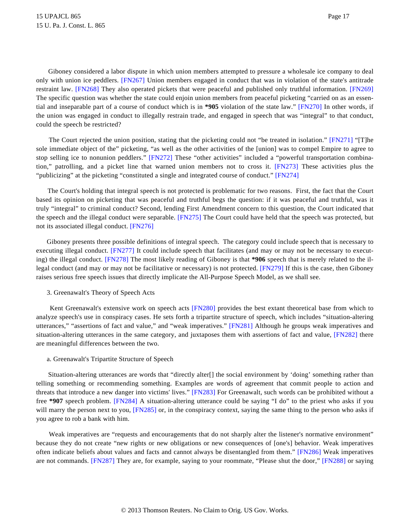<span id="page-16-2"></span><span id="page-16-1"></span><span id="page-16-0"></span>Giboney considered a labor dispute in which union members attempted to pressure a wholesale ice company to deal only with union ice peddlers. [\[FN267\]](#page-43-20) Union members engaged in conduct that was in violation of the state's antitrade restraint law. [\[FN268\]](#page-44-0) They also operated pickets that were peaceful and published only truthful information. [\[FN269\]](#page-44-1) The specific question was whether the state could enjoin union members from peaceful picketing "carried on as an essential and inseparable part of a course of conduct which is in **\*905** violation of the state law." [\[FN270\]](#page-44-2) In other words, if the union was engaged in conduct to illegally restrain trade, and engaged in speech that was "integral" to that conduct, could the speech be restricted?

<span id="page-16-5"></span><span id="page-16-4"></span><span id="page-16-3"></span>The Court rejected the union position, stating that the picketing could not "be treated in isolation." [\[FN271\]](#page-44-3) "[T]he sole immediate object of the" picketing, "as well as the other activities of the [union] was to compel Empire to agree to stop selling ice to nonunion peddlers." [\[FN272\]](#page-44-4) These "other activities" included a "powerful transportation combination," patrolling, and a picket line that warned union members not to cross it. [\[FN273\]](#page-44-5) These activities plus the "publicizing" at the picketing "constituted a single and integrated course of conduct." [\[FN274\]](#page-44-6)

<span id="page-16-7"></span><span id="page-16-6"></span>The Court's holding that integral speech is not protected is problematic for two reasons. First, the fact that the Court based its opinion on picketing that was peaceful and truthful begs the question: if it was peaceful and truthful, was it truly "integral" to criminal conduct? Second, lending First Amendment concern to this question, the Court indicated that the speech and the illegal conduct were separable. [\[FN275\]](#page-44-7) The Court could have held that the speech was protected, but not its associated illegal conduct. [\[FN276\]](#page-44-8)

<span id="page-16-11"></span><span id="page-16-10"></span><span id="page-16-9"></span><span id="page-16-8"></span>Giboney presents three possible definitions of integral speech. The category could include speech that is necessary to executing illegal conduct. [\[FN277\]](#page-44-9) It could include speech that facilitates (and may or may not be necessary to executing) the illegal conduct. [\[FN278\]](#page-44-10) The most likely reading of Giboney is that **\*906** speech that is merely related to the illegal conduct (and may or may not be facilitative or necessary) is not protected. [\[FN279\]](#page-44-11) If this is the case, then Giboney raises serious free speech issues that directly implicate the All-Purpose Speech Model, as we shall see.

3. Greenawalt's Theory of Speech Acts

<span id="page-16-14"></span><span id="page-16-13"></span><span id="page-16-12"></span>Kent Greenawalt's extensive work on speech acts [\[FN280\]](#page-44-12) provides the best extant theoretical base from which to analyze speech's use in conspiracy cases. He sets forth a tripartite structure of speech, which includes "situation-altering utterances," "assertions of fact and value," and "weak imperatives." [\[FN281\]](#page-45-0) Although he groups weak imperatives and situation-altering utterances in the same category, and juxtaposes them with assertions of fact and value, [\[FN282\]](#page-45-1) there are meaningful differences between the two.

a. Greenawalt's Tripartite Structure of Speech

<span id="page-16-16"></span><span id="page-16-15"></span>Situation-altering utterances are words that "directly alter[] the social environment by 'doing' something rather than telling something or recommending something. Examples are words of agreement that commit people to action and threats that introduce a new danger into victims' lives." [\[FN283\]](#page-45-2) For Greenawalt, such words can be prohibited without a free **\*907** speech problem. [\[FN284\]](#page-45-3) A situation-altering utterance could be saying "I do" to the priest who asks if you will marry the person next to you, [\[FN285\]](#page-45-4) or, in the conspiracy context, saying the same thing to the person who asks if you agree to rob a bank with him.

<span id="page-16-19"></span><span id="page-16-18"></span><span id="page-16-17"></span>Weak imperatives are "requests and encouragements that do not sharply alter the listener's normative environment" because they do not create "new rights or new obligations or new consequences of [one's] behavior. Weak imperatives often indicate beliefs about values and facts and cannot always be disentangled from them." [\[FN286\]](#page-45-5) Weak imperatives are not commands. [\[FN287\]](#page-45-6) They are, for example, saying to your roommate, "Please shut the door," [\[FN288\]](#page-45-7) or saying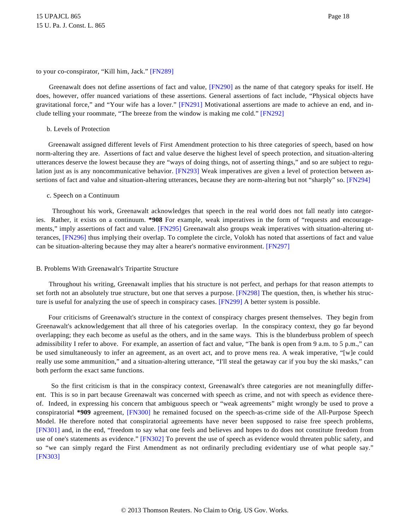### <span id="page-17-0"></span>to your co-conspirator, "Kill him, Jack." [\[FN289\]](#page-45-8)

<span id="page-17-3"></span><span id="page-17-2"></span><span id="page-17-1"></span>Greenawalt does not define assertions of fact and value, [\[FN290\]](#page-45-9) as the name of that category speaks for itself. He does, however, offer nuanced variations of these assertions. General assertions of fact include, "Physical objects have gravitational force," and "Your wife has a lover." [\[FN291\]](#page-45-10) Motivational assertions are made to achieve an end, and include telling your roommate, "The breeze from the window is making me cold." [\[FN292\]](#page-45-11)

## b. Levels of Protection

<span id="page-17-4"></span>Greenawalt assigned different levels of First Amendment protection to his three categories of speech, based on how norm-altering they are. Assertions of fact and value deserve the highest level of speech protection, and situation-altering utterances deserve the lowest because they are "ways of doing things, not of asserting things," and so are subject to regulation just as is any noncommunicative behavior. [\[FN293\]](#page-45-12) Weak imperatives are given a level of protection between assertions of fact and value and situation-altering utterances, because they are norm-altering but not "sharply" so. [\[FN294\]](#page-45-13)

#### <span id="page-17-5"></span>c. Speech on a Continuum

<span id="page-17-7"></span><span id="page-17-6"></span>Throughout his work, Greenawalt acknowledges that speech in the real world does not fall neatly into categories. Rather, it exists on a continuum. **\*908** For example, weak imperatives in the form of "requests and encourage-ments," imply assertions of fact and value. [\[FN295\]](#page-45-14) Greenawalt also groups weak imperatives with situation-altering utterances, [\[FN296\]](#page-45-15) thus implying their overlap. To complete the circle, Volokh has noted that assertions of fact and value can be situation-altering because they may alter a hearer's normative environment. [\[FN297\]](#page-45-16)

### <span id="page-17-8"></span>B. Problems With Greenawalt's Tripartite Structure

<span id="page-17-10"></span><span id="page-17-9"></span>Throughout his writing, Greenawalt implies that his structure is not perfect, and perhaps for that reason attempts to set forth not an absolutely true structure, but one that serves a purpose. [\[FN298\]](#page-45-17) The question, then, is whether his structure is useful for analyzing the use of speech in conspiracy cases. [\[FN299\]](#page-45-18) A better system is possible.

Four criticisms of Greenawalt's structure in the context of conspiracy charges present themselves. They begin from Greenawalt's acknowledgement that all three of his categories overlap. In the conspiracy context, they go far beyond overlapping; they each become as useful as the others, and in the same ways. This is the blunderbuss problem of speech admissibility I refer to above. For example, an assertion of fact and value, "The bank is open from 9 a.m. to 5 p.m.," can be used simultaneously to infer an agreement, as an overt act, and to prove mens rea. A weak imperative, "[w]e could really use some ammunition," and a situation-altering utterance, "I'll steal the getaway car if you buy the ski masks," can both perform the exact same functions.

<span id="page-17-14"></span><span id="page-17-13"></span><span id="page-17-12"></span><span id="page-17-11"></span>So the first criticism is that in the conspiracy context, Greenawalt's three categories are not meaningfully different. This is so in part because Greenawalt was concerned with speech as crime, and not with speech as evidence thereof. Indeed, in expressing his concern that ambiguous speech or "weak agreements" might wrongly be used to prove a conspiratorial **\*909** agreement, [\[FN300\]](#page-45-19) he remained focused on the speech-as-crime side of the All-Purpose Speech Model. He therefore noted that conspiratorial agreements have never been supposed to raise free speech problems, [\[FN301\]](#page-46-0) and, in the end, "freedom to say what one feels and believes and hopes to do does not constitute freedom from use of one's statements as evidence." [\[FN302\]](#page-46-1) To prevent the use of speech as evidence would threaten public safety, and so "we can simply regard the First Amendment as not ordinarily precluding evidentiary use of what people say." [\[FN303\]](#page-46-2)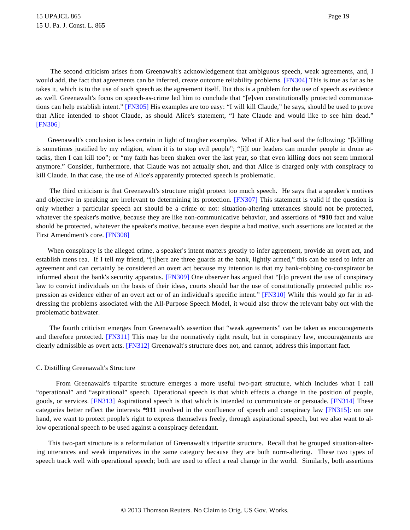<span id="page-18-1"></span><span id="page-18-0"></span>The second criticism arises from Greenawalt's acknowledgement that ambiguous speech, weak agreements, and, I would add, the fact that agreements can be inferred, create outcome reliability problems. [\[FN304\]](#page-46-3) This is true as far as he takes it, which is to the use of such speech as the agreement itself. But this is a problem for the use of speech as evidence as well. Greenawalt's focus on speech-as-crime led him to conclude that "[e]ven constitutionally protected communications can help establish intent." [\[FN305\]](#page-46-4) His examples are too easy: "I will kill Claude," he says, should be used to prove that Alice intended to shoot Claude, as should Alice's statement, "I hate Claude and would like to see him dead." [\[FN306\]](#page-46-5)

<span id="page-18-2"></span>Greenawalt's conclusion is less certain in light of tougher examples. What if Alice had said the following: "[k]illing is sometimes justified by my religion, when it is to stop evil people"; "[i]f our leaders can murder people in drone attacks, then I can kill too"; or "my faith has been shaken over the last year, so that even killing does not seem immoral anymore." Consider, furthermore, that Claude was not actually shot, and that Alice is charged only with conspiracy to kill Claude. In that case, the use of Alice's apparently protected speech is problematic.

<span id="page-18-3"></span>The third criticism is that Greenawalt's structure might protect too much speech. He says that a speaker's motives and objective in speaking are irrelevant to determining its protection. [\[FN307\]](#page-46-6) This statement is valid if the question is only whether a particular speech act should be a crime or not: situation-altering utterances should not be protected, whatever the speaker's motive, because they are like non-communicative behavior, and assertions of **\*910** fact and value should be protected, whatever the speaker's motive, because even despite a bad motive, such assertions are located at the First Amendment's core. [\[FN308\]](#page-46-7)

<span id="page-18-5"></span><span id="page-18-4"></span>When conspiracy is the alleged crime, a speaker's intent matters greatly to infer agreement, provide an overt act, and establish mens rea. If I tell my friend, "[t]here are three guards at the bank, lightly armed," this can be used to infer an agreement and can certainly be considered an overt act because my intention is that my bank-robbing co-conspirator be informed about the bank's security apparatus. [\[FN309\]](#page-46-8) One observer has argued that "[t]o prevent the use of conspiracy law to convict individuals on the basis of their ideas, courts should bar the use of constitutionally protected public expression as evidence either of an overt act or of an individual's specific intent." [\[FN310\]](#page-46-9) While this would go far in addressing the problems associated with the All-Purpose Speech Model, it would also throw the relevant baby out with the problematic bathwater.

<span id="page-18-8"></span><span id="page-18-7"></span><span id="page-18-6"></span>The fourth criticism emerges from Greenawalt's assertion that "weak agreements" can be taken as encouragements and therefore protected. [\[FN311\]](#page-46-10) This may be the normatively right result, but in conspiracy law, encouragements are clearly admissible as overt acts. [\[FN312\]](#page-46-11) Greenawalt's structure does not, and cannot, address this important fact.

### C. Distilling Greenawalt's Structure

<span id="page-18-10"></span><span id="page-18-9"></span>From Greenawalt's tripartite structure emerges a more useful two-part structure, which includes what I call "operational" and "aspirational" speech. Operational speech is that which effects a change in the position of people, goods, or services. [\[FN313\]](#page-46-12) Aspirational speech is that which is intended to communicate or persuade. [\[FN314\]](#page-46-13) These categories better reflect the interests **\*911** involved in the confluence of speech and conspiracy law [\[FN315\]](#page-46-14): on one hand, we want to protect people's right to express themselves freely, through aspirational speech, but we also want to allow operational speech to be used against a conspiracy defendant.

This two-part structure is a reformulation of Greenawalt's tripartite structure. Recall that he grouped situation-altering utterances and weak imperatives in the same category because they are both norm-altering. These two types of speech track well with operational speech; both are used to effect a real change in the world. Similarly, both assertions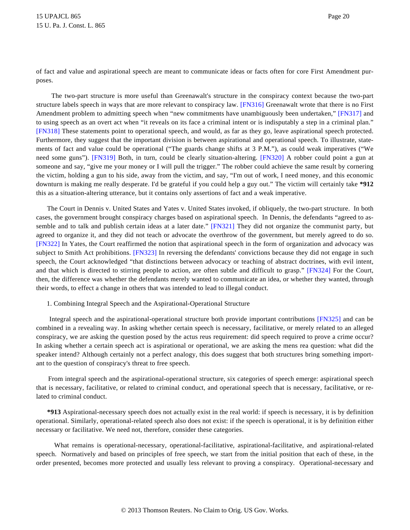of fact and value and aspirational speech are meant to communicate ideas or facts often for core First Amendment purposes.

<span id="page-19-2"></span><span id="page-19-1"></span><span id="page-19-0"></span>The two-part structure is more useful than Greenawalt's structure in the conspiracy context because the two-part structure labels speech in ways that are more relevant to conspiracy law. [\[FN316\]](#page-46-15) Greenawalt wrote that there is no First Amendment problem to admitting speech when "new commitments have unambiguously been undertaken," [\[FN317\]](#page-46-16) and to using speech as an overt act when "it reveals on its face a criminal intent or is indisputably a step in a criminal plan." [\[FN318\]](#page-46-17) These statements point to operational speech, and would, as far as they go, leave aspirational speech protected. Furthermore, they suggest that the important division is between aspirational and operational speech. To illustrate, statements of fact and value could be operational ("The guards change shifts at 3 P.M."), as could weak imperatives ("We need some guns"). [\[FN319\]](#page-46-18) Both, in turn, could be clearly situation-altering. [\[FN320\]](#page-46-19) A robber could point a gun at someone and say, "give me your money or I will pull the trigger." The robber could achieve the same result by cornering the victim, holding a gun to his side, away from the victim, and say, "I'm out of work, I need money, and this economic downturn is making me really desperate. I'd be grateful if you could help a guy out." The victim will certainly take **\*912** this as a situation-altering utterance, but it contains only assertions of fact and a weak imperative.

<span id="page-19-6"></span><span id="page-19-5"></span><span id="page-19-4"></span><span id="page-19-3"></span>The Court in Dennis v. United States and Yates v. United States invoked, if obliquely, the two-part structure. In both cases, the government brought conspiracy charges based on aspirational speech. In Dennis, the defendants "agreed to assemble and to talk and publish certain ideas at a later date." [\[FN321\]](#page-47-0) They did not organize the communist party, but agreed to organize it, and they did not teach or advocate the overthrow of the government, but merely agreed to do so. [\[FN322\]](#page-47-1) In Yates, the Court reaffirmed the notion that aspirational speech in the form of organization and advocacy was subject to Smith Act prohibitions. [\[FN323\]](#page-47-2) In reversing the defendants' convictions because they did not engage in such speech, the Court acknowledged "that distinctions between advocacy or teaching of abstract doctrines, with evil intent, and that which is directed to stirring people to action, are often subtle and difficult to grasp." [\[FN324\]](#page-47-3) For the Court, then, the difference was whether the defendants merely wanted to communicate an idea, or whether they wanted, through their words, to effect a change in others that was intended to lead to illegal conduct.

<span id="page-19-7"></span>1. Combining Integral Speech and the Aspirational-Operational Structure

<span id="page-19-8"></span>Integral speech and the aspirational-operational structure both provide important contributions [\[FN325\]](#page-47-4) and can be combined in a revealing way. In asking whether certain speech is necessary, facilitative, or merely related to an alleged conspiracy, we are asking the question posed by the actus reus requirement: did speech required to prove a crime occur? In asking whether a certain speech act is aspirational or operational, we are asking the mens rea question: what did the speaker intend? Although certainly not a perfect analogy, this does suggest that both structures bring something important to the question of conspiracy's threat to free speech.

From integral speech and the aspirational-operational structure, six categories of speech emerge: aspirational speech that is necessary, facilitative, or related to criminal conduct, and operational speech that is necessary, facilitative, or related to criminal conduct.

**\*913** Aspirational-necessary speech does not actually exist in the real world: if speech is necessary, it is by definition operational. Similarly, operational-related speech also does not exist: if the speech is operational, it is by definition either necessary or facilitative. We need not, therefore, consider these categories.

What remains is operational-necessary, operational-facilitative, aspirational-facilitative, and aspirational-related speech. Normatively and based on principles of free speech, we start from the initial position that each of these, in the order presented, becomes more protected and usually less relevant to proving a conspiracy. Operational-necessary and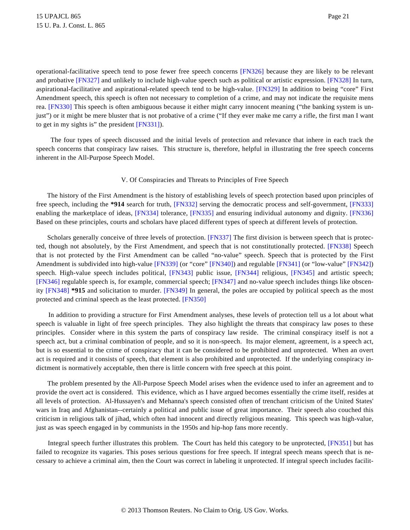<span id="page-20-3"></span><span id="page-20-2"></span><span id="page-20-1"></span><span id="page-20-0"></span>operational-facilitative speech tend to pose fewer free speech concerns [\[FN326\]](#page-47-5) because they are likely to be relevant and probative [\[FN327\]](#page-47-6) and unlikely to include high-value speech such as political or artistic expression. [\[FN328\]](#page-47-7) In turn, aspirational-facilitative and aspirational-related speech tend to be high-value. [\[FN329\]](#page-47-8) In addition to being "core" First Amendment speech, this speech is often not necessary to completion of a crime, and may not indicate the requisite mens rea. [\[FN330\]](#page-47-9) This speech is often ambiguous because it either might carry innocent meaning ("the banking system is unjust") or it might be mere bluster that is not probative of a crime ("If they ever make me carry a rifle, the first man I want to get in my sights is" the president [\[FN331\]](#page-47-10)).

<span id="page-20-4"></span>The four types of speech discussed and the initial levels of protection and relevance that inhere in each track the speech concerns that conspiracy law raises. This structure is, therefore, helpful in illustrating the free speech concerns inherent in the All-Purpose Speech Model.

### V. Of Conspiracies and Threats to Principles of Free Speech

<span id="page-20-6"></span><span id="page-20-5"></span>The history of the First Amendment is the history of establishing levels of speech protection based upon principles of free speech, including the **\*914** search for truth, [\[FN332\]](#page-47-11) serving the democratic process and self-government, [\[FN333\]](#page-47-12) enabling the marketplace of ideas, [\[FN334\]](#page-47-13) tolerance, [\[FN335\]](#page-47-14) and ensuring individual autonomy and dignity. [\[FN336\]](#page-47-15) Based on these principles, courts and scholars have placed different types of speech at different levels of protection.

<span id="page-20-10"></span><span id="page-20-9"></span><span id="page-20-8"></span><span id="page-20-7"></span>Scholars generally conceive of three levels of protection. [\[FN337\]](#page-47-16) The first division is between speech that is protected, though not absolutely, by the First Amendment, and speech that is not constitutionally protected. [\[FN338\]](#page-47-17) Speech that is not protected by the First Amendment can be called "no-value" speech. Speech that is protected by the First Amendment is subdivided into high-value [\[FN339\]](#page-48-0) (or "core" [\[FN340\]](#page-48-1)) and regulable [\[FN341\]](#page-48-2) (or "low-value" [\[FN342\]](#page-48-3)) speech. High-value speech includes political, [\[FN343\]](#page-48-4) public issue, [\[FN344\]](#page-48-5) religious, [\[FN345\]](#page-48-6) and artistic speech; [\[FN346\]](#page-48-7) regulable speech is, for example, commercial speech; [\[FN347\]](#page-48-8) and no-value speech includes things like obscenity [\[FN348\]](#page-48-9) **\*915** and solicitation to murder. [\[FN349\]](#page-48-10) In general, the poles are occupied by political speech as the most protected and criminal speech as the least protected. [\[FN350\]](#page-48-11)

<span id="page-20-13"></span><span id="page-20-12"></span><span id="page-20-11"></span>In addition to providing a structure for First Amendment analyses, these levels of protection tell us a lot about what speech is valuable in light of free speech principles. They also highlight the threats that conspiracy law poses to these principles. Consider where in this system the parts of conspiracy law reside. The criminal conspiracy itself is not a speech act, but a criminal combination of people, and so it is non-speech. Its major element, agreement, is a speech act, but is so essential to the crime of conspiracy that it can be considered to be prohibited and unprotected. When an overt act is required and it consists of speech, that element is also prohibited and unprotected. If the underlying conspiracy indictment is normatively acceptable, then there is little concern with free speech at this point.

The problem presented by the All-Purpose Speech Model arises when the evidence used to infer an agreement and to provide the overt act is considered. This evidence, which as I have argued becomes essentially the crime itself, resides at all levels of protection. Al-Hussayen's and Mehanna's speech consisted often of trenchant criticism of the United States' wars in Iraq and Afghanistan--certainly a political and public issue of great importance. Their speech also couched this criticism in religious talk of jihad, which often had innocent and directly religious meaning. This speech was high-value, just as was speech engaged in by communists in the 1950s and hip-hop fans more recently.

<span id="page-20-14"></span>Integral speech further illustrates this problem. The Court has held this category to be unprotected, [\[FN351\]](#page-48-12) but has failed to recognize its vagaries. This poses serious questions for free speech. If integral speech means speech that is necessary to achieve a criminal aim, then the Court was correct in labeling it unprotected. If integral speech includes facilit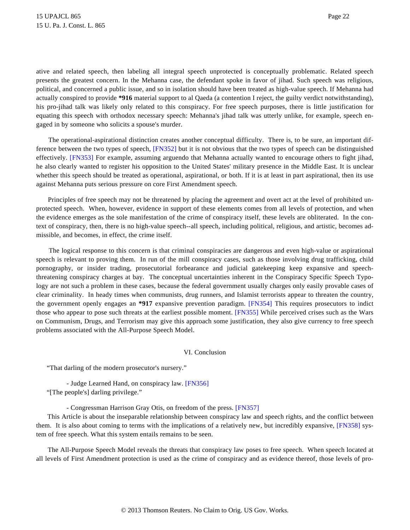ative and related speech, then labeling all integral speech unprotected is conceptually problematic. Related speech presents the greatest concern. In the Mehanna case, the defendant spoke in favor of jihad. Such speech was religious, political, and concerned a public issue, and so in isolation should have been treated as high-value speech. If Mehanna had actually conspired to provide **\*916** material support to al Qaeda (a contention I reject, the guilty verdict notwithstanding), his pro-jihad talk was likely only related to this conspiracy. For free speech purposes, there is little justification for equating this speech with orthodox necessary speech: Mehanna's jihad talk was utterly unlike, for example, speech engaged in by someone who solicits a spouse's murder.

<span id="page-21-1"></span><span id="page-21-0"></span>The operational-aspirational distinction creates another conceptual difficulty. There is, to be sure, an important difference between the two types of speech, [\[FN352\]](#page-48-13) but it is not obvious that the two types of speech can be distinguished effectively. [\[FN353\]](#page-48-14) For example, assuming arguendo that Mehanna actually wanted to encourage others to fight jihad, he also clearly wanted to register his opposition to the United States' military presence in the Middle East. It is unclear whether this speech should be treated as operational, aspirational, or both. If it is at least in part aspirational, then its use against Mehanna puts serious pressure on core First Amendment speech.

Principles of free speech may not be threatened by placing the agreement and overt act at the level of prohibited unprotected speech. When, however, evidence in support of these elements comes from all levels of protection, and when the evidence emerges as the sole manifestation of the crime of conspiracy itself, these levels are obliterated. In the context of conspiracy, then, there is no high-value speech--all speech, including political, religious, and artistic, becomes admissible, and becomes, in effect, the crime itself.

<span id="page-21-3"></span><span id="page-21-2"></span>The logical response to this concern is that criminal conspiracies are dangerous and even high-value or aspirational speech is relevant to proving them. In run of the mill conspiracy cases, such as those involving drug trafficking, child pornography, or insider trading, prosecutorial forbearance and judicial gatekeeping keep expansive and speechthreatening conspiracy charges at bay. The conceptual uncertainties inherent in the Conspiracy Specific Speech Typology are not such a problem in these cases, because the federal government usually charges only easily provable cases of clear criminality. In heady times when communists, drug runners, and Islamist terrorists appear to threaten the country, the government openly engages an **\*917** expansive prevention paradigm. [\[FN354\]](#page-48-15) This requires prosecutors to indict those who appear to pose such threats at the earliest possible moment. [\[FN355\]](#page-49-0) While perceived crises such as the Wars on Communism, Drugs, and Terrorism may give this approach some justification, they also give currency to free speech problems associated with the All-Purpose Speech Model.

## VI. Conclusion

"That darling of the modern prosecutor's nursery."

<span id="page-21-4"></span>- Judge Learned Hand, on conspiracy law. [\[FN356\]](#page-49-1) "[The people's] darling privilege."

- Congressman Harrison Gray Otis, on freedom of the press. [\[FN357\]](#page-49-2)

<span id="page-21-6"></span><span id="page-21-5"></span>This Article is about the inseparable relationship between conspiracy law and speech rights, and the conflict between them. It is also about coming to terms with the implications of a relatively new, but incredibly expansive, [\[FN358\]](#page-49-3) system of free speech. What this system entails remains to be seen.

The All-Purpose Speech Model reveals the threats that conspiracy law poses to free speech. When speech located at all levels of First Amendment protection is used as the crime of conspiracy and as evidence thereof, those levels of pro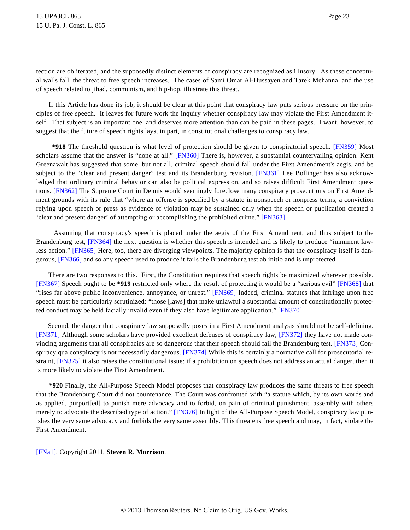tection are obliterated, and the supposedly distinct elements of conspiracy are recognized as illusory. As these conceptual walls fall, the threat to free speech increases. The cases of Sami Omar Al-Hussayen and Tarek Mehanna, and the use of speech related to jihad, communism, and hip-hop, illustrate this threat.

If this Article has done its job, it should be clear at this point that conspiracy law puts serious pressure on the principles of free speech. It leaves for future work the inquiry whether conspiracy law may violate the First Amendment itself. That subject is an important one, and deserves more attention than can be paid in these pages. I want, however, to suggest that the future of speech rights lays, in part, in constitutional challenges to conspiracy law.

<span id="page-22-4"></span><span id="page-22-3"></span><span id="page-22-2"></span><span id="page-22-1"></span>**\*918** The threshold question is what level of protection should be given to conspiratorial speech. [\[FN359\]](#page-49-4) Most scholars assume that the answer is "none at all." [\[FN360\]](#page-49-5) There is, however, a substantial countervailing opinion. Kent Greenawalt has suggested that some, but not all, criminal speech should fall under the First Amendment's aegis, and be subject to the "clear and present danger" test and its Brandenburg revision. [\[FN361\]](#page-49-6) Lee Bollinger has also acknowledged that ordinary criminal behavior can also be political expression, and so raises difficult First Amendment questions. [\[FN362\]](#page-49-7) The Supreme Court in Dennis would seemingly foreclose many conspiracy prosecutions on First Amendment grounds with its rule that "where an offense is specified by a statute in nonspeech or nonpress terms, a conviction relying upon speech or press as evidence of violation may be sustained only when the speech or publication created a 'clear and present danger' of attempting or accomplishing the prohibited crime." [\[FN363\]](#page-49-8)

<span id="page-22-7"></span><span id="page-22-6"></span><span id="page-22-5"></span>Assuming that conspiracy's speech is placed under the aegis of the First Amendment, and thus subject to the Brandenburg test, [\[FN364\]](#page-49-9) the next question is whether this speech is intended and is likely to produce "imminent lawless action." [\[FN365\]](#page-49-10) Here, too, there are diverging viewpoints. The majority opinion is that the conspiracy itself is dangerous, [\[FN366\]](#page-49-11) and so any speech used to produce it fails the Brandenburg test ab initio and is unprotected.

<span id="page-22-10"></span><span id="page-22-9"></span><span id="page-22-8"></span>There are two responses to this. First, the Constitution requires that speech rights be maximized wherever possible. [\[FN367\]](#page-49-12) Speech ought to be **\*919** restricted only where the result of protecting it would be a "serious evil" [\[FN368\]](#page-49-13) that "rises far above public inconvenience, annoyance, or unrest." [\[FN369\]](#page-49-14) Indeed, criminal statutes that infringe upon free speech must be particularly scrutinized: "those [laws] that make unlawful a substantial amount of constitutionally protected conduct may be held facially invalid even if they also have legitimate application." [\[FN370\]](#page-49-15)

<span id="page-22-14"></span><span id="page-22-13"></span><span id="page-22-12"></span><span id="page-22-11"></span>Second, the danger that conspiracy law supposedly poses in a First Amendment analysis should not be self-defining. [\[FN371\]](#page-49-16) Although some scholars have provided excellent defenses of conspiracy law, [\[FN372\]](#page-50-0) they have not made convincing arguments that all conspiracies are so dangerous that their speech should fail the Brandenburg test. [\[FN373\]](#page-50-1) Con-spiracy qua conspiracy is not necessarily dangerous. [\[FN374\]](#page-50-2) While this is certainly a normative call for prosecutorial restraint, [\[FN375\]](#page-50-3) it also raises the constitutional issue: if a prohibition on speech does not address an actual danger, then it is more likely to violate the First Amendment.

<span id="page-22-16"></span><span id="page-22-15"></span>**\*920** Finally, the All-Purpose Speech Model proposes that conspiracy law produces the same threats to free speech that the Brandenburg Court did not countenance. The Court was confronted with "a statute which, by its own words and as applied, purport[ed] to punish mere advocacy and to forbid, on pain of criminal punishment, assembly with others merely to advocate the described type of action." [\[FN376\]](#page-50-4) In light of the All-Purpose Speech Model, conspiracy law punishes the very same advocacy and forbids the very same assembly. This threatens free speech and may, in fact, violate the First Amendment.

<span id="page-22-0"></span>[\[FNa1\].](#page-0-0) Copyright 2011, **Steven R**. **Morrison**.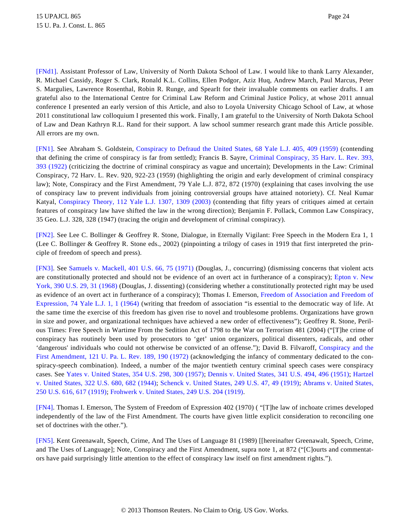<span id="page-23-0"></span>[\[FNd1\]](#page-0-1). Assistant Professor of Law, University of North Dakota School of Law. I would like to thank Larry Alexander, R. Michael Cassidy, Roger S. Clark, Ronald K.L. Collins, Ellen Podgor, Aziz Huq, Andrew March, Paul Marcus, Peter S. Margulies, Lawrence Rosenthal, Robin R. Runge, and SpearIt for their invaluable comments on earlier drafts. I am grateful also to the International Centre for Criminal Law Reform and Criminal Justice Policy, at whose 2011 annual conference I presented an early version of this Article, and also to Loyola University Chicago School of Law, at whose 2011 constitutional law colloquium I presented this work. Finally, I am grateful to the University of North Dakota School of Law and Dean Kathryn R.L. Rand for their support. A law school summer research grant made this Article possible. All errors are my own.

<span id="page-23-1"></span>[\[FN1\]](#page-2-0). See Abraham S. Goldstein, [Conspiracy to Defraud the United States, 68 Yale L.J. 405, 409 \(195](http://www.westlaw.com/Find/Default.wl?rs=dfa1.0&vr=2.0&DB=0001292&FindType=Y&ReferencePositionType=S&SerialNum=0332917432&ReferencePosition=409)9) (contending that defining the crime of conspiracy is far from settled); Francis B. Sayre, [Criminal Conspiracy, 35 Harv. L. Rev. 393](http://www.westlaw.com/Find/Default.wl?rs=dfa1.0&vr=2.0&DB=0003084&FindType=Y&SerialNum=0344996461), [393 \(1922\)](http://www.westlaw.com/Find/Default.wl?rs=dfa1.0&vr=2.0&DB=0003084&FindType=Y&SerialNum=0344996461) (criticizing the doctrine of criminal conspiracy as vague and uncertain); Developments in the Law: Criminal Conspiracy, 72 Harv. L. Rev. 920, 922-23 (1959) (highlighting the origin and early development of criminal conspiracy law); Note, Conspiracy and the First Amendment, 79 Yale L.J. 872, 872 (1970) (explaining that cases involving the use of conspiracy law to prevent individuals from joining controversial groups have attained notoriety). Cf. Neal Kumar Katyal, [Conspiracy Theory, 112 Yale L.J. 1307, 1309 \(200](http://www.westlaw.com/Find/Default.wl?rs=dfa1.0&vr=2.0&DB=0001292&FindType=Y&ReferencePositionType=S&SerialNum=0294193082&ReferencePosition=1309)3) (contending that fifty years of critiques aimed at certain features of conspiracy law have shifted the law in the wrong direction); Benjamin F. Pollack, Common Law Conspiracy, 35 Geo. L.J. 328, 328 (1947) (tracing the origin and development of criminal conspiracy).

<span id="page-23-2"></span>[\[FN2\]](#page-2-1). See Lee C. Bollinger & Geoffrey R. Stone, Dialogue, in Eternally Vigilant: Free Speech in the Modern Era 1, 1 (Lee C. Bollinger & Geoffrey R. Stone eds., 2002) (pinpointing a trilogy of cases in 1919 that first interpreted the principle of freedom of speech and press).

<span id="page-23-3"></span>[\[FN3\]](#page-2-2). See [Samuels v. Mackell, 401 U.S. 66, 75 \(1971](http://www.westlaw.com/Find/Default.wl?rs=dfa1.0&vr=2.0&DB=0000780&FindType=Y&ReferencePositionType=S&SerialNum=1971127017&ReferencePosition=75)) (Douglas, J., concurring) (dismissing concerns that violent acts are constitutionally protected and should not be evidence of an overt act in furtherance of a conspiracy); [Epton v. New](http://www.westlaw.com/Find/Default.wl?rs=dfa1.0&vr=2.0&DB=0000780&FindType=Y&ReferencePositionType=S&SerialNum=1968201657&ReferencePosition=31) [York, 390 U.S. 29, 31 \(1968\)](http://www.westlaw.com/Find/Default.wl?rs=dfa1.0&vr=2.0&DB=0000780&FindType=Y&ReferencePositionType=S&SerialNum=1968201657&ReferencePosition=31) (Douglas, J. dissenting) (considering whether a constitutionally protected right may be used as evidence of an overt act in furtherance of a conspiracy); Thomas I. Emerson, [Freedom of Association and Freedom of](http://www.westlaw.com/Find/Default.wl?rs=dfa1.0&vr=2.0&DB=0001292&FindType=Y&SerialNum=0332852899) [Expression, 74 Yale L.J. 1, 1 \(1964](http://www.westlaw.com/Find/Default.wl?rs=dfa1.0&vr=2.0&DB=0001292&FindType=Y&SerialNum=0332852899)) (writing that freedom of association "is essential to the democratic way of life. At the same time the exercise of this freedom has given rise to novel and troublesome problems. Organizations have grown in size and power, and organizational techniques have achieved a new order of effectiveness"); Geoffrey R. Stone, Perilous Times: Free Speech in Wartime From the Sedition Act of 1798 to the War on Terrorism 481 (2004) ("[T]he crime of conspiracy has routinely been used by prosecutors to 'get' union organizers, political dissenters, radicals, and other 'dangerous' individuals who could not otherwise be convicted of an offense."); David B. Filvaroff, [Conspiracy and the](http://www.westlaw.com/Find/Default.wl?rs=dfa1.0&vr=2.0&DB=0001268&FindType=Y&ReferencePositionType=S&SerialNum=0284399111&ReferencePosition=190) [First Amendment, 121 U. Pa. L. Rev. 189, 190 \(1972](http://www.westlaw.com/Find/Default.wl?rs=dfa1.0&vr=2.0&DB=0001268&FindType=Y&ReferencePositionType=S&SerialNum=0284399111&ReferencePosition=190)) (acknowledging the infancy of commentary dedicated to the conspiracy-speech combination). Indeed, a number of the major twentieth century criminal speech cases were conspiracy cases. See [Yates v. United States, 354 U.S. 298, 300 \(1957](http://www.westlaw.com/Find/Default.wl?rs=dfa1.0&vr=2.0&DB=0000780&FindType=Y&ReferencePositionType=S&SerialNum=1957120376&ReferencePosition=300)); [Dennis v. United States, 341 U.S. 494, 496 \(1951](http://www.westlaw.com/Find/Default.wl?rs=dfa1.0&vr=2.0&DB=0000780&FindType=Y&ReferencePositionType=S&SerialNum=1951116953&ReferencePosition=496)); [Hartzel](http://www.westlaw.com/Find/Default.wl?rs=dfa1.0&vr=2.0&DB=0000780&FindType=Y&ReferencePositionType=S&SerialNum=1944115525&ReferencePosition=682) [v. United States, 322 U.S. 680, 682 \(1944](http://www.westlaw.com/Find/Default.wl?rs=dfa1.0&vr=2.0&DB=0000780&FindType=Y&ReferencePositionType=S&SerialNum=1944115525&ReferencePosition=682)); [Schenck v. United States, 249 U.S. 47, 49 \(1919](http://www.westlaw.com/Find/Default.wl?rs=dfa1.0&vr=2.0&DB=0000780&FindType=Y&ReferencePositionType=S&SerialNum=1919100399&ReferencePosition=49)); [Abrams v. United States,](http://www.westlaw.com/Find/Default.wl?rs=dfa1.0&vr=2.0&DB=0000780&FindType=Y&ReferencePositionType=S&SerialNum=1919100515&ReferencePosition=617) [250 U.S. 616, 617 \(1919\)](http://www.westlaw.com/Find/Default.wl?rs=dfa1.0&vr=2.0&DB=0000780&FindType=Y&ReferencePositionType=S&SerialNum=1919100515&ReferencePosition=617); [Frohwerk v. United States, 249 U.S. 204 \(1919\)](http://www.westlaw.com/Find/Default.wl?rs=dfa1.0&vr=2.0&DB=0000780&FindType=Y&SerialNum=1919100361).

<span id="page-23-4"></span>[\[FN4\]](#page-2-2). Thomas I. Emerson, The System of Freedom of Expression 402 (1970) ( "[T]he law of inchoate crimes developed independently of the law of the First Amendment. The courts have given little explicit consideration to reconciling one set of doctrines with the other.").

<span id="page-23-5"></span>[\[FN5\]](#page-2-3). Kent Greenawalt, Speech, Crime, And The Uses of Language 81 (1989) [[hereinafter Greenawalt, Speech, Crime, and The Uses of Language]; Note, Conspiracy and the First Amendment, supra note 1, at 872 ("[C]ourts and commentators have paid surprisingly little attention to the effect of conspiracy law itself on first amendment rights.").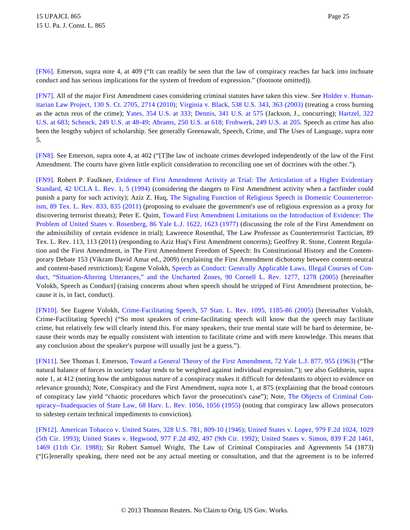<span id="page-24-0"></span>[\[FN6\]](#page-2-3). Emerson, supra note 4, at 409 ("It can readily be seen that the law of conspiracy reaches far back into inchoate conduct and has serious implications for the system of freedom of expression." (footnote omitted)).

<span id="page-24-1"></span>[\[FN7\]](#page-2-4). All of the major First Amendment cases considering criminal statutes have taken this view. See [Holder v. Human](http://www.westlaw.com/Find/Default.wl?rs=dfa1.0&vr=2.0&DB=0000708&FindType=Y&ReferencePositionType=S&SerialNum=2022339668&ReferencePosition=2714)[itarian Law Project, 130 S. Ct. 2705, 2714 \(2010](http://www.westlaw.com/Find/Default.wl?rs=dfa1.0&vr=2.0&DB=0000708&FindType=Y&ReferencePositionType=S&SerialNum=2022339668&ReferencePosition=2714)); [Virginia v. Black, 538 U.S. 343, 363 \(2003](http://www.westlaw.com/Find/Default.wl?rs=dfa1.0&vr=2.0&DB=0000780&FindType=Y&ReferencePositionType=S&SerialNum=2003269919&ReferencePosition=363)) (treating a cross burning as the actus reus of the crime); [Yates, 354 U.S. at 33](http://www.westlaw.com/Find/Default.wl?rs=dfa1.0&vr=2.0&DB=0000780&FindType=Y&ReferencePositionType=S&SerialNum=1957120376&ReferencePosition=333)3; [Dennis, 341 U.S. at 57](http://www.westlaw.com/Find/Default.wl?rs=dfa1.0&vr=2.0&DB=0000780&FindType=Y&ReferencePositionType=S&SerialNum=1951116953&ReferencePosition=575)5 (Jackson, J., concurring); [Hartzel, 322](http://www.westlaw.com/Find/Default.wl?rs=dfa1.0&vr=2.0&DB=0000780&FindType=Y&ReferencePositionType=S&SerialNum=1944115525&ReferencePosition=683) [U.S. at 683](http://www.westlaw.com/Find/Default.wl?rs=dfa1.0&vr=2.0&DB=0000780&FindType=Y&ReferencePositionType=S&SerialNum=1944115525&ReferencePosition=683); [Schenck, 249 U.S. at 48-49](http://www.westlaw.com/Find/Default.wl?rs=dfa1.0&vr=2.0&DB=0000780&FindType=Y&ReferencePositionType=S&SerialNum=1919100399&ReferencePosition=48); [Abrams, 250 U.S. at 618](http://www.westlaw.com/Find/Default.wl?rs=dfa1.0&vr=2.0&DB=0000780&FindType=Y&ReferencePositionType=S&SerialNum=1919100515&ReferencePosition=618); [Frohwerk, 249 U.S. at 205](http://www.westlaw.com/Find/Default.wl?rs=dfa1.0&vr=2.0&DB=0000780&FindType=Y&ReferencePositionType=S&SerialNum=1919100361&ReferencePosition=205). Speech as crime has also been the lengthy subject of scholarship. See generally Greenawalt, Speech, Crime, and The Uses of Language, supra note 5.

<span id="page-24-2"></span>[\[FN8\]](#page-2-5). See Emerson, supra note 4, at 402 ("[T]he law of inchoate crimes developed independently of the law of the First Amendment. The courts have given little explicit consideration to reconciling one set of doctrines with the other.").

<span id="page-24-3"></span>[\[FN9\]](#page-2-6). Robert P. Faulkner, [Evidence of First Amendment Activity at Trial: The Articulation of a Higher Evidenti](http://www.westlaw.com/Find/Default.wl?rs=dfa1.0&vr=2.0&DB=0003041&FindType=Y&ReferencePositionType=S&SerialNum=0108957234&ReferencePosition=5)ary [Standard, 42 UCLA L. Rev. 1, 5 \(1994](http://www.westlaw.com/Find/Default.wl?rs=dfa1.0&vr=2.0&DB=0003041&FindType=Y&ReferencePositionType=S&SerialNum=0108957234&ReferencePosition=5)) (considering the dangers to First Amendment activity when a factfinder could punish a party for such activity); Aziz Z. Huq, [The Signaling Function of Religious Speech in Domestic Counterterror](http://www.westlaw.com/Find/Default.wl?rs=dfa1.0&vr=2.0&DB=0001251&FindType=Y&ReferencePositionType=S&SerialNum=0361344680&ReferencePosition=835)[ism, 89 Tex. L. Rev. 833, 835 \(2011](http://www.westlaw.com/Find/Default.wl?rs=dfa1.0&vr=2.0&DB=0001251&FindType=Y&ReferencePositionType=S&SerialNum=0361344680&ReferencePosition=835)) (proposing to evaluate the government's use of religious expression as a proxy for discovering terrorist threats); Peter E. Quint, [Toward First Amendment Limitations on the Introduction of Evidence: The](http://www.westlaw.com/Find/Default.wl?rs=dfa1.0&vr=2.0&DB=0001292&FindType=Y&ReferencePositionType=S&SerialNum=0332793734&ReferencePosition=1623) [Problem of United States v. Rosenberg, 86 Yale L.J. 1622, 1623 \(1977](http://www.westlaw.com/Find/Default.wl?rs=dfa1.0&vr=2.0&DB=0001292&FindType=Y&ReferencePositionType=S&SerialNum=0332793734&ReferencePosition=1623)) (discussing the role of the First Amendment on the admissibility of certain evidence in trial); Lawrence Rosenthal, The Law Professor as Counterterrorist Tactician, 89 Tex. L. Rev. 113, 113 (2011) (responding to Aziz Huq's First Amendment concerns); Geoffrey R. Stone, Content Regulation and the First Amendment, in The First Amendment Freedom of Speech: Its Constitutional History and the Contemporary Debate 153 (Vikram David Amar ed., 2009) (explaining the First Amendment dichotomy between content-neutral and content-based restrictions); Eugene Volokh, [Speech as Conduct: Generally Applicable Laws, Illegal Courses of Con](http://www.westlaw.com/Find/Default.wl?rs=dfa1.0&vr=2.0&DB=0001111&FindType=Y&ReferencePositionType=S&SerialNum=0304801809&ReferencePosition=1278)[duct, "Situation-Altering Utterances," and the Uncharted Zones, 90 Cornell L. Rev. 1277, 1278](http://www.westlaw.com/Find/Default.wl?rs=dfa1.0&vr=2.0&DB=0001111&FindType=Y&ReferencePositionType=S&SerialNum=0304801809&ReferencePosition=1278) (2005) [hereinafter Volokh, Speech as Conduct] (raising concerns about when speech should be stripped of First Amendment protection, because it is, in fact, conduct).

<span id="page-24-4"></span>[\[FN10\]](#page-2-7). See Eugene Volokh, [Crime-Facilitating Speech, 57 Stan. L. Rev. 1095, 1185-86 \(20](http://www.westlaw.com/Find/Default.wl?rs=dfa1.0&vr=2.0&DB=0001239&FindType=Y&SerialNum=0303901703)05) [hereinafter Volokh, Crime-Facilitating Speech] ("So most speakers of crime-facilitating speech will know that the speech may facilitate crime, but relatively few will clearly intend this. For many speakers, their true mental state will be hard to determine, because their words may be equally consistent with intention to facilitate crime and with mere knowledge. This means that any conclusion about the speaker's purpose will usually just be a guess.").

<span id="page-24-5"></span>[\[FN11\]](#page-2-7). See Thomas I. Emerson, [Toward a General Theory of the First Amendment, 72 Yale L.J. 877, 955 \(1963](http://www.westlaw.com/Find/Default.wl?rs=dfa1.0&vr=2.0&DB=0001292&FindType=Y&SerialNum=0332779937)) ("The natural balance of forces in society today tends to be weighted against individual expression."); see also Goldstein, supra note 1, at 412 (noting how the ambiguous nature of a conspiracy makes it difficult for defendants to object to evidence on relevance grounds); Note, Conspiracy and the First Amendment, supra note 1, at 875 (explaining that the broad contours of conspiracy law yield "chaotic procedures which favor the prosecution's case"); Note, [The Objects of Criminal Con](http://www.westlaw.com/Find/Default.wl?rs=dfa1.0&vr=2.0&DB=0003084&FindType=Y&SerialNum=0110299608)[spiracy--Inadequacies of State Law, 68 Harv. L. Rev. 1056, 1056 \(1955](http://www.westlaw.com/Find/Default.wl?rs=dfa1.0&vr=2.0&DB=0003084&FindType=Y&SerialNum=0110299608)) (noting that conspiracy law allows prosecutors to sidestep certain technical impediments to conviction).

<span id="page-24-6"></span>[\[FN12\]](#page-2-8). [American Tobacco v. United States, 328 U.S. 781, 809-10 \(1946](http://www.westlaw.com/Find/Default.wl?rs=dfa1.0&vr=2.0&DB=0000780&FindType=Y&ReferencePositionType=S&SerialNum=1946112661&ReferencePosition=809)); [United States v. Lopez, 979 F.2d 1024, 1029](http://www.westlaw.com/Find/Default.wl?rs=dfa1.0&vr=2.0&DB=0000350&FindType=Y&ReferencePositionType=S&SerialNum=1992211516&ReferencePosition=1029) [\(5th Cir. 1993](http://www.westlaw.com/Find/Default.wl?rs=dfa1.0&vr=2.0&DB=0000350&FindType=Y&ReferencePositionType=S&SerialNum=1992211516&ReferencePosition=1029)); [United States v. Hegwood, 977 F.2d 492, 497 \(9th Cir. 199](http://www.westlaw.com/Find/Default.wl?rs=dfa1.0&vr=2.0&DB=0000350&FindType=Y&ReferencePositionType=S&SerialNum=1992176184&ReferencePosition=497)2); [United States v. Simon, 839 F.2d 1461](http://www.westlaw.com/Find/Default.wl?rs=dfa1.0&vr=2.0&DB=0000350&FindType=Y&ReferencePositionType=S&SerialNum=1988026630&ReferencePosition=1469), [1469 \(11th Cir. 198](http://www.westlaw.com/Find/Default.wl?rs=dfa1.0&vr=2.0&DB=0000350&FindType=Y&ReferencePositionType=S&SerialNum=1988026630&ReferencePosition=1469)8); Sir Robert Samuel Wright, The Law of Criminal Conspiracies and Agreements 54 (1873) ("[G]enerally speaking, there need not be any actual meeting or consultation, and that the agreement is to be inferred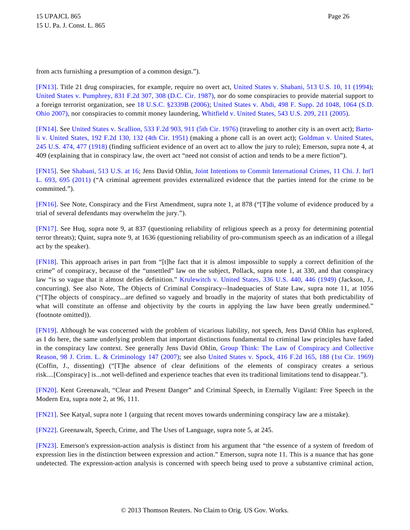from acts furnishing a presumption of a common design.").

<span id="page-25-0"></span>[\[FN13\]](#page-2-8). Title 21 drug conspiracies, for example, require no overt act, [United States v. Shabani, 513 U.S. 10, 11 \(1994](http://www.westlaw.com/Find/Default.wl?rs=dfa1.0&vr=2.0&DB=0000780&FindType=Y&ReferencePositionType=S&SerialNum=1994215758&ReferencePosition=11)); [United States v. Pumphrey, 831 F.2d 307, 308 \(D.C. Cir. 1987](http://www.westlaw.com/Find/Default.wl?rs=dfa1.0&vr=2.0&DB=0000350&FindType=Y&ReferencePositionType=S&SerialNum=1987122934&ReferencePosition=308)), nor do some conspiracies to provide material support to a foreign terrorist organization, see [18 U.S.C. §2339B \(2006](http://www.westlaw.com/Find/Default.wl?rs=dfa1.0&vr=2.0&DB=1000546&DocName=18USCAS2339B&FindType=L)); [United States v. Abdi, 498 F. Supp. 2d 1048, 1064 \(S.D](http://www.westlaw.com/Find/Default.wl?rs=dfa1.0&vr=2.0&DB=0004637&FindType=Y&ReferencePositionType=S&SerialNum=2012794447&ReferencePosition=1064). [Ohio 2007\)](http://www.westlaw.com/Find/Default.wl?rs=dfa1.0&vr=2.0&DB=0004637&FindType=Y&ReferencePositionType=S&SerialNum=2012794447&ReferencePosition=1064), nor conspiracies to commit money laundering, [Whitfield v. United States, 543 U.S. 209, 211 \(2005\)](http://www.westlaw.com/Find/Default.wl?rs=dfa1.0&vr=2.0&DB=0000780&FindType=Y&ReferencePositionType=S&SerialNum=2005945647&ReferencePosition=211).

<span id="page-25-1"></span>[\[FN14\]](#page-3-0). See [United States v. Scallion, 533 F.2d 903, 911 \(5th Cir. 1976](http://www.westlaw.com/Find/Default.wl?rs=dfa1.0&vr=2.0&DB=0000350&FindType=Y&ReferencePositionType=S&SerialNum=1976146038&ReferencePosition=911)) (traveling to another city is an overt act); [Barto](http://www.westlaw.com/Find/Default.wl?rs=dfa1.0&vr=2.0&DB=0000350&FindType=Y&ReferencePositionType=S&SerialNum=1951116300&ReferencePosition=132)[li v. United States, 192 F.2d 130, 132 \(4th Cir. 195](http://www.westlaw.com/Find/Default.wl?rs=dfa1.0&vr=2.0&DB=0000350&FindType=Y&ReferencePositionType=S&SerialNum=1951116300&ReferencePosition=132)1) (making a phone call is an overt act); [Goldman v. United States,](http://www.westlaw.com/Find/Default.wl?rs=dfa1.0&vr=2.0&DB=0000780&FindType=Y&ReferencePositionType=S&SerialNum=1918100320&ReferencePosition=477) [245 U.S. 474, 477 \(1918\)](http://www.westlaw.com/Find/Default.wl?rs=dfa1.0&vr=2.0&DB=0000780&FindType=Y&ReferencePositionType=S&SerialNum=1918100320&ReferencePosition=477) (finding sufficient evidence of an overt act to allow the jury to rule); Emerson, supra note 4, at 409 (explaining that in conspiracy law, the overt act "need not consist of action and tends to be a mere fiction").

<span id="page-25-2"></span>[\[FN15\]](#page-3-1). See [Shabani, 513 U.S. at 16](http://www.westlaw.com/Find/Default.wl?rs=dfa1.0&vr=2.0&DB=0000780&FindType=Y&ReferencePositionType=S&SerialNum=1994215758&ReferencePosition=16); Jens David Ohlin, [Joint Intentions to Commit International Crimes, 11 Chi. J. Int'](http://www.westlaw.com/Find/Default.wl?rs=dfa1.0&vr=2.0&DB=0127769&FindType=Y&ReferencePositionType=S&SerialNum=0358977272&ReferencePosition=695)l [L. 693, 695 \(2011](http://www.westlaw.com/Find/Default.wl?rs=dfa1.0&vr=2.0&DB=0127769&FindType=Y&ReferencePositionType=S&SerialNum=0358977272&ReferencePosition=695)) ("A criminal agreement provides externalized evidence that the parties intend for the crime to be committed.").

<span id="page-25-3"></span>[\[FN16\]](#page-3-2). See Note, Conspiracy and the First Amendment, supra note 1, at 878 ("[T]he volume of evidence produced by a trial of several defendants may overwhelm the jury.").

<span id="page-25-4"></span>[\[FN17\]](#page-3-3). See Huq, supra note 9, at 837 (questioning reliability of religious speech as a proxy for determining potential terror threats); Quint, supra note 9, at 1636 (questioning reliability of pro-communism speech as an indication of a illegal act by the speaker).

<span id="page-25-5"></span>[\[FN18\]](#page-3-4). This approach arises in part from "[t]he fact that it is almost impossible to supply a correct definition of the crime" of conspiracy, because of the "unsettled" law on the subject, Pollack, supra note 1, at 330, and that conspiracy law "is so vague that it almost defies definition." [Krulewitch v. United States, 336 U.S. 440, 446 \(194](http://www.westlaw.com/Find/Default.wl?rs=dfa1.0&vr=2.0&DB=0000780&FindType=Y&ReferencePositionType=S&SerialNum=1949117570&ReferencePosition=446)9) (Jackson, J., concurring). See also Note, The Objects of Criminal Conspiracy--Inadequacies of State Law, supra note 11, at 1056 ("[T]he objects of conspiracy...are defined so vaguely and broadly in the majority of states that both predictability of what will constitute an offense and objectivity by the courts in applying the law have been greatly undermined." (footnote omitted)).

<span id="page-25-6"></span>[\[FN19\]](#page-3-4). Although he was concerned with the problem of vicarious liability, not speech, Jens David Ohlin has explored, as I do here, the same underlying problem that important distinctions fundamental to criminal law principles have faded in the conspiracy law context. See generally Jens David Ohlin, [Group Think: The Law of Conspiracy and Collectiv](http://www.westlaw.com/Find/Default.wl?rs=dfa1.0&vr=2.0&DB=0001173&FindType=Y&SerialNum=0338533466)e [Reason, 98 J. Crim. L. & Criminology 147 \(200](http://www.westlaw.com/Find/Default.wl?rs=dfa1.0&vr=2.0&DB=0001173&FindType=Y&SerialNum=0338533466)7); see also [United States v. Spock, 416 F.2d 165, 188 \(1st Cir. 196](http://www.westlaw.com/Find/Default.wl?rs=dfa1.0&vr=2.0&DB=0000350&FindType=Y&ReferencePositionType=S&SerialNum=1969120268&ReferencePosition=188)9) (Coffin, J., dissenting) ("[T]he absence of clear definitions of the elements of conspiracy creates a serious risk....[Conspiracy] is...not well-defined and experience teaches that even its traditional limitations tend to disappear.").

<span id="page-25-7"></span>[\[FN20\]](#page-3-5). Kent Greenawalt, "Clear and Present Danger" and Criminal Speech, in Eternally Vigilant: Free Speech in the Modern Era, supra note 2, at 96, 111.

<span id="page-25-8"></span>[\[FN21\]](#page-3-6). See Katyal, supra note 1 (arguing that recent moves towards undermining conspiracy law are a mistake).

<span id="page-25-9"></span>[\[FN22\]](#page-3-7). Greenawalt, Speech, Crime, and The Uses of Language, supra note 5, at 245.

<span id="page-25-10"></span>[\[FN23\]](#page-3-8). Emerson's expression-action analysis is distinct from his argument that "the essence of a system of freedom of expression lies in the distinction between expression and action." Emerson, supra note 11. This is a nuance that has gone undetected. The expression-action analysis is concerned with speech being used to prove a substantive criminal action,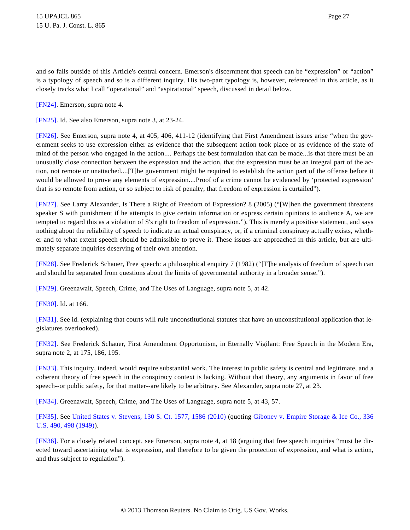and so falls outside of this Article's central concern. Emerson's discernment that speech can be "expression" or "action" is a typology of speech and so is a different inquiry. His two-part typology is, however, referenced in this article, as it closely tracks what I call "operational" and "aspirational" speech, discussed in detail below.

<span id="page-26-0"></span>[\[FN24\]](#page-3-9). Emerson, supra note 4.

<span id="page-26-1"></span>[\[FN25\]](#page-3-10). Id. See also Emerson, supra note 3, at 23-24.

<span id="page-26-2"></span>[\[FN26\]](#page-3-11). See Emerson, supra note 4, at 405, 406, 411-12 (identifying that First Amendment issues arise "when the government seeks to use expression either as evidence that the subsequent action took place or as evidence of the state of mind of the person who engaged in the action.... Perhaps the best formulation that can be made...is that there must be an unusually close connection between the expression and the action, that the expression must be an integral part of the action, not remote or unattached....[T]he government might be required to establish the action part of the offense before it would be allowed to prove any elements of expression....Proof of a crime cannot be evidenced by 'protected expression' that is so remote from action, or so subject to risk of penalty, that freedom of expression is curtailed").

<span id="page-26-3"></span>[\[FN27\]](#page-3-12). See Larry Alexander, Is There a Right of Freedom of Expression? 8 (2005) ("[W]hen the government threatens speaker S with punishment if he attempts to give certain information or express certain opinions to audience A, we are tempted to regard this as a violation of S's right to freedom of expression."). This is merely a positive statement, and says nothing about the reliability of speech to indicate an actual conspiracy, or, if a criminal conspiracy actually exists, whether and to what extent speech should be admissible to prove it. These issues are approached in this article, but are ultimately separate inquiries deserving of their own attention.

<span id="page-26-4"></span>[\[FN28\]](#page-3-13). See Frederick Schauer, Free speech: a philosophical enquiry 7 (1982) ("[T]he analysis of freedom of speech can and should be separated from questions about the limits of governmental authority in a broader sense.").

<span id="page-26-5"></span>[\[FN29\]](#page-3-14). Greenawalt, Speech, Crime, and The Uses of Language, supra note 5, at 42.

<span id="page-26-6"></span>[\[FN30\]](#page-3-15). Id. at 166.

<span id="page-26-7"></span>[\[FN31\]](#page-3-16). See id. (explaining that courts will rule unconstitutional statutes that have an unconstitutional application that legislatures overlooked).

<span id="page-26-8"></span>[\[FN32\]](#page-3-17). See Frederick Schauer, First Amendment Opportunism, in Eternally Vigilant: Free Speech in the Modern Era, supra note 2, at 175, 186, 195.

<span id="page-26-9"></span>[\[FN33\]](#page-3-17). This inquiry, indeed, would require substantial work. The interest in public safety is central and legitimate, and a coherent theory of free speech in the conspiracy context is lacking. Without that theory, any arguments in favor of free speech--or public safety, for that matter--are likely to be arbitrary. See Alexander, supra note 27, at 23.

<span id="page-26-10"></span>[\[FN34\]](#page-3-18). Greenawalt, Speech, Crime, and The Uses of Language, supra note 5, at 43, 57.

<span id="page-26-11"></span>[\[FN35\]](#page-3-19). See [United States v. Stevens, 130 S. Ct. 1577, 1586 \(2010](http://www.westlaw.com/Find/Default.wl?rs=dfa1.0&vr=2.0&DB=0000708&FindType=Y&ReferencePositionType=S&SerialNum=2021786171&ReferencePosition=1586)) (quoting [Giboney v. Empire Storage & Ice Co., 336](http://www.westlaw.com/Find/Default.wl?rs=dfa1.0&vr=2.0&DB=0000780&FindType=Y&ReferencePositionType=S&SerialNum=1949117033&ReferencePosition=498) [U.S. 490, 498 \(1949\)](http://www.westlaw.com/Find/Default.wl?rs=dfa1.0&vr=2.0&DB=0000780&FindType=Y&ReferencePositionType=S&SerialNum=1949117033&ReferencePosition=498)).

<span id="page-26-12"></span>[\[FN36\]](#page-3-20). For a closely related concept, see Emerson, supra note 4, at 18 (arguing that free speech inquiries "must be directed toward ascertaining what is expression, and therefore to be given the protection of expression, and what is action, and thus subject to regulation").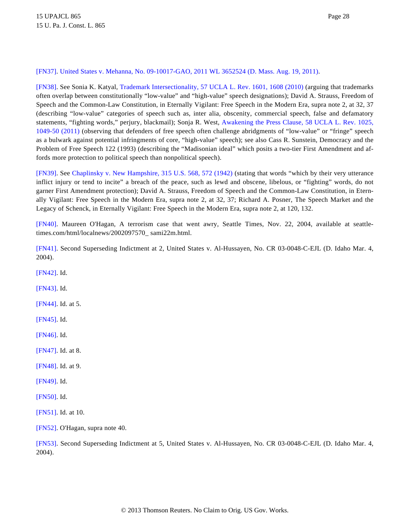# <span id="page-27-0"></span>[\[FN37\]](#page-4-0). [United States v. Mehanna, No. 09-10017-GAO, 2011 WL 3652524 \(D. Mass. Aug. 19, 2011\)](http://www.westlaw.com/Find/Default.wl?rs=dfa1.0&vr=2.0&DB=0000999&FindType=Y&SerialNum=2025913008).

<span id="page-27-1"></span>[\[FN38\]](#page-4-1). See Sonia K. Katyal, [Trademark Intersectionality, 57 UCLA L. Rev. 1601, 1608 \(2010\)](http://www.westlaw.com/Find/Default.wl?rs=dfa1.0&vr=2.0&DB=0003041&FindType=Y&ReferencePositionType=S&SerialNum=0355032278&ReferencePosition=1608) (arguing that trademarks often overlap between constitutionally "low-value" and "high-value" speech designations); David A. Strauss, Freedom of Speech and the Common-Law Constitution, in Eternally Vigilant: Free Speech in the Modern Era, supra note 2, at 32, 37 (describing "low-value" categories of speech such as, inter alia, obscenity, commercial speech, false and defamatory statements, "fighting words," perjury, blackmail); Sonja R. West, [Awakening the Press Clause, 58 UCLA L. Rev. 1025](http://www.westlaw.com/Find/Default.wl?rs=dfa1.0&vr=2.0&DB=0003041&FindType=Y&ReferencePositionType=S&SerialNum=0363471332&ReferencePosition=1049), [1049-50 \(2011\)](http://www.westlaw.com/Find/Default.wl?rs=dfa1.0&vr=2.0&DB=0003041&FindType=Y&ReferencePositionType=S&SerialNum=0363471332&ReferencePosition=1049) (observing that defenders of free speech often challenge abridgments of "low-value" or "fringe" speech as a bulwark against potential infringments of core, "high-value" speech); see also Cass R. Sunstein, Democracy and the Problem of Free Speech 122 (1993) (describing the "Madisonian ideal" which posits a two-tier First Amendment and affords more protection to political speech than nonpolitical speech).

<span id="page-27-2"></span>[\[FN39\]](#page-4-2). See [Chaplinsky v. New Hampshire, 315 U.S. 568, 572 \(1942](http://www.westlaw.com/Find/Default.wl?rs=dfa1.0&vr=2.0&DB=0000780&FindType=Y&ReferencePositionType=S&SerialNum=1942122060&ReferencePosition=572)) (stating that words "which by their very utterance inflict injury or tend to incite" a breach of the peace, such as lewd and obscene, libelous, or "fighting" words, do not garner First Amendment protection); David A. Strauss, Freedom of Speech and the Common-Law Constitution, in Eternally Vigilant: Free Speech in the Modern Era, supra note 2, at 32, 37; Richard A. Posner, The Speech Market and the Legacy of Schenck, in Eternally Vigilant: Free Speech in the Modern Era, supra note 2, at 120, 132.

<span id="page-27-3"></span>[\[FN40\]](#page-4-3). Maureen O'Hagan, A terrorism case that went awry, Seattle Times, Nov. 22, 2004, available at seattletimes.com/html/localnews/2002097570\_ sami22m.html.

<span id="page-27-4"></span>[\[FN41\]](#page-4-4). Second Superseding Indictment at 2, United States v. Al-Hussayen, No. CR 03-0048-C-EJL (D. Idaho Mar. 4, 2004).

<span id="page-27-5"></span>[\[FN42\]](#page-4-5). Id.

<span id="page-27-6"></span>[\[FN43\]](#page-4-6). Id.

<span id="page-27-7"></span>[\[FN44\]](#page-4-7). Id. at 5.

<span id="page-27-8"></span>[\[FN45\]](#page-4-8). Id.

<span id="page-27-9"></span>[\[FN46\]](#page-4-9). Id.

<span id="page-27-10"></span>[\[FN47\]](#page-4-10). Id. at 8.

<span id="page-27-11"></span>[\[FN48\]](#page-4-11). Id. at 9.

<span id="page-27-12"></span>[\[FN49\]](#page-4-12). Id.

<span id="page-27-13"></span>[\[FN50\]](#page-4-12). Id.

<span id="page-27-14"></span>[\[FN51\]](#page-4-13). Id. at 10.

<span id="page-27-15"></span>[\[FN52\]](#page-5-0). O'Hagan, supra note 40.

<span id="page-27-16"></span>[\[FN53\]](#page-5-1). Second Superseding Indictment at 5, United States v. Al-Hussayen, No. CR 03-0048-C-EJL (D. Idaho Mar. 4, 2004).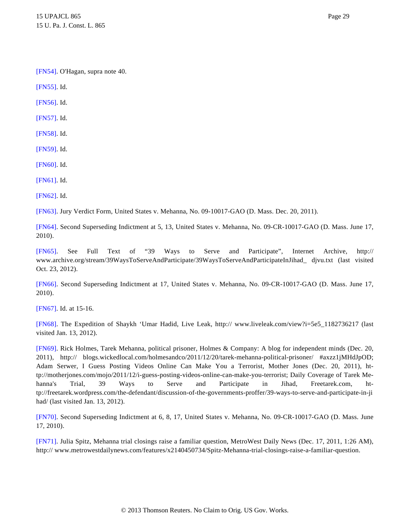<span id="page-28-0"></span>[\[FN54\]](#page-5-2). O'Hagan, supra note 40.

<span id="page-28-1"></span>[\[FN55\]](#page-5-3). Id.

<span id="page-28-2"></span>[\[FN56\]](#page-5-4). Id.

<span id="page-28-3"></span>[\[FN57\]](#page-5-5). Id.

<span id="page-28-4"></span>[\[FN58\]](#page-5-6). Id.

<span id="page-28-5"></span>[\[FN59\]](#page-5-7). Id.

<span id="page-28-6"></span>[\[FN60\]](#page-5-8). Id.

<span id="page-28-7"></span>[\[FN61\]](#page-5-9). Id.

<span id="page-28-8"></span>[\[FN62\]](#page-5-10). Id.

<span id="page-28-9"></span>[\[FN63\]](#page-5-11). Jury Verdict Form, United States v. Mehanna, No. 09-10017-GAO (D. Mass. Dec. 20, 2011).

<span id="page-28-10"></span>[\[FN64\]](#page-5-12). Second Superseding Indictment at 5, 13, United States v. Mehanna, No. 09-CR-10017-GAO (D. Mass. June 17, 2010).

<span id="page-28-11"></span>[\[FN65\]](#page-5-13). See Full Text of "39 Ways to Serve and Participate", Internet Archive, http:// www.archive.org/stream/39WaysToServeAndParticipate/39WaysToServeAndParticipateInJihad\_ djvu.txt (last visited Oct. 23, 2012).

<span id="page-28-12"></span>[\[FN66\]](#page-5-13). Second Superseding Indictment at 17, United States v. Mehanna, No. 09-CR-10017-GAO (D. Mass. June 17, 2010).

<span id="page-28-13"></span>[\[FN67\]](#page-5-14). Id. at 15-16.

<span id="page-28-14"></span>[\[FN68\]](#page-5-14). The Expedition of Shaykh 'Umar Hadid, Live Leak, http:// www.liveleak.com/view?i=5e5\_1182736217 (last visited Jan. 13, 2012).

<span id="page-28-15"></span>[\[FN69\]](#page-5-15). Rick Holmes, Tarek Mehanna, political prisoner, Holmes & Company: A blog for independent minds (Dec. 20, 2011), http:// blogs.wickedlocal.com/holmesandco/2011/12/20/tarek-mehanna-political-prisoner/ #axzz1jMHdJpOD; Adam Serwer, I Guess Posting Videos Online Can Make You a Terrorist, Mother Jones (Dec. 20, 2011), http://motherjones.com/mojo/2011/12/i-guess-posting-videos-online-can-make-you-terrorist; Daily Coverage of Tarek Mehanna's Trial, 39 Ways to Serve and Participate in Jihad, Freetarek.com, http://freetarek.wordpress.com/the-defendant/discussion-of-the-governments-proffer/39-ways-to-serve-and-participate-in-ji had/ (last visited Jan. 13, 2012).

<span id="page-28-16"></span>[\[FN70\]](#page-5-16). Second Superseding Indictment at 6, 8, 17, United States v. Mehanna, No. 09-CR-10017-GAO (D. Mass. June 17, 2010).

<span id="page-28-17"></span>[\[FN71\]](#page-5-17). Julia Spitz, Mehanna trial closings raise a familiar question, MetroWest Daily News (Dec. 17, 2011, 1:26 AM), http:// www.metrowestdailynews.com/features/x2140450734/Spitz-Mehanna-trial-closings-raise-a-familiar-question.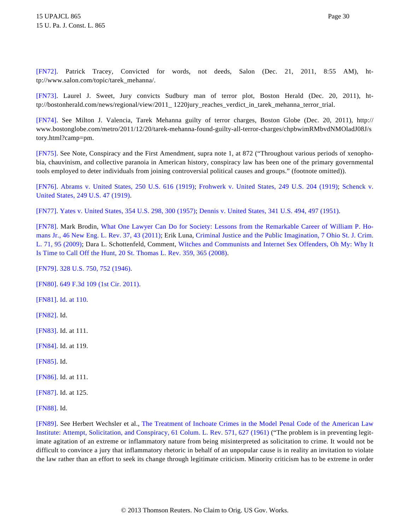<span id="page-29-0"></span>[\[FN72\]](#page-5-17). Patrick Tracey, Convicted for words, not deeds, Salon (Dec. 21, 2011, 8:55 AM), http://www.salon.com/topic/tarek\_mehanna/.

<span id="page-29-1"></span>[\[FN73\]](#page-5-17). Laurel J. Sweet, Jury convicts Sudbury man of terror plot, Boston Herald (Dec. 20, 2011), http://bostonherald.com/news/regional/view/2011\_ 1220jury\_reaches\_verdict\_in\_tarek\_mehanna\_terror\_trial.

<span id="page-29-2"></span>[\[FN74\]](#page-5-18). See Milton J. Valencia, Tarek Mehanna guilty of terror charges, Boston Globe (Dec. 20, 2011), http:// www.bostonglobe.com/metro/2011/12/20/tarek-mehanna-found-guilty-all-terror-charges/chpbwimRMbvdNMOladJ08J/s tory.html?camp=pm.

<span id="page-29-3"></span>[\[FN75\]](#page-6-0). See Note, Conspiracy and the First Amendment, supra note 1, at 872 ("Throughout various periods of xenophobia, chauvinism, and collective paranoia in American history, conspiracy law has been one of the primary governmental tools employed to deter individuals from joining controversial political causes and groups." (footnote omitted)).

<span id="page-29-4"></span>[\[FN76\]](#page-6-1). [Abrams v. United States, 250 U.S. 616 \(191](http://www.westlaw.com/Find/Default.wl?rs=dfa1.0&vr=2.0&DB=0000780&FindType=Y&SerialNum=1919100515)9); [Frohwerk v. United States, 249 U.S. 204 \(191](http://www.westlaw.com/Find/Default.wl?rs=dfa1.0&vr=2.0&DB=0000780&FindType=Y&SerialNum=1919100361)9); [Schenck v.](http://www.westlaw.com/Find/Default.wl?rs=dfa1.0&vr=2.0&DB=0000780&FindType=Y&SerialNum=1919100399) [United States, 249 U.S. 47 \(1919\)](http://www.westlaw.com/Find/Default.wl?rs=dfa1.0&vr=2.0&DB=0000780&FindType=Y&SerialNum=1919100399).

<span id="page-29-5"></span>[\[FN77\]](#page-6-1). [Yates v. United States, 354 U.S. 298, 300 \(1957\)](http://www.westlaw.com/Find/Default.wl?rs=dfa1.0&vr=2.0&DB=0000780&FindType=Y&ReferencePositionType=S&SerialNum=1957120376&ReferencePosition=300); [Dennis v. United States, 341 U.S. 494, 497 \(1951\)](http://www.westlaw.com/Find/Default.wl?rs=dfa1.0&vr=2.0&DB=0000780&FindType=Y&ReferencePositionType=S&SerialNum=1951116953&ReferencePosition=497).

<span id="page-29-6"></span>[\[FN78\]](#page-6-2). Mark Brodin, [What One Lawyer Can Do for Society: Lessons from the Remarkable Career of William P. H](http://www.westlaw.com/Find/Default.wl?rs=dfa1.0&vr=2.0&DB=0002609&FindType=Y&ReferencePositionType=S&SerialNum=0368592625&ReferencePosition=43)o[mans Jr., 46 New Eng. L. Rev. 37, 43 \(2011\)](http://www.westlaw.com/Find/Default.wl?rs=dfa1.0&vr=2.0&DB=0002609&FindType=Y&ReferencePositionType=S&SerialNum=0368592625&ReferencePosition=43); Erik Luna, [Criminal Justice and the Public Imagination, 7 Ohio St. J. Crim.](http://www.westlaw.com/Find/Default.wl?rs=dfa1.0&vr=2.0&DB=0167584&FindType=Y&ReferencePositionType=S&SerialNum=0348754848&ReferencePosition=95) [L. 71, 95 \(2009\)](http://www.westlaw.com/Find/Default.wl?rs=dfa1.0&vr=2.0&DB=0167584&FindType=Y&ReferencePositionType=S&SerialNum=0348754848&ReferencePosition=95); Dara L. Schottenfeld, Comment, [Witches and Communists and Internet Sex Offenders, Oh My: Why It](http://www.westlaw.com/Find/Default.wl?rs=dfa1.0&vr=2.0&DB=0101882&FindType=Y&ReferencePositionType=S&SerialNum=0338786244&ReferencePosition=365) [Is Time to Call Off the Hunt, 20 St. Thomas L. Rev. 359, 365 \(2008\)](http://www.westlaw.com/Find/Default.wl?rs=dfa1.0&vr=2.0&DB=0101882&FindType=Y&ReferencePositionType=S&SerialNum=0338786244&ReferencePosition=365).

<span id="page-29-7"></span>[\[FN79\]](#page-6-3). [328 U.S. 750, 752 \(1946\)](http://www.westlaw.com/Find/Default.wl?rs=dfa1.0&vr=2.0&DB=0000780&FindType=Y&ReferencePositionType=S&SerialNum=1946114131&ReferencePosition=752).

<span id="page-29-8"></span>[\[FN80\]](#page-6-4). [649 F.3d 109 \(1st Cir. 2011\)](http://www.westlaw.com/Find/Default.wl?rs=dfa1.0&vr=2.0&DB=0000506&FindType=Y&SerialNum=2025871586).

<span id="page-29-9"></span>[\[FN81\]](#page-6-5). [Id. at 110](http://www.westlaw.com/Find/Default.wl?rs=dfa1.0&vr=2.0&DB=0000506&FindType=Y&ReferencePositionType=S&SerialNum=2025871586&ReferencePosition=110).

<span id="page-29-10"></span>[\[FN82\]](#page-6-6). Id.

<span id="page-29-11"></span>[\[FN83\]](#page-6-6). Id. at 111.

<span id="page-29-12"></span>[\[FN84\]](#page-6-7). Id. at 119.

<span id="page-29-13"></span>[\[FN85\]](#page-6-8). Id.

<span id="page-29-14"></span>[\[FN86\]](#page-6-8). Id. at 111.

<span id="page-29-15"></span>[\[FN87\]](#page-6-9). Id. at 125.

<span id="page-29-16"></span>[\[FN88\]](#page-6-10). Id.

<span id="page-29-17"></span>[\[FN89\]](#page-6-11). See Herbert Wechsler et al., [The Treatment of Inchoate Crimes in the Model Penal Code of the American La](http://www.westlaw.com/Find/Default.wl?rs=dfa1.0&vr=2.0&DB=0003050&FindType=Y&ReferencePositionType=S&SerialNum=0341609970&ReferencePosition=627)w [Institute: Attempt, Solicitation, and Conspiracy, 61 Colum. L. Rev. 571, 627 \(1961\)](http://www.westlaw.com/Find/Default.wl?rs=dfa1.0&vr=2.0&DB=0003050&FindType=Y&ReferencePositionType=S&SerialNum=0341609970&ReferencePosition=627) ("The problem is in preventing legitimate agitation of an extreme or inflammatory nature from being misinterpreted as solicitation to crime. It would not be difficult to convince a jury that inflammatory rhetoric in behalf of an unpopular cause is in reality an invitation to violate the law rather than an effort to seek its change through legitimate criticism. Minority criticism has to be extreme in order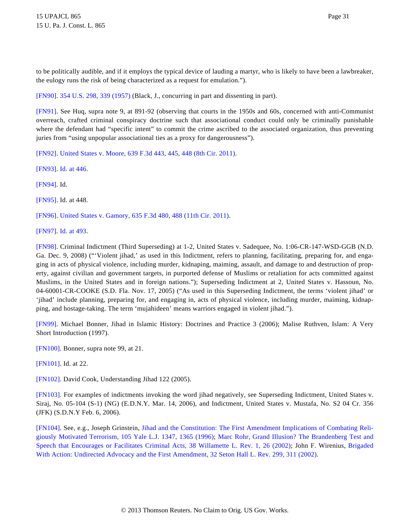to be politically audible, and if it employs the typical device of lauding a martyr, who is likely to have been a lawbreaker, the eulogy runs the risk of being characterized as a request for emulation.").

<span id="page-30-0"></span>[\[FN90\]](#page-6-12). [354 U.S. 298, 339 \(1957\)](http://www.westlaw.com/Find/Default.wl?rs=dfa1.0&vr=2.0&DB=0000780&FindType=Y&ReferencePositionType=S&SerialNum=1957120376&ReferencePosition=339) (Black, J., concurring in part and dissenting in part).

<span id="page-30-1"></span>[\[FN91\]](#page-7-0). See Huq, supra note 9, at 891-92 (observing that courts in the 1950s and 60s, concerned with anti-Communist overreach, crafted criminal conspiracy doctrine such that associational conduct could only be criminally punishable where the defendant had "specific intent" to commit the crime ascribed to the associated organization, thus preventing juries from "using unpopular associational ties as a proxy for dangerousness").

<span id="page-30-2"></span>[\[FN92\]](#page-7-1). [United States v. Moore, 639 F.3d 443, 445, 448 \(8th Cir. 2011\)](http://www.westlaw.com/Find/Default.wl?rs=dfa1.0&vr=2.0&DB=0000506&FindType=Y&ReferencePositionType=S&SerialNum=2024950813&ReferencePosition=445).

<span id="page-30-3"></span>[\[FN93\]](#page-7-2). [Id. at 446](http://www.westlaw.com/Find/Default.wl?rs=dfa1.0&vr=2.0&DB=0000506&FindType=Y&ReferencePositionType=S&SerialNum=2024950813&ReferencePosition=446).

<span id="page-30-4"></span>[\[FN94\]](#page-7-3). Id.

<span id="page-30-5"></span>[\[FN95\]](#page-7-4). Id. at 448.

<span id="page-30-6"></span>[\[FN96\]](#page-7-5). [United States v. Gamory, 635 F.3d 480, 488 \(11th Cir. 2011\)](http://www.westlaw.com/Find/Default.wl?rs=dfa1.0&vr=2.0&DB=0000506&FindType=Y&ReferencePositionType=S&SerialNum=2024764863&ReferencePosition=488).

<span id="page-30-7"></span>[\[FN97\]](#page-7-6). [Id. at 493](http://www.westlaw.com/Find/Default.wl?rs=dfa1.0&vr=2.0&DB=0000506&FindType=Y&ReferencePositionType=S&SerialNum=2024764863&ReferencePosition=493).

<span id="page-30-8"></span>[\[FN98\]](#page-7-7). Criminal Indictment (Third Superseding) at 1-2, United States v. Sadequee, No. 1:06-CR-147-WSD-GGB (N.D. Ga. Dec. 9, 2008) ("'Violent jihad,' as used in this Indictment, refers to planning, facilitating, preparing for, and engaging in acts of physical violence, including murder, kidnaping, maiming, assault, and damage to and destruction of property, against civilian and government targets, in purported defense of Muslims or retaliation for acts committed against Muslims, in the United States and in foreign nations."); Superseding Indictment at 2, United States v. Hassoun, No. 04-60001-CR-COOKE (S.D. Fla. Nov. 17, 2005) ("As used in this Superseding Indictment, the terms 'violent jihad' or 'jihad' include planning, preparing for, and engaging in, acts of physical violence, including murder, maiming, kidnapping, and hostage-taking. The term 'mujahideen' means warriors engaged in violent jihad.").

<span id="page-30-9"></span>[\[FN99\]](#page-7-8). Michael Bonner, Jihad in Islamic History: Doctrines and Practice 3 (2006); Malise Ruthven, Islam: A Very Short Introduction (1997).

<span id="page-30-10"></span>[\[FN100\]](#page-7-8). Bonner, supra note 99, at 21.

<span id="page-30-11"></span>[\[FN101\]](#page-7-9). Id. at 22.

<span id="page-30-12"></span>[\[FN102\]](#page-7-10). David Cook, Understanding Jihad 122 (2005).

<span id="page-30-13"></span>[\[FN103\]](#page-7-11). For examples of indictments invoking the word jihad negatively, see Superseding Indictment, United States v. Siraj, No. 05-104 (S-1) (NG) (E.D.N.Y. Mar. 14, 2006), and Indictment, United States v. Mustafa, No. S2 04 Cr. 356 (JFK) (S.D.N.Y Feb. 6, 2006).

<span id="page-30-14"></span>[\[FN104\]](#page-7-11). See, e.g., Joseph Grinstein, [Jihad and the Constitution: The First Amendment Implications of Combating Reli](http://www.westlaw.com/Find/Default.wl?rs=dfa1.0&vr=2.0&DB=0001292&FindType=Y&ReferencePositionType=S&SerialNum=0106125590&ReferencePosition=1365)[giously Motivated Terrorism, 105 Yale L.J. 1347, 1365 \(1996](http://www.westlaw.com/Find/Default.wl?rs=dfa1.0&vr=2.0&DB=0001292&FindType=Y&ReferencePositionType=S&SerialNum=0106125590&ReferencePosition=1365)); [Marc Rohr, Grand Illusion? The Brandenberg Test and](http://www.westlaw.com/Find/Default.wl?rs=dfa1.0&vr=2.0&DB=0001288&FindType=Y&ReferencePositionType=S&SerialNum=0288121579&ReferencePosition=26) [Speech that Encourages or Facilitates Criminal Acts, 38 Willamette L. Rev. 1, 26 \(20](http://www.westlaw.com/Find/Default.wl?rs=dfa1.0&vr=2.0&DB=0001288&FindType=Y&ReferencePositionType=S&SerialNum=0288121579&ReferencePosition=26)02); John F. Wirenius, [Brigaded](http://www.westlaw.com/Find/Default.wl?rs=dfa1.0&vr=2.0&DB=0001234&FindType=Y&ReferencePositionType=S&SerialNum=0292126612&ReferencePosition=311) [With Action: Undirected Advocacy and the First Amendment, 32 Seton Hall L. Rev. 299, 311 \(2002\)](http://www.westlaw.com/Find/Default.wl?rs=dfa1.0&vr=2.0&DB=0001234&FindType=Y&ReferencePositionType=S&SerialNum=0292126612&ReferencePosition=311).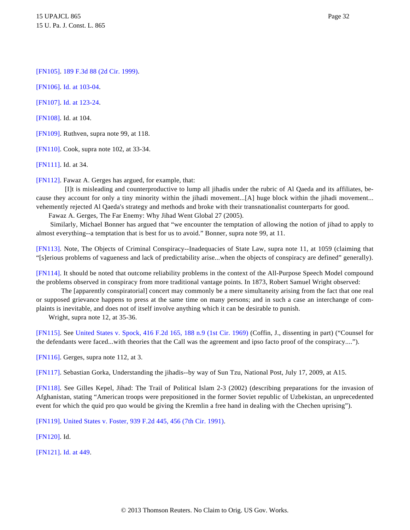<span id="page-31-0"></span>[\[FN105\]](#page-7-12). [189 F.3d 88 \(2d Cir. 1999\)](http://www.westlaw.com/Find/Default.wl?rs=dfa1.0&vr=2.0&DB=0000506&FindType=Y&SerialNum=1999195038).

<span id="page-31-1"></span>[\[FN106\]](#page-7-13). [Id. at 103-04](http://www.westlaw.com/Find/Default.wl?rs=dfa1.0&vr=2.0&DB=0000506&FindType=Y&ReferencePositionType=S&SerialNum=1999195038&ReferencePosition=103).

<span id="page-31-2"></span>[\[FN107\]](#page-7-14). [Id. at 123-24](http://www.westlaw.com/Find/Default.wl?rs=dfa1.0&vr=2.0&DB=0000506&FindType=Y&ReferencePositionType=S&SerialNum=1999195038&ReferencePosition=123).

<span id="page-31-3"></span>[\[FN108\]](#page-7-15). Id. at 104.

<span id="page-31-4"></span>[\[FN109\]](#page-7-16). Ruthven, supra note 99, at 118.

<span id="page-31-5"></span>[\[FN110\]](#page-7-17). Cook, supra note 102, at 33-34.

<span id="page-31-6"></span>[\[FN111\]](#page-7-18). Id. at 34.

<span id="page-31-7"></span>[\[FN112\]](#page-7-19). Fawaz A. Gerges has argued, for example, that:

[I]t is misleading and counterproductive to lump all jihadis under the rubric of Al Qaeda and its affiliates, because they account for only a tiny minority within the jihadi movement...[A] huge block within the jihadi movement... vehemently rejected Al Qaeda's strategy and methods and broke with their transnationalist counterparts for good.

Fawaz A. Gerges, The Far Enemy: Why Jihad Went Global 27 (2005).

Similarly, Michael Bonner has argued that "we encounter the temptation of allowing the notion of jihad to apply to almost everything--a temptation that is best for us to avoid." Bonner, supra note 99, at 11.

<span id="page-31-8"></span>[\[FN113\]](#page-7-20). Note, The Objects of Criminal Conspiracy--Inadequacies of State Law, supra note 11, at 1059 (claiming that "[s]erious problems of vagueness and lack of predictability arise...when the objects of conspiracy are defined" generally).

<span id="page-31-9"></span>[\[FN114\]](#page-7-21). It should be noted that outcome reliability problems in the context of the All-Purpose Speech Model compound the problems observed in conspiracy from more traditional vantage points. In 1873, Robert Samuel Wright observed:

The [apparently conspiratorial] concert may commonly be a mere simultaneity arising from the fact that one real or supposed grievance happens to press at the same time on many persons; and in such a case an interchange of complaints is inevitable, and does not of itself involve anything which it can be desirable to punish.

Wright, supra note 12, at 35-36.

<span id="page-31-10"></span>[\[FN115\]](#page-7-22). See [United States v. Spock, 416 F.2d 165, 188 n.9 \(1st Cir. 1969](http://www.westlaw.com/Find/Default.wl?rs=dfa1.0&vr=2.0&DB=0000350&FindType=Y&ReferencePositionType=S&SerialNum=1969120268&ReferencePosition=188)) (Coffin, J., dissenting in part) ("Counsel for the defendants were faced...with theories that the Call was the agreement and ipso facto proof of the conspiracy....").

<span id="page-31-11"></span>[\[FN116\]](#page-8-0). Gerges, supra note 112, at 3.

<span id="page-31-12"></span>[\[FN117\]](#page-8-1). Sebastian Gorka, Understanding the jihadis--by way of Sun Tzu, National Post, July 17, 2009, at A15.

<span id="page-31-13"></span>[\[FN118\]](#page-8-2). See Gilles Kepel, Jihad: The Trail of Political Islam 2-3 (2002) (describing preparations for the invasion of Afghanistan, stating "American troops were prepositioned in the former Soviet republic of Uzbekistan, an unprecedented event for which the quid pro quo would be giving the Kremlin a free hand in dealing with the Chechen uprising").

<span id="page-31-14"></span>[\[FN119\]](#page-8-3). [United States v. Foster, 939 F.2d 445, 456 \(7th Cir. 1991\)](http://www.westlaw.com/Find/Default.wl?rs=dfa1.0&vr=2.0&DB=0000350&FindType=Y&ReferencePositionType=S&SerialNum=1991136255&ReferencePosition=456).

<span id="page-31-15"></span>[\[FN120\]](#page-8-4). Id.

<span id="page-31-16"></span>[\[FN121\]](#page-8-5). [Id. at 449](http://www.westlaw.com/Find/Default.wl?rs=dfa1.0&vr=2.0&DB=0000350&FindType=Y&ReferencePositionType=S&SerialNum=1991136255&ReferencePosition=449).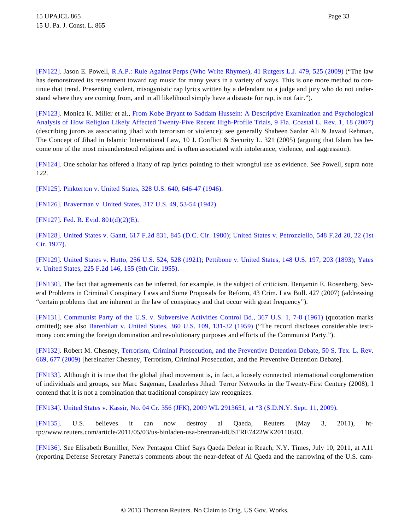<span id="page-32-0"></span>[\[FN122\]](#page-8-6). Jason E. Powell, [R.A.P.: Rule Against Perps \(Who Write Rhymes\), 41 Rutgers L.J. 479, 525 \(2009](http://www.westlaw.com/Find/Default.wl?rs=dfa1.0&vr=2.0&DB=0001226&FindType=Y&ReferencePositionType=S&SerialNum=0359845218&ReferencePosition=525)) ("The law has demonstrated its resentment toward rap music for many years in a variety of ways. This is one more method to continue that trend. Presenting violent, misogynistic rap lyrics written by a defendant to a judge and jury who do not understand where they are coming from, and in all likelihood simply have a distaste for rap, is not fair.").

<span id="page-32-1"></span>[\[FN123\]](#page-8-7). Monica K. Miller et al., [From Kobe Bryant to Saddam Hussein: A Descriptive Examination and Psychologica](http://www.westlaw.com/Find/Default.wl?rs=dfa1.0&vr=2.0&DB=0186530&FindType=Y&ReferencePositionType=S&SerialNum=0335525396&ReferencePosition=18)l [Analysis of How Religion Likely Affected Twenty-Five Recent High-Profile Trials, 9 Fla. Coastal L. Rev. 1, 18 \(200](http://www.westlaw.com/Find/Default.wl?rs=dfa1.0&vr=2.0&DB=0186530&FindType=Y&ReferencePositionType=S&SerialNum=0335525396&ReferencePosition=18)7) (describing jurors as associating jihad with terrorism or violence); see generally Shaheen Sardar Ali & Javaid Rehman, The Concept of Jihad in Islamic International Law, 10 J. Conflict & Security L. 321 (2005) (arguing that Islam has become one of the most misunderstood religions and is often associated with intolerance, violence, and aggression).

<span id="page-32-2"></span>[\[FN124\]](#page-8-7). One scholar has offered a litany of rap lyrics pointing to their wrongful use as evidence. See Powell, supra note 122.

<span id="page-32-3"></span>[\[FN125\]](#page-8-8). [Pinkterton v. United States, 328 U.S. 640, 646-47 \(1946\)](http://www.westlaw.com/Find/Default.wl?rs=dfa1.0&vr=2.0&DB=0000780&FindType=Y&ReferencePositionType=S&SerialNum=1946114732&ReferencePosition=646).

<span id="page-32-4"></span>[\[FN126\]](#page-8-8). [Braverman v. United States, 317 U.S. 49, 53-54 \(1942\)](http://www.westlaw.com/Find/Default.wl?rs=dfa1.0&vr=2.0&DB=0000780&FindType=Y&ReferencePositionType=S&SerialNum=1942117912&ReferencePosition=53).

<span id="page-32-5"></span>[\[FN127\]](#page-8-8). [Fed. R. Evid. 801\(d\)\(2\)\(E\)](http://www.westlaw.com/Find/Default.wl?rs=dfa1.0&vr=2.0&DB=1000607&DocName=USFRER801&FindType=L&ReferencePositionType=T&ReferencePosition=SP_48810000b0914).

<span id="page-32-6"></span>[\[FN128\]](#page-8-9). [United States v. Gantt, 617 F.2d 831, 845 \(D.C. Cir. 1980](http://www.westlaw.com/Find/Default.wl?rs=dfa1.0&vr=2.0&DB=0000350&FindType=Y&ReferencePositionType=S&SerialNum=1980112491&ReferencePosition=845)); [United States v. Petrozziello, 548 F.2d 20, 22 \(1s](http://www.westlaw.com/Find/Default.wl?rs=dfa1.0&vr=2.0&DB=0000350&FindType=Y&ReferencePositionType=S&SerialNum=1977103683&ReferencePosition=22)t [Cir. 1977\)](http://www.westlaw.com/Find/Default.wl?rs=dfa1.0&vr=2.0&DB=0000350&FindType=Y&ReferencePositionType=S&SerialNum=1977103683&ReferencePosition=22).

<span id="page-32-7"></span>[\[FN129\]](#page-8-10). [United States v. Hutto, 256 U.S. 524, 528 \(1921](http://www.westlaw.com/Find/Default.wl?rs=dfa1.0&vr=2.0&DB=0000780&FindType=Y&ReferencePositionType=S&SerialNum=1921200429&ReferencePosition=528)); [Pettibone v. United States, 148 U.S. 197, 203 \(1893](http://www.westlaw.com/Find/Default.wl?rs=dfa1.0&vr=2.0&DB=0000780&FindType=Y&ReferencePositionType=S&SerialNum=1893180070&ReferencePosition=203)); [Yates](http://www.westlaw.com/Find/Default.wl?rs=dfa1.0&vr=2.0&DB=0000350&FindType=Y&ReferencePositionType=S&SerialNum=1955122011&ReferencePosition=155) [v. United States, 225 F.2d 146, 155 \(9th Cir. 1955\)](http://www.westlaw.com/Find/Default.wl?rs=dfa1.0&vr=2.0&DB=0000350&FindType=Y&ReferencePositionType=S&SerialNum=1955122011&ReferencePosition=155).

<span id="page-32-8"></span>[\[FN130\]](#page-8-11). The fact that agreements can be inferred, for example, is the subject of criticism. Benjamin E. Rosenberg, Several Problems in Criminal Conspiracy Laws and Some Proposals for Reform, 43 Crim. Law Bull. 427 (2007) (addressing "certain problems that are inherent in the law of conspiracy and that occur with great frequency").

<span id="page-32-9"></span>[\[FN131\]](#page-8-12). [Communist Party of the U.S. v. Subversive Activities Control Bd., 367 U.S. 1, 7-8 \(19](http://www.westlaw.com/Find/Default.wl?rs=dfa1.0&vr=2.0&DB=0000780&FindType=Y&ReferencePositionType=S&SerialNum=1961125509&ReferencePosition=7)61) (quotation marks omitted); see also [Barenblatt v. United States, 360 U.S. 109, 131-32 \(195](http://www.westlaw.com/Find/Default.wl?rs=dfa1.0&vr=2.0&DB=0000780&FindType=Y&ReferencePositionType=S&SerialNum=1959123776&ReferencePosition=131)9) ("The record discloses considerable testimony concerning the foreign domination and revolutionary purposes and efforts of the Communist Party.").

<span id="page-32-10"></span>[\[FN132\]](#page-8-13). Robert M. Chesney, [Terrorism, Criminal Prosecution, and the Preventive Detention Debate, 50 S. Tex. L. Rev](http://www.westlaw.com/Find/Default.wl?rs=dfa1.0&vr=2.0&DB=0100490&FindType=Y&ReferencePositionType=S&SerialNum=0345815530&ReferencePosition=677). [669, 677 \(2009\)](http://www.westlaw.com/Find/Default.wl?rs=dfa1.0&vr=2.0&DB=0100490&FindType=Y&ReferencePositionType=S&SerialNum=0345815530&ReferencePosition=677) [hereinafter Chesney, Terrorism, Criminal Prosecution, and the Preventive Detention Debate].

<span id="page-32-11"></span>[\[FN133\]](#page-8-14). Although it is true that the global jihad movement is, in fact, a loosely connected international conglomeration of individuals and groups, see Marc Sageman, Leaderless Jihad: Terror Networks in the Twenty-First Century (2008), I contend that it is not a combination that traditional conspiracy law recognizes.

<span id="page-32-12"></span>[\[FN134\]](#page-9-0). [United States v. Kassir, No. 04 Cr. 356 \(JFK\), 2009 WL 2913651, at \\*3 \(S.D.N.Y. Sept. 11, 2009\)](http://www.westlaw.com/Find/Default.wl?rs=dfa1.0&vr=2.0&DB=0000999&FindType=Y&SerialNum=2019797949).

<span id="page-32-13"></span>[\[FN135\]](#page-9-1). U.S. believes it can now destroy al Qaeda, Reuters (May 3, 2011), http://www.reuters.com/article/2011/05/03/us-binladen-usa-brennan-idUSTRE7422WK20110503.

<span id="page-32-14"></span>[\[FN136\]](#page-9-2). See Elisabeth Bumiller, New Pentagon Chief Says Qaeda Defeat in Reach, N.Y. Times, July 10, 2011, at A11 (reporting Defense Secretary Panetta's comments about the near-defeat of Al Qaeda and the narrowing of the U.S. cam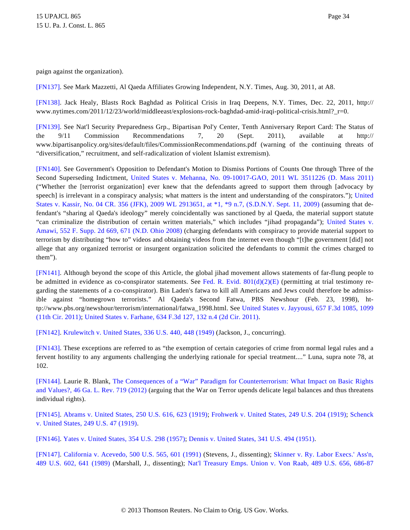paign against the organization).

<span id="page-33-0"></span>[\[FN137\]](#page-9-3). See Mark Mazzetti, Al Qaeda Affiliates Growing Independent, N.Y. Times, Aug. 30, 2011, at A8.

<span id="page-33-1"></span>[\[FN138\]](#page-9-3). Jack Healy, Blasts Rock Baghdad as Political Crisis in Iraq Deepens, N.Y. Times, Dec. 22, 2011, http:// www.nytimes.com/2011/12/23/world/middleeast/explosions-rock-baghdad-amid-iraqi-political-crisis.html?\_r=0.

<span id="page-33-2"></span>[\[FN139\]](#page-9-4). See Nat'l Security Preparedness Grp., Bipartisan Pol'y Center, Tenth Anniversary Report Card: The Status of the 9/11 Commission Recommendations 7, 20 (Sept. 2011), available at http:// www.bipartisanpolicy.org/sites/default/files/CommissionRecommendations.pdf (warning of the continuing threats of "diversification," recruitment, and self-radicalization of violent Islamist extremism).

<span id="page-33-3"></span>[\[FN140\]](#page-9-5). See Government's Opposition to Defendant's Motion to Dismiss Portions of Counts One through Three of the Second Superseding Indictment, [United States v. Mehanna, No. 09-10017-GAO, 2011 WL 3511226 \(D. Mass 2](http://www.westlaw.com/Find/Default.wl?rs=dfa1.0&vr=2.0&DB=0000999&FindType=Y&SerialNum=2025913008)011) ("Whether the [terrorist organization] ever knew that the defendants agreed to support them through [advocacy by speech] is irrelevant in a conspiracy analysis; what matters is the intent and understanding of the conspirators."); [United](http://www.westlaw.com/Find/Default.wl?rs=dfa1.0&vr=2.0&DB=0000999&FindType=Y&SerialNum=2019797949) [States v. Kassir, No. 04 CR. 356 \(JFK\), 2009 WL 2913651, at \\*1, \\*9 n.7, \(S.D.N.Y. Sept. 11, 200](http://www.westlaw.com/Find/Default.wl?rs=dfa1.0&vr=2.0&DB=0000999&FindType=Y&SerialNum=2019797949)9) (assuming that defendant's "sharing al Qaeda's ideology" merely coincidentally was sanctioned by al Qaeda, the material support statute "can criminalize the distribution of certain written materials," which includes "jihad propaganda"); [United States v](http://www.westlaw.com/Find/Default.wl?rs=dfa1.0&vr=2.0&DB=0004637&FindType=Y&ReferencePositionType=S&SerialNum=2015999490&ReferencePosition=671). [Amawi, 552 F. Supp. 2d 669, 671 \(N.D. Ohio 2008](http://www.westlaw.com/Find/Default.wl?rs=dfa1.0&vr=2.0&DB=0004637&FindType=Y&ReferencePositionType=S&SerialNum=2015999490&ReferencePosition=671)) (charging defendants with conspiracy to provide material support to terrorism by distributing "how to" videos and obtaining videos from the internet even though "[t]he government [did] not allege that any organized terrorist or insurgent organization solicited the defendants to commit the crimes charged to them").

<span id="page-33-4"></span>[\[FN141\]](#page-9-6). Although beyond the scope of this Article, the global jihad movement allows statements of far-flung people to be admitted in evidence as co-conspirator statements. See Fed. R. Evid.  $801(d)(2)(E)$  (permitting at trial testimony regarding the statements of a co-conspirator). Bin Laden's fatwa to kill all Americans and Jews could therefore be admissible against "homegrown terrorists." Al Qaeda's Second Fatwa, PBS Newshour (Feb. 23, 1998), http://www.pbs.org/newshour/terrorism/international/fatwa\_1998.html. See [United States v. Jayyousi, 657 F.3d 1085, 1099](http://www.westlaw.com/Find/Default.wl?rs=dfa1.0&vr=2.0&DB=0000506&FindType=Y&ReferencePositionType=S&SerialNum=2026168990&ReferencePosition=1099) [\(11th Cir. 2011\)](http://www.westlaw.com/Find/Default.wl?rs=dfa1.0&vr=2.0&DB=0000506&FindType=Y&ReferencePositionType=S&SerialNum=2026168990&ReferencePosition=1099); [United States v. Farhane, 634 F.3d 127, 132 n.4 \(2d Cir. 2011\)](http://www.westlaw.com/Find/Default.wl?rs=dfa1.0&vr=2.0&DB=0000506&FindType=Y&ReferencePositionType=S&SerialNum=2024533032&ReferencePosition=132).

<span id="page-33-5"></span>[\[FN142\]](#page-9-7). [Krulewitch v. United States, 336 U.S. 440, 448 \(1949\)](http://www.westlaw.com/Find/Default.wl?rs=dfa1.0&vr=2.0&DB=0000780&FindType=Y&ReferencePositionType=S&SerialNum=1949117570&ReferencePosition=448) (Jackson, J., concurring).

<span id="page-33-6"></span>[\[FN143\]](#page-9-8). These exceptions are referred to as "the exemption of certain categories of crime from normal legal rules and a fervent hostility to any arguments challenging the underlying rationale for special treatment...." Luna, supra note 78, at 102.

<span id="page-33-7"></span>[\[FN144\]](#page-9-8). Laurie R. Blank, [The Consequences of a "War" Paradigm for Counterterrorism: What Impact on Basic Right](http://www.westlaw.com/Find/Default.wl?rs=dfa1.0&vr=2.0&DB=0001145&FindType=Y&SerialNum=0372721361)s [and Values?, 46 Ga. L. Rev. 719 \(2012\)](http://www.westlaw.com/Find/Default.wl?rs=dfa1.0&vr=2.0&DB=0001145&FindType=Y&SerialNum=0372721361) (arguing that the War on Terror upends delicate legal balances and thus threatens individual rights).

<span id="page-33-8"></span>[\[FN145\]](#page-9-8). [Abrams v. United States, 250 U.S. 616, 623 \(1919](http://www.westlaw.com/Find/Default.wl?rs=dfa1.0&vr=2.0&DB=0000780&FindType=Y&ReferencePositionType=S&SerialNum=1919100515&ReferencePosition=623)); [Frohwerk v. United States, 249 U.S. 204 \(1919](http://www.westlaw.com/Find/Default.wl?rs=dfa1.0&vr=2.0&DB=0000780&FindType=Y&SerialNum=1919100361)); [Schenck](http://www.westlaw.com/Find/Default.wl?rs=dfa1.0&vr=2.0&DB=0000780&FindType=Y&SerialNum=1919100399) [v. United States, 249 U.S. 47 \(1919\)](http://www.westlaw.com/Find/Default.wl?rs=dfa1.0&vr=2.0&DB=0000780&FindType=Y&SerialNum=1919100399).

<span id="page-33-9"></span>[\[FN146\]](#page-9-9). [Yates v. United States, 354 U.S. 298 \(1957\)](http://www.westlaw.com/Find/Default.wl?rs=dfa1.0&vr=2.0&DB=0000780&FindType=Y&SerialNum=1957120376); [Dennis v. United States, 341 U.S. 494 \(1951\)](http://www.westlaw.com/Find/Default.wl?rs=dfa1.0&vr=2.0&DB=0000780&FindType=Y&SerialNum=1951116953).

<span id="page-33-10"></span>[\[FN147\]](#page-9-9). [California v. Acevedo, 500 U.S. 565, 601 \(1991](http://www.westlaw.com/Find/Default.wl?rs=dfa1.0&vr=2.0&DB=0000780&FindType=Y&ReferencePositionType=S&SerialNum=1991099273&ReferencePosition=601)) (Stevens, J., dissenting); [Skinner v. Ry. Labor Execs.' Ass'n,](http://www.westlaw.com/Find/Default.wl?rs=dfa1.0&vr=2.0&DB=0000780&FindType=Y&ReferencePositionType=S&SerialNum=1989042023&ReferencePosition=641) [489 U.S. 602, 641 \(1989](http://www.westlaw.com/Find/Default.wl?rs=dfa1.0&vr=2.0&DB=0000780&FindType=Y&ReferencePositionType=S&SerialNum=1989042023&ReferencePosition=641)) (Marshall, J., dissenting); Nat'l Treasury Emps. Union v. Von Raab, 489 U.S. 656, 686-87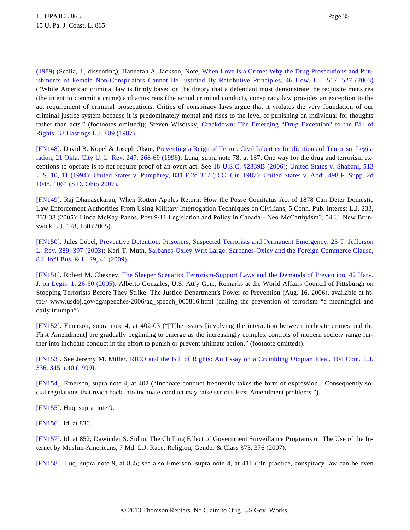[\(1989\)](http://www.westlaw.com/Find/Default.wl?rs=dfa1.0&vr=2.0&DB=0000780&FindType=Y&ReferencePositionType=S&SerialNum=1989042022&ReferencePosition=686) (Scalia, J., dissenting); Haneefah A. Jackson, Note, [When Love is a Crime: Why the Drug Prosecutions and Pun](http://www.westlaw.com/Find/Default.wl?rs=dfa1.0&vr=2.0&DB=0001531&FindType=Y&ReferencePositionType=S&SerialNum=0294275774&ReferencePosition=527)[ishments of Female Non-Conspirators Cannot Be Justified By Retributive Principles, 46 How. L.J. 517, 527](http://www.westlaw.com/Find/Default.wl?rs=dfa1.0&vr=2.0&DB=0001531&FindType=Y&ReferencePositionType=S&SerialNum=0294275774&ReferencePosition=527) (2003) ("While American criminal law is firmly based on the theory that a defendant must demonstrate the requisite mens rea (the intent to commit a crime) and actus reus (the actual criminal conduct), conspiracy law provides an exception to the act requirement of criminal prosecutions. Critics of conspiracy laws argue that it violates the very foundation of our criminal justice system because it is predominately mental and rises to the level of punishing an individual for thoughts rather than acts." (footnotes omitted)); Steven Wisotsky, [Crackdown: The Emerging "Drug Exception" to the Bill](http://www.westlaw.com/Find/Default.wl?rs=dfa1.0&vr=2.0&DB=0001159&FindType=Y&SerialNum=0103165445) of [Rights, 38 Hastings L.J. 889 \(1987\)](http://www.westlaw.com/Find/Default.wl?rs=dfa1.0&vr=2.0&DB=0001159&FindType=Y&SerialNum=0103165445).

<span id="page-34-0"></span>[\[FN148\]](#page-9-10). David B. Kopel & Joseph Olson, [Preventing a Reign of Terror: Civil Liberties Implications of Terrorism Legis](http://www.westlaw.com/Find/Default.wl?rs=dfa1.0&vr=2.0&DB=0001217&FindType=Y&ReferencePositionType=S&SerialNum=0107705248&ReferencePosition=268)[lation, 21 Okla. City U. L. Rev. 247, 268-69 \(1996](http://www.westlaw.com/Find/Default.wl?rs=dfa1.0&vr=2.0&DB=0001217&FindType=Y&ReferencePositionType=S&SerialNum=0107705248&ReferencePosition=268)); Luna, supra note 78, at 137. One way for the drug and terrorism exceptions to operate is to not require proof of an overt act. See [18 U.S.C. §2339B \(2006](http://www.westlaw.com/Find/Default.wl?rs=dfa1.0&vr=2.0&DB=1000546&DocName=18USCAS2339B&FindType=L)); [United States v. Shabani, 513](http://www.westlaw.com/Find/Default.wl?rs=dfa1.0&vr=2.0&DB=0000780&FindType=Y&ReferencePositionType=S&SerialNum=1994215758&ReferencePosition=11) [U.S. 10, 11 \(1994](http://www.westlaw.com/Find/Default.wl?rs=dfa1.0&vr=2.0&DB=0000780&FindType=Y&ReferencePositionType=S&SerialNum=1994215758&ReferencePosition=11)); [United States v. Pumphrey, 831 F.2d 307 \(D.C. Cir. 198](http://www.westlaw.com/Find/Default.wl?rs=dfa1.0&vr=2.0&DB=0000350&FindType=Y&SerialNum=1987122934)7); [United States v. Abdi, 498 F. Supp. 2d](http://www.westlaw.com/Find/Default.wl?rs=dfa1.0&vr=2.0&DB=0004637&FindType=Y&ReferencePositionType=S&SerialNum=2012794447&ReferencePosition=1064) [1048, 1064 \(S.D. Ohio 2007\)](http://www.westlaw.com/Find/Default.wl?rs=dfa1.0&vr=2.0&DB=0004637&FindType=Y&ReferencePositionType=S&SerialNum=2012794447&ReferencePosition=1064).

<span id="page-34-1"></span>[\[FN149\]](#page-9-11). Raj Dhanasekaran, When Rotten Apples Return: How the Posse Comitatus Act of 1878 Can Deter Domestic Law Enforcement Authorities From Using Military Interrogation Techniques on Civilians, 5 Conn. Pub. Interest L.J. 233, 233-38 (2005); Linda McKay-Panos, Post 9/11 Legislation and Policy in Canada-- Neo-McCarthyism?, 54 U. New Brunswick L.J. 178, 180 (2005).

<span id="page-34-2"></span>[\[FN150\]](#page-9-12). Jules Lobel, [Preventive Detention: Prisoners, Suspected Terrorists and Permanent Emergency, 25 T. Jefferso](http://www.westlaw.com/Find/Default.wl?rs=dfa1.0&vr=2.0&DB=0112966&FindType=Y&ReferencePositionType=S&SerialNum=0299168033&ReferencePosition=397)n [L. Rev. 389, 397 \(2003](http://www.westlaw.com/Find/Default.wl?rs=dfa1.0&vr=2.0&DB=0112966&FindType=Y&ReferencePositionType=S&SerialNum=0299168033&ReferencePosition=397)); Karl T. Muth, [Sarbanes-Oxley Writ Large: Sarbanes-Oxley and the Foreign Commerce Clause,](http://www.westlaw.com/Find/Default.wl?rs=dfa1.0&vr=2.0&DB=0184128&FindType=Y&ReferencePositionType=S&SerialNum=0344981077&ReferencePosition=41) [8 J. Int'l Bus. & L. 29, 41 \(2009\)](http://www.westlaw.com/Find/Default.wl?rs=dfa1.0&vr=2.0&DB=0184128&FindType=Y&ReferencePositionType=S&SerialNum=0344981077&ReferencePosition=41).

<span id="page-34-3"></span>[\[FN151\]](#page-9-13). Robert M. Chesney, [The Sleeper Scenario: Terrorism-Support Laws and the Demands of Prevention, 42 Harv](http://www.westlaw.com/Find/Default.wl?rs=dfa1.0&vr=2.0&DB=0001155&FindType=Y&ReferencePositionType=S&SerialNum=0303828621&ReferencePosition=26). [J. on Legis. 1, 26-30 \(2005](http://www.westlaw.com/Find/Default.wl?rs=dfa1.0&vr=2.0&DB=0001155&FindType=Y&ReferencePositionType=S&SerialNum=0303828621&ReferencePosition=26)); Alberto Gonzales, U.S. Att'y Gen., Remarks at the World Affairs Council of Pittsburgh on Stopping Terrorists Before They Strike: The Justice Department's Power of Prevention (Aug. 16, 2006), available at http:// www.usdoj.gov/ag/speeches/2006/ag\_speech\_060816.html (calling the prevention of terrorism "a meaningful and daily triumph").

<span id="page-34-4"></span>[\[FN152\]](#page-9-14). Emerson, supra note 4, at 402-03 ("[T]he issues [involving the interaction between inchoate crimes and the First Amendment] are gradually beginning to emerge as the increasingly complex controls of modern society range further into inchoate conduct in the effort to punish or prevent ultimate action." (footnote omitted)).

<span id="page-34-5"></span>[\[FN153\]](#page-9-14). See Jeremy M. Miller, [RICO and the Bill of Rights: An Essay on a Crumbling Utopian Ideal, 104 Com. L](http://www.westlaw.com/Find/Default.wl?rs=dfa1.0&vr=2.0&DB=0101491&FindType=Y&ReferencePositionType=S&SerialNum=0113135447&ReferencePosition=345).J. [336, 345 n.40 \(1999\)](http://www.westlaw.com/Find/Default.wl?rs=dfa1.0&vr=2.0&DB=0101491&FindType=Y&ReferencePositionType=S&SerialNum=0113135447&ReferencePosition=345).

<span id="page-34-6"></span>[\[FN154\]](#page-9-15). Emerson, supra note 4, at 402 ("Inchoate conduct frequently takes the form of expression....Consequently social regulations that reach back into inchoate conduct may raise serious First Amendment problems.").

<span id="page-34-7"></span>[\[FN155\]](#page-9-16). Huq, supra note 9.

<span id="page-34-8"></span>[\[FN156\]](#page-9-17). Id. at 836.

<span id="page-34-9"></span>[\[FN157\]](#page-9-18). Id. at 852; Dawinder S. Sidhu, The Chilling Effect of Government Surveillance Programs on The Use of the Internet by Muslim-Americans, 7 Md. L.J. Race, Religion, Gender & Class 375, 376 (2007).

<span id="page-34-10"></span>[\[FN158\]](#page-10-0). Huq, supra note 9, at 855; see also Emerson, supra note 4, at 411 ("In practice, conspiracy law can be even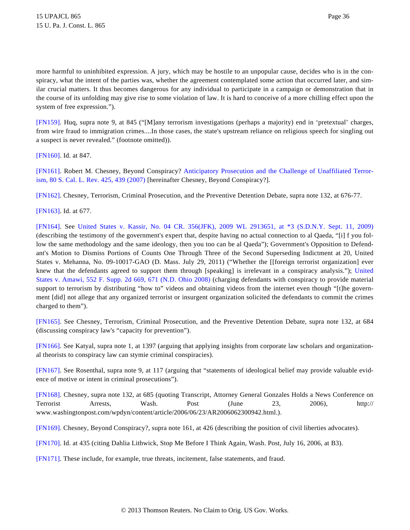more harmful to uninhibited expression. A jury, which may be hostile to an unpopular cause, decides who is in the conspiracy, what the intent of the parties was, whether the agreement contemplated some action that occurred later, and similar crucial matters. It thus becomes dangerous for any individual to participate in a campaign or demonstration that in the course of its unfolding may give rise to some violation of law. It is hard to conceive of a more chilling effect upon the system of free expression.").

<span id="page-35-0"></span>[\[FN159\]](#page-10-1). Huq, supra note 9, at 845 ("[M]any terrorism investigations (perhaps a majority) end in 'pretextual' charges, from wire fraud to immigration crimes....In those cases, the state's upstream reliance on religious speech for singling out a suspect is never revealed." (footnote omitted)).

<span id="page-35-1"></span>[\[FN160\]](#page-10-2). Id. at 847.

<span id="page-35-2"></span>[\[FN161\]](#page-10-3). Robert M. Chesney, Beyond Conspiracy? [Anticipatory Prosecution and the Challenge of Unaffiliated Terror](http://www.westlaw.com/Find/Default.wl?rs=dfa1.0&vr=2.0&DB=0001228&FindType=Y&ReferencePositionType=S&SerialNum=0331855619&ReferencePosition=439)[ism, 80 S. Cal. L. Rev. 425, 439 \(2007\)](http://www.westlaw.com/Find/Default.wl?rs=dfa1.0&vr=2.0&DB=0001228&FindType=Y&ReferencePositionType=S&SerialNum=0331855619&ReferencePosition=439) [hereinafter Chesney, Beyond Conspiracy?].

<span id="page-35-3"></span>[\[FN162\]](#page-10-4). Chesney, Terrorism, Criminal Prosecution, and the Preventive Detention Debate, supra note 132, at 676-77.

<span id="page-35-4"></span>[\[FN163\]](#page-10-5). Id. at 677.

<span id="page-35-5"></span>[\[FN164\]](#page-10-6). See [United States v. Kassir, No. 04 CR. 356\(JFK\), 2009 WL 2913651, at \\*3 \(S.D.N.Y. Sept. 11](http://www.westlaw.com/Find/Default.wl?rs=dfa1.0&vr=2.0&DB=0000999&FindType=Y&SerialNum=2019797949), 2009) (describing the testimony of the government's expert that, despite having no actual connection to al Qaeda, "[i] f you follow the same methodology and the same ideology, then you too can be al Qaeda"); Government's Opposition to Defendant's Motion to Dismiss Portions of Counts One Through Three of the Second Superseding Indictment at 20, United States v. Mehanna, No. 09-10017-GAO (D. Mass. July 29, 2011) ("Whether the [[foreign terrorist organization] ever knew that the defendants agreed to support them through [speaking] is irrelevant in a conspiracy analysis."); [United](http://www.westlaw.com/Find/Default.wl?rs=dfa1.0&vr=2.0&DB=0004637&FindType=Y&ReferencePositionType=S&SerialNum=2015999490&ReferencePosition=671) [States v. Amawi, 552 F. Supp. 2d 669, 671 \(N.D. Ohio 200](http://www.westlaw.com/Find/Default.wl?rs=dfa1.0&vr=2.0&DB=0004637&FindType=Y&ReferencePositionType=S&SerialNum=2015999490&ReferencePosition=671)8) (charging defendants with conspiracy to provide material support to terrorism by distributing "how to" videos and obtaining videos from the internet even though "[t]he government [did] not allege that any organized terrorist or insurgent organization solicited the defendants to commit the crimes charged to them").

<span id="page-35-6"></span>[\[FN165\]](#page-10-7). See Chesney, Terrorism, Criminal Prosecution, and the Preventive Detention Debate, supra note 132, at 684 (discussing conspiracy law's "capacity for prevention").

<span id="page-35-7"></span>[\[FN166\]](#page-10-7). See Katyal, supra note 1, at 1397 (arguing that applying insights from corporate law scholars and organizational theorists to conspiracy law can stymie criminal conspiracies).

<span id="page-35-8"></span>[\[FN167\]](#page-10-7). See Rosenthal, supra note 9, at 117 (arguing that "statements of ideological belief may provide valuable evidence of motive or intent in criminal prosecutions").

<span id="page-35-9"></span>[\[FN168\]](#page-10-8). Chesney, supra note 132, at 685 (quoting Transcript, Attorney General Gonzales Holds a News Conference on Terrorist Arrests, Wash. Post (June 23, 2006), http:// www.washingtonpost.com/wpdyn/content/article/2006/06/23/AR2006062300942.html.).

<span id="page-35-10"></span>[\[FN169\]](#page-10-9). Chesney, Beyond Conspiracy?, supra note 161, at 426 (describing the position of civil liberties advocates).

<span id="page-35-11"></span>[\[FN170\]](#page-10-10). Id. at 435 (citing Dahlia Lithwick, Stop Me Before I Think Again, Wash. Post, July 16, 2006, at B3).

<span id="page-35-12"></span>[\[FN171\]](#page-10-11). These include, for example, true threats, incitement, false statements, and fraud.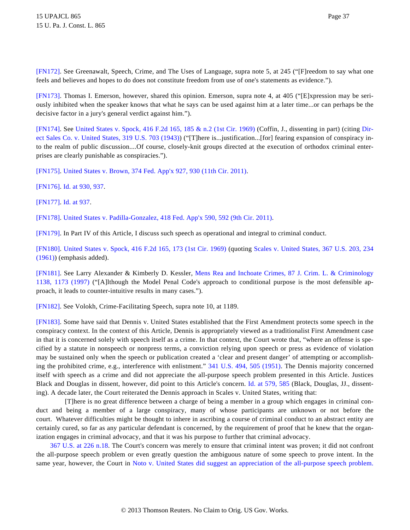<span id="page-36-0"></span>[\[FN172\]](#page-10-12). See Greenawalt, Speech, Crime, and The Uses of Language, supra note 5, at 245 ("[F]reedom to say what one feels and believes and hopes to do does not constitute freedom from use of one's statements as evidence.").

<span id="page-36-1"></span>[\[FN173\]](#page-10-12). Thomas I. Emerson, however, shared this opinion. Emerson, supra note 4, at 405 ("[E]xpression may be seriously inhibited when the speaker knows that what he says can be used against him at a later time...or can perhaps be the decisive factor in a jury's general verdict against him.").

<span id="page-36-2"></span>[\[FN174\]](#page-10-13). See [United States v. Spock, 416 F.2d 165, 185 & n.2 \(1st Cir. 1969](http://www.westlaw.com/Find/Default.wl?rs=dfa1.0&vr=2.0&DB=0000350&FindType=Y&ReferencePositionType=S&SerialNum=1969120268&ReferencePosition=185)) (Coffin, J., dissenting in part) (citing [Dir](http://www.westlaw.com/Find/Default.wl?rs=dfa1.0&vr=2.0&DB=0000780&FindType=Y&SerialNum=1943121186)[ect Sales Co. v. United States, 319 U.S. 703 \(1943](http://www.westlaw.com/Find/Default.wl?rs=dfa1.0&vr=2.0&DB=0000780&FindType=Y&SerialNum=1943121186))) ("[T]here is...justification...[for] fearing expansion of conspiracy into the realm of public discussion....Of course, closely-knit groups directed at the execution of orthodox criminal enterprises are clearly punishable as conspiracies.").

<span id="page-36-3"></span>[\[FN175\]](#page-10-14). [United States v. Brown, 374 Fed. App'x 927, 930 \(11th Cir. 2011\)](http://www.westlaw.com/Find/Default.wl?rs=dfa1.0&vr=2.0&DB=0006538&FindType=Y&ReferencePositionType=S&SerialNum=2021674348&ReferencePosition=930).

<span id="page-36-4"></span>[\[FN176\]](#page-10-15). [Id. at 930, 937](http://www.westlaw.com/Find/Default.wl?rs=dfa1.0&vr=2.0&DB=0006538&FindType=Y&ReferencePositionType=S&SerialNum=2021674348&ReferencePosition=930).

<span id="page-36-5"></span>[\[FN177\]](#page-10-16). [Id. at 937](http://www.westlaw.com/Find/Default.wl?rs=dfa1.0&vr=2.0&DB=0006538&FindType=Y&ReferencePositionType=S&SerialNum=2021674348&ReferencePosition=937).

<span id="page-36-6"></span>[\[FN178\]](#page-11-0). [United States v. Padilla-Gonzalez, 418 Fed. App'x 590, 592 \(9th Cir. 2011\)](http://www.westlaw.com/Find/Default.wl?rs=dfa1.0&vr=2.0&DB=0006538&FindType=Y&ReferencePositionType=S&SerialNum=2024722694&ReferencePosition=592).

<span id="page-36-7"></span>[\[FN179\]](#page-11-1). In Part IV of this Article, I discuss such speech as operational and integral to criminal conduct.

<span id="page-36-8"></span>[\[FN180\]](#page-11-2). [United States v. Spock, 416 F.2d 165, 173 \(1st Cir. 1969](http://www.westlaw.com/Find/Default.wl?rs=dfa1.0&vr=2.0&DB=0000350&FindType=Y&ReferencePositionType=S&SerialNum=1969120268&ReferencePosition=173)) (quoting [Scales v. United States, 367 U.S. 203, 234](http://www.westlaw.com/Find/Default.wl?rs=dfa1.0&vr=2.0&DB=0000780&FindType=Y&ReferencePositionType=S&SerialNum=1961125512&ReferencePosition=234) [\(1961\)\)](http://www.westlaw.com/Find/Default.wl?rs=dfa1.0&vr=2.0&DB=0000780&FindType=Y&ReferencePositionType=S&SerialNum=1961125512&ReferencePosition=234) (emphasis added).

<span id="page-36-9"></span>[\[FN181\]](#page-11-3). See Larry Alexander & Kimberly D. Kessler, [Mens Rea and Inchoate Crimes, 87 J. Crim. L. & Criminolog](http://www.westlaw.com/Find/Default.wl?rs=dfa1.0&vr=2.0&DB=0001173&FindType=Y&ReferencePositionType=S&SerialNum=0108757976&ReferencePosition=1173)y [1138, 1173 \(1997](http://www.westlaw.com/Find/Default.wl?rs=dfa1.0&vr=2.0&DB=0001173&FindType=Y&ReferencePositionType=S&SerialNum=0108757976&ReferencePosition=1173)) ("[A]lthough the Model Penal Code's approach to conditional purpose is the most defensible approach, it leads to counter-intuitive results in many cases.").

<span id="page-36-10"></span>[\[FN182\]](#page-11-4). See Volokh, Crime-Facilitating Speech, supra note 10, at 1189.

<span id="page-36-11"></span>[\[FN183\]](#page-11-5). Some have said that Dennis v. United States established that the First Amendment protects some speech in the conspiracy context. In the context of this Article, Dennis is appropriately viewed as a traditionalist First Amendment case in that it is concerned solely with speech itself as a crime. In that context, the Court wrote that, "where an offense is specified by a statute in nonspeech or nonpress terms, a conviction relying upon speech or press as evidence of violation may be sustained only when the speech or publication created a 'clear and present danger' of attempting or accomplishing the prohibited crime, e.g., interference with enlistment." [341 U.S. 494, 505 \(1951](http://www.westlaw.com/Find/Default.wl?rs=dfa1.0&vr=2.0&DB=0000780&FindType=Y&ReferencePositionType=S&SerialNum=1951116953&ReferencePosition=505)). The Dennis majority concerned itself with speech as a crime and did not appreciate the all-purpose speech problem presented in this Article. Justices Black and Douglas in dissent, however, did point to this Article's concern. [Id. at 579, 585](http://www.westlaw.com/Find/Default.wl?rs=dfa1.0&vr=2.0&DB=0000780&FindType=Y&ReferencePositionType=S&SerialNum=1951116953&ReferencePosition=579) (Black, Douglas, JJ., dissenting). A decade later, the Court reiterated the Dennis approach in Scales v. United States, writing that:

[T]here is no great difference between a charge of being a member in a group which engages in criminal conduct and being a member of a large conspiracy, many of whose participants are unknown or not before the court. Whatever difficulties might be thought to inhere in ascribing a course of criminal conduct to an abstract entity are certainly cured, so far as any particular defendant is concerned, by the requirement of proof that he knew that the organization engages in criminal advocacy, and that it was his purpose to further that criminal advocacy.

[367 U.S. at 226 n.18](http://www.westlaw.com/Find/Default.wl?rs=dfa1.0&vr=2.0&DB=0000780&FindType=Y&ReferencePositionType=S&SerialNum=1961125512&ReferencePosition=226). The Court's concern was merely to ensure that criminal intent was proven; it did not confront the all-purpose speech problem or even greatly question the ambiguous nature of some speech to prove intent. In the same year, however, the Court in Noto v. United States did suggest an appreciation of the all-purpose speech problem.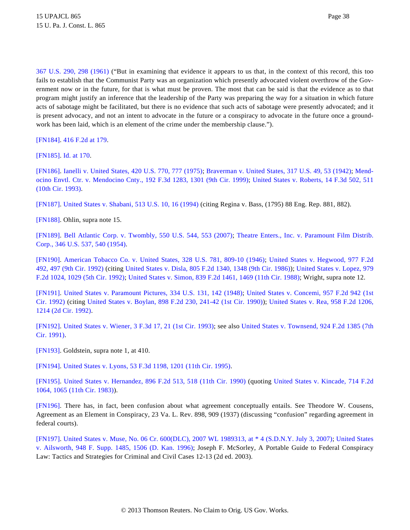[367 U.S. 290, 298 \(1961](http://www.westlaw.com/Find/Default.wl?rs=dfa1.0&vr=2.0&DB=0000780&FindType=Y&ReferencePositionType=S&SerialNum=1961125514&ReferencePosition=298)) ("But in examining that evidence it appears to us that, in the context of this record, this too fails to establish that the Communist Party was an organization which presently advocated violent overthrow of the Government now or in the future, for that is what must be proven. The most that can be said is that the evidence as to that program might justify an inference that the leadership of the Party was preparing the way for a situation in which future acts of sabotage might be facilitated, but there is no evidence that such acts of sabotage were presently advocated; and it is present advocacy, and not an intent to advocate in the future or a conspiracy to advocate in the future once a groundwork has been laid, which is an element of the crime under the membership clause.").

<span id="page-37-0"></span>[\[FN184\]](#page-11-6). [416 F.2d at 179](http://www.westlaw.com/Find/Default.wl?rs=dfa1.0&vr=2.0&DB=0000350&FindType=Y&ReferencePositionType=S&SerialNum=1969120268&ReferencePosition=179).

<span id="page-37-1"></span>[\[FN185\]](#page-11-7). [Id. at 170](http://www.westlaw.com/Find/Default.wl?rs=dfa1.0&vr=2.0&DB=0000350&FindType=Y&ReferencePositionType=S&SerialNum=1969120268&ReferencePosition=170).

<span id="page-37-2"></span>[\[FN186\]](#page-11-8). [Ianelli v. United States, 420 U.S. 770, 777 \(1975](http://www.westlaw.com/Find/Default.wl?rs=dfa1.0&vr=2.0&DB=0000780&FindType=Y&ReferencePositionType=S&SerialNum=1975129763&ReferencePosition=777)); [Braverman v. United States, 317 U.S. 49, 53 \(1942](http://www.westlaw.com/Find/Default.wl?rs=dfa1.0&vr=2.0&DB=0000780&FindType=Y&ReferencePositionType=S&SerialNum=1942117912&ReferencePosition=53)); [Mend](http://www.westlaw.com/Find/Default.wl?rs=dfa1.0&vr=2.0&DB=0000506&FindType=Y&ReferencePositionType=S&SerialNum=1999217341&ReferencePosition=1301)[ocino Envtl. Ctr. v. Mendocino Cnty., 192 F.3d 1283, 1301 \(9th Cir. 199](http://www.westlaw.com/Find/Default.wl?rs=dfa1.0&vr=2.0&DB=0000506&FindType=Y&ReferencePositionType=S&SerialNum=1999217341&ReferencePosition=1301)9); [United States v. Roberts, 14 F.3d 502, 511](http://www.westlaw.com/Find/Default.wl?rs=dfa1.0&vr=2.0&DB=0000506&FindType=Y&ReferencePositionType=S&SerialNum=1993236587&ReferencePosition=511) [\(10th Cir. 1993\)](http://www.westlaw.com/Find/Default.wl?rs=dfa1.0&vr=2.0&DB=0000506&FindType=Y&ReferencePositionType=S&SerialNum=1993236587&ReferencePosition=511).

<span id="page-37-3"></span>[\[FN187\]](#page-11-8). [United States v. Shabani, 513 U.S. 10, 16 \(1994\)](http://www.westlaw.com/Find/Default.wl?rs=dfa1.0&vr=2.0&DB=0000780&FindType=Y&ReferencePositionType=S&SerialNum=1994215758&ReferencePosition=16) (citing Regina v. Bass, (1795) 88 Eng. Rep. 881, 882).

<span id="page-37-4"></span>[\[FN188\]](#page-11-9). Ohlin, supra note 15.

<span id="page-37-5"></span>[\[FN189\]](#page-11-10). [Bell Atlantic Corp. v. Twombly, 550 U.S. 544, 553 \(200](http://www.westlaw.com/Find/Default.wl?rs=dfa1.0&vr=2.0&DB=0000780&FindType=Y&ReferencePositionType=S&SerialNum=2012293296&ReferencePosition=553)7); [Theatre Enters., Inc. v. Paramount Film Distrib](http://www.westlaw.com/Find/Default.wl?rs=dfa1.0&vr=2.0&DB=0000780&FindType=Y&ReferencePositionType=S&SerialNum=1954120587&ReferencePosition=540). [Corp., 346 U.S. 537, 540 \(1954\)](http://www.westlaw.com/Find/Default.wl?rs=dfa1.0&vr=2.0&DB=0000780&FindType=Y&ReferencePositionType=S&SerialNum=1954120587&ReferencePosition=540).

<span id="page-37-6"></span>[\[FN190\]](#page-12-0). [American Tobacco Co. v. United States, 328 U.S. 781, 809-10 \(194](http://www.westlaw.com/Find/Default.wl?rs=dfa1.0&vr=2.0&DB=0000780&FindType=Y&ReferencePositionType=S&SerialNum=1946112661&ReferencePosition=809)6); [United States v. Hegwood, 977 F.2d](http://www.westlaw.com/Find/Default.wl?rs=dfa1.0&vr=2.0&DB=0000350&FindType=Y&ReferencePositionType=S&SerialNum=1992176184&ReferencePosition=497) [492, 497 \(9th Cir. 1992\)](http://www.westlaw.com/Find/Default.wl?rs=dfa1.0&vr=2.0&DB=0000350&FindType=Y&ReferencePositionType=S&SerialNum=1992176184&ReferencePosition=497) (citing [United States v. Disla, 805 F.2d 1340, 1348 \(9th Cir. 1986\)](http://www.westlaw.com/Find/Default.wl?rs=dfa1.0&vr=2.0&DB=0000350&FindType=Y&ReferencePositionType=S&SerialNum=1986160276&ReferencePosition=1348)); [United States v. Lopez, 979](http://www.westlaw.com/Find/Default.wl?rs=dfa1.0&vr=2.0&DB=0000350&FindType=Y&ReferencePositionType=S&SerialNum=1992211516&ReferencePosition=1029) [F.2d 1024, 1029 \(5th Cir. 1992\)](http://www.westlaw.com/Find/Default.wl?rs=dfa1.0&vr=2.0&DB=0000350&FindType=Y&ReferencePositionType=S&SerialNum=1992211516&ReferencePosition=1029); [United States v. Simon, 839 F.2d 1461, 1469 \(11th Cir. 1988\)](http://www.westlaw.com/Find/Default.wl?rs=dfa1.0&vr=2.0&DB=0000350&FindType=Y&ReferencePositionType=S&SerialNum=1988026630&ReferencePosition=1469); Wright, supra note 12.

<span id="page-37-7"></span>[\[FN191\]](#page-12-0). [United States v. Paramount Pictures, 334 U.S. 131, 142 \(194](http://www.westlaw.com/Find/Default.wl?rs=dfa1.0&vr=2.0&DB=0000780&FindType=Y&ReferencePositionType=S&SerialNum=1948118957&ReferencePosition=142)8); [United States v. Concemi, 957 F.2d 942 \(1s](http://www.westlaw.com/Find/Default.wl?rs=dfa1.0&vr=2.0&DB=0000350&FindType=Y&SerialNum=1992051467)t [Cir. 1992\)](http://www.westlaw.com/Find/Default.wl?rs=dfa1.0&vr=2.0&DB=0000350&FindType=Y&SerialNum=1992051467) (citing [United States v. Boylan, 898 F.2d 230, 241-42 \(1st Cir. 1990](http://www.westlaw.com/Find/Default.wl?rs=dfa1.0&vr=2.0&DB=0000350&FindType=Y&ReferencePositionType=S&SerialNum=1990049943&ReferencePosition=241))); [United States v. Rea, 958 F.2d 1206](http://www.westlaw.com/Find/Default.wl?rs=dfa1.0&vr=2.0&DB=0000350&FindType=Y&ReferencePositionType=S&SerialNum=1992056016&ReferencePosition=1214), [1214 \(2d Cir. 1992\)](http://www.westlaw.com/Find/Default.wl?rs=dfa1.0&vr=2.0&DB=0000350&FindType=Y&ReferencePositionType=S&SerialNum=1992056016&ReferencePosition=1214).

<span id="page-37-8"></span>[\[FN192\]](#page-12-1). [United States v. Wiener, 3 F.3d 17, 21 \(1st Cir. 1993](http://www.westlaw.com/Find/Default.wl?rs=dfa1.0&vr=2.0&DB=0000506&FindType=Y&ReferencePositionType=S&SerialNum=1993163914&ReferencePosition=21)); see also [United States v. Townsend, 924 F.2d 1385 \(7th](http://www.westlaw.com/Find/Default.wl?rs=dfa1.0&vr=2.0&DB=0000350&FindType=Y&SerialNum=1991038827) [Cir. 1991\)](http://www.westlaw.com/Find/Default.wl?rs=dfa1.0&vr=2.0&DB=0000350&FindType=Y&SerialNum=1991038827).

<span id="page-37-9"></span>[\[FN193\]](#page-12-2). Goldstein, supra note 1, at 410.

<span id="page-37-10"></span>[\[FN194\]](#page-12-3). [United States v. Lyons, 53 F.3d 1198, 1201 \(11th Cir. 1995\)](http://www.westlaw.com/Find/Default.wl?rs=dfa1.0&vr=2.0&DB=0000506&FindType=Y&ReferencePositionType=S&SerialNum=1995111308&ReferencePosition=1201).

<span id="page-37-11"></span>[\[FN195\]](#page-12-4). [United States v. Hernandez, 896 F.2d 513, 518 \(11th Cir. 199](http://www.westlaw.com/Find/Default.wl?rs=dfa1.0&vr=2.0&DB=0000350&FindType=Y&ReferencePositionType=S&SerialNum=1990041909&ReferencePosition=518)0) (quoting [United States v. Kincade, 714 F.2d](http://www.westlaw.com/Find/Default.wl?rs=dfa1.0&vr=2.0&DB=0000350&FindType=Y&ReferencePositionType=S&SerialNum=1983139513&ReferencePosition=1065) [1064, 1065 \(11th Cir. 1983\)](http://www.westlaw.com/Find/Default.wl?rs=dfa1.0&vr=2.0&DB=0000350&FindType=Y&ReferencePositionType=S&SerialNum=1983139513&ReferencePosition=1065)).

<span id="page-37-12"></span>[\[FN196\]](#page-12-5). There has, in fact, been confusion about what agreement conceptually entails. See Theodore W. Cousens, Agreement as an Element in Conspiracy, 23 Va. L. Rev. 898, 909 (1937) (discussing "confusion" regarding agreement in federal courts).

<span id="page-37-13"></span>[\[FN197\]](#page-12-6). [United States v. Muse, No. 06 Cr. 600\(DLC\), 2007 WL 1989313, at \\* 4 \(S.D.N.Y. July 3, 2007](http://www.westlaw.com/Find/Default.wl?rs=dfa1.0&vr=2.0&DB=0000999&FindType=Y&SerialNum=2012678840)); [United States](http://www.westlaw.com/Find/Default.wl?rs=dfa1.0&vr=2.0&DB=0000345&FindType=Y&ReferencePositionType=S&SerialNum=1996269676&ReferencePosition=1506) [v. Ailsworth, 948 F. Supp. 1485, 1506 \(D. Kan. 199](http://www.westlaw.com/Find/Default.wl?rs=dfa1.0&vr=2.0&DB=0000345&FindType=Y&ReferencePositionType=S&SerialNum=1996269676&ReferencePosition=1506)6); Joseph F. McSorley, A Portable Guide to Federal Conspiracy Law: Tactics and Strategies for Criminal and Civil Cases 12-13 (2d ed. 2003).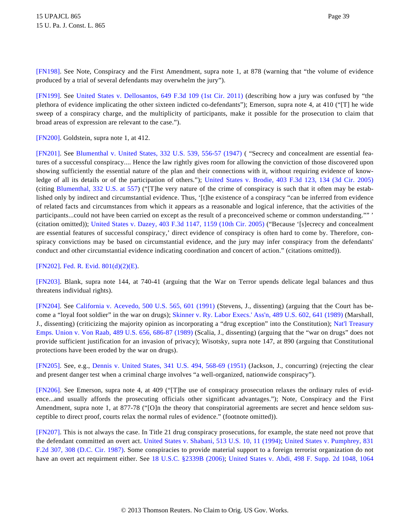<span id="page-38-0"></span>[\[FN198\]](#page-12-7). See Note, Conspiracy and the First Amendment, supra note 1, at 878 (warning that "the volume of evidence produced by a trial of several defendants may overwhelm the jury").

<span id="page-38-1"></span>[\[FN199\]](#page-12-7). See [United States v. Dellosantos, 649 F.3d 109 \(1st Cir. 201](http://www.westlaw.com/Find/Default.wl?rs=dfa1.0&vr=2.0&DB=0000506&FindType=Y&SerialNum=2025871586)1) (describing how a jury was confused by "the plethora of evidence implicating the other sixteen indicted co-defendants"); Emerson, supra note 4, at 410 ("[T] he wide sweep of a conspiracy charge, and the multiplicity of participants, make it possible for the prosecution to claim that broad areas of expression are relevant to the case.").

<span id="page-38-2"></span>[\[FN200\]](#page-12-8). Goldstein, supra note 1, at 412.

<span id="page-38-3"></span>[\[FN201\]](#page-12-9). See [Blumenthal v. United States, 332 U.S. 539, 556-57 \(194](http://www.westlaw.com/Find/Default.wl?rs=dfa1.0&vr=2.0&DB=0000780&FindType=Y&ReferencePositionType=S&SerialNum=1947117971&ReferencePosition=556)7) ( "Secrecy and concealment are essential features of a successful conspiracy.... Hence the law rightly gives room for allowing the conviction of those discovered upon showing sufficiently the essential nature of the plan and their connections with it, without requiring evidence of knowledge of all its details or of the participation of others."); [United States v. Brodie, 403 F.3d 123, 134 \(3d Cir. 20](http://www.westlaw.com/Find/Default.wl?rs=dfa1.0&vr=2.0&DB=0000506&FindType=Y&ReferencePositionType=S&SerialNum=2006445350&ReferencePosition=134)05) (citing [Blumenthal, 332 U.S. at 55](http://www.westlaw.com/Find/Default.wl?rs=dfa1.0&vr=2.0&DB=0000780&FindType=Y&ReferencePositionType=S&SerialNum=1947117971&ReferencePosition=557)7) ("[T]he very nature of the crime of conspiracy is such that it often may be established only by indirect and circumstantial evidence. Thus, '[t]he existence of a conspiracy "can be inferred from evidence of related facts and circumstances from which it appears as a reasonable and logical inference, that the activities of the participants...could not have been carried on except as the result of a preconceived scheme or common understanding."" ' (citation omitted)); [United States v. Dazey, 403 F.3d 1147, 1159 \(10th Cir. 2005](http://www.westlaw.com/Find/Default.wl?rs=dfa1.0&vr=2.0&DB=0000506&FindType=Y&ReferencePositionType=S&SerialNum=2006465189&ReferencePosition=1159)) ("Because '[s]ecrecy and concealment are essential features of successful conspiracy,' direct evidence of conspiracy is often hard to come by. Therefore, conspiracy convictions may be based on circumstantial evidence, and the jury may infer conspiracy from the defendants' conduct and other circumstantial evidence indicating coordination and concert of action." (citations omitted)).

# <span id="page-38-4"></span>[\[FN202\]](#page-12-10). [Fed. R. Evid. 801\(d\)\(2\)\(E\)](http://www.westlaw.com/Find/Default.wl?rs=dfa1.0&vr=2.0&DB=1000607&DocName=USFRER801&FindType=L&ReferencePositionType=T&ReferencePosition=SP_48810000b0914).

<span id="page-38-5"></span>[\[FN203\]](#page-12-10). Blank, supra note 144, at 740-41 (arguing that the War on Terror upends delicate legal balances and thus threatens individual rights).

<span id="page-38-6"></span>[\[FN204\]](#page-12-10). See [California v. Acevedo, 500 U.S. 565, 601 \(1991](http://www.westlaw.com/Find/Default.wl?rs=dfa1.0&vr=2.0&DB=0000780&FindType=Y&ReferencePositionType=S&SerialNum=1991099273&ReferencePosition=601)) (Stevens, J., dissenting) (arguing that the Court has become a "loyal foot soldier" in the war on drugs); [Skinner v. Ry. Labor Execs.' Ass'n, 489 U.S. 602, 641 \(1989\)](http://www.westlaw.com/Find/Default.wl?rs=dfa1.0&vr=2.0&DB=0000780&FindType=Y&ReferencePositionType=S&SerialNum=1989042023&ReferencePosition=641) (Marshall, J., dissenting) (criticizing the majority opinion as incorporating a "drug exception" into the Constitution); [Nat'l Treasury](http://www.westlaw.com/Find/Default.wl?rs=dfa1.0&vr=2.0&DB=0000780&FindType=Y&ReferencePositionType=S&SerialNum=1989042022&ReferencePosition=686) [Emps. Union v. Von Raab, 489 U.S. 656, 686-87 \(1989\)](http://www.westlaw.com/Find/Default.wl?rs=dfa1.0&vr=2.0&DB=0000780&FindType=Y&ReferencePositionType=S&SerialNum=1989042022&ReferencePosition=686) (Scalia, J., dissenting) (arguing that the "war on drugs" does not provide sufficient justification for an invasion of privacy); Wisotsky, supra note 147, at 890 (arguing that Constitutional protections have been eroded by the war on drugs).

<span id="page-38-7"></span>[\[FN205\]](#page-12-11). See, e.g., [Dennis v. United States, 341 U.S. 494, 568-69 \(195](http://www.westlaw.com/Find/Default.wl?rs=dfa1.0&vr=2.0&DB=0000780&FindType=Y&ReferencePositionType=S&SerialNum=1951116953&ReferencePosition=568)1) (Jackson, J., concurring) (rejecting the clear and present danger test when a criminal charge involves "a well-organized, nationwide conspiracy").

<span id="page-38-8"></span>[\[FN206\]](#page-12-12). See Emerson, supra note 4, at 409 ("[T]he use of conspiracy prosecution relaxes the ordinary rules of evidence...and usually affords the prosecuting officials other significant advantages."); Note, Conspiracy and the First Amendment, supra note 1, at 877-78 ("[O]n the theory that conspiratorial agreements are secret and hence seldom susceptible to direct proof, courts relax the normal rules of evidence." (footnote omitted)).

<span id="page-38-9"></span>[\[FN207\]](#page-12-13). This is not always the case. In Title 21 drug conspiracy prosecutions, for example, the state need not prove that the defendant committed an overt act. [United States v. Shabani, 513 U.S. 10, 11 \(1994](http://www.westlaw.com/Find/Default.wl?rs=dfa1.0&vr=2.0&DB=0000780&FindType=Y&ReferencePositionType=S&SerialNum=1994215758&ReferencePosition=11)); [United States v. Pumphrey, 831](http://www.westlaw.com/Find/Default.wl?rs=dfa1.0&vr=2.0&DB=0000350&FindType=Y&ReferencePositionType=S&SerialNum=1987122934&ReferencePosition=308) [F.2d 307, 308 \(D.C. Cir. 1987](http://www.westlaw.com/Find/Default.wl?rs=dfa1.0&vr=2.0&DB=0000350&FindType=Y&ReferencePositionType=S&SerialNum=1987122934&ReferencePosition=308)). Some conspiracies to provide material support to a foreign terrorist organization do not have an overt act requirment either. See [18 U.S.C. §2339B \(2006](http://www.westlaw.com/Find/Default.wl?rs=dfa1.0&vr=2.0&DB=1000546&DocName=18USCAS2339B&FindType=L)); United States v. Abdi, 498 F. Supp. 2d 1048, 1064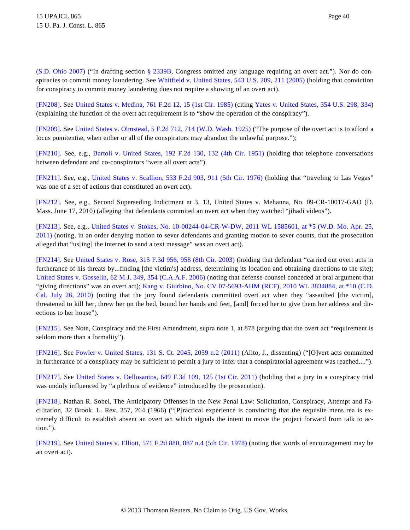[\(S.D. Ohio 2007](http://www.westlaw.com/Find/Default.wl?rs=dfa1.0&vr=2.0&DB=0004637&FindType=Y&ReferencePositionType=S&SerialNum=2012794447&ReferencePosition=1064)) ("In drafting section [§ 2339B](http://www.westlaw.com/Find/Default.wl?rs=dfa1.0&vr=2.0&DB=1000546&DocName=18USCAS2339B&FindType=L), Congress omitted any language requiring an overt act."). Nor do conspiracies to commit money laundering. See [Whitfield v. United States, 543 U.S. 209, 211 \(2005](http://www.westlaw.com/Find/Default.wl?rs=dfa1.0&vr=2.0&DB=0000780&FindType=Y&ReferencePositionType=S&SerialNum=2005945647&ReferencePosition=211)) (holding that conviction for conspiracy to commit money laundering does not require a showing of an overt act).

<span id="page-39-0"></span>[\[FN208\]](#page-12-14). See [United States v. Medina, 761 F.2d 12, 15 \(1st Cir. 1985](http://www.westlaw.com/Find/Default.wl?rs=dfa1.0&vr=2.0&DB=0000350&FindType=Y&ReferencePositionType=S&SerialNum=1985121680&ReferencePosition=15)) (citing [Yates v. United States, 354 U.S. 298, 334](http://www.westlaw.com/Find/Default.wl?rs=dfa1.0&vr=2.0&DB=0000780&FindType=Y&ReferencePositionType=S&SerialNum=1957120376&ReferencePosition=334)) (explaining the function of the overt act requirement is to "show the operation of the conspiracy").

<span id="page-39-1"></span>[\[FN209\]](#page-12-15). See [United States v. Olmstead, 5 F.2d 712, 714 \(W.D. Wash. 1925\)](http://www.westlaw.com/Find/Default.wl?rs=dfa1.0&vr=2.0&DB=0000350&FindType=Y&ReferencePositionType=S&SerialNum=1925125853&ReferencePosition=714) ("The purpose of the overt act is to afford a locus pœnitentiæ, when either or all of the conspirators may abandon the unlawful purpose.");

<span id="page-39-2"></span>[\[FN210\]](#page-12-16). See, e.g., [Bartoli v. United States, 192 F.2d 130, 132 \(4th Cir. 19](http://www.westlaw.com/Find/Default.wl?rs=dfa1.0&vr=2.0&DB=0000350&FindType=Y&ReferencePositionType=S&SerialNum=1951116300&ReferencePosition=132)51) (holding that telephone conversations between defendant and co-conspirators "were all overt acts").

<span id="page-39-3"></span>[\[FN211\]](#page-13-0). See, e.g., [United States v. Scallion, 533 F.2d 903, 911 \(5th Cir. 197](http://www.westlaw.com/Find/Default.wl?rs=dfa1.0&vr=2.0&DB=0000350&FindType=Y&ReferencePositionType=S&SerialNum=1976146038&ReferencePosition=911)6) (holding that "traveling to Las Vegas" was one of a set of actions that constituted an overt act).

<span id="page-39-4"></span>[\[FN212\]](#page-13-0). See, e.g., Second Superseding Indictment at 3, 13, United States v. Mehanna, No. 09-CR-10017-GAO (D. Mass. June 17, 2010) (alleging that defendants commited an overt act when they watched "jihadi videos").

<span id="page-39-5"></span>[\[FN213\]](#page-13-0). See, e.g., [United States v. Stokes, No. 10-00244-04-CR-W-DW, 2011 WL 1585601, at \\*5 \(W.D. Mo. Apr. 25](http://www.westlaw.com/Find/Default.wl?rs=dfa1.0&vr=2.0&DB=0000999&FindType=Y&SerialNum=2025179293), [2011\)](http://www.westlaw.com/Find/Default.wl?rs=dfa1.0&vr=2.0&DB=0000999&FindType=Y&SerialNum=2025179293) (noting, in an order denying motion to sever defendants and granting motion to sever counts, that the prosecution alleged that "us[ing] the internet to send a text message" was an overt act).

<span id="page-39-6"></span>[\[FN214\]](#page-13-1). See [United States v. Rose, 315 F.3d 956, 958 \(8th Cir. 2003](http://www.westlaw.com/Find/Default.wl?rs=dfa1.0&vr=2.0&DB=0000506&FindType=Y&ReferencePositionType=S&SerialNum=2003072777&ReferencePosition=958)) (holding that defendant "carried out overt acts in furtherance of his threats by...finding [the victim's] address, determining its location and obtaining directions to the site); [United States v. Gosselin, 62 M.J. 349, 354 \(C.A.A.F. 2006](http://www.westlaw.com/Find/Default.wl?rs=dfa1.0&vr=2.0&DB=0000509&FindType=Y&ReferencePositionType=S&SerialNum=2008554311&ReferencePosition=354)) (noting that defense counsel conceded at oral argument that "giving directions" was an overt act); [Kang v. Giurbino, No. CV 07-5693-AHM \(RCF\), 2010 WL 3834884, at \\*10 \(C.D](http://www.westlaw.com/Find/Default.wl?rs=dfa1.0&vr=2.0&DB=0000999&FindType=Y&SerialNum=2023218683). [Cal. July 26, 201](http://www.westlaw.com/Find/Default.wl?rs=dfa1.0&vr=2.0&DB=0000999&FindType=Y&SerialNum=2023218683)0) (noting that the jury found defendants committed overt act when they "assaulted [the victim], threatened to kill her, threw her on the bed, bound her hands and feet, [and] forced her to give them her address and directions to her house").

<span id="page-39-7"></span>[\[FN215\]](#page-13-2). See Note, Conspiracy and the First Amendment, supra note 1, at 878 (arguing that the overt act "requirement is seldom more than a formality").

<span id="page-39-8"></span>[\[FN216\]](#page-13-3). See [Fowler v. United States, 131 S. Ct. 2045, 2059 n.2 \(2011](http://www.westlaw.com/Find/Default.wl?rs=dfa1.0&vr=2.0&DB=0000708&FindType=Y&ReferencePositionType=S&SerialNum=2025354675&ReferencePosition=2059)) (Alito, J., dissenting) ("[O]vert acts committed in furtherance of a conspiracy may be sufficient to permit a jury to infer that a conspiratorial agreement was reached....").

<span id="page-39-9"></span>[\[FN217\]](#page-13-4). See [United States v. Dellosantos, 649 F.3d 109, 125 \(1st Cir. 201](http://www.westlaw.com/Find/Default.wl?rs=dfa1.0&vr=2.0&DB=0000506&FindType=Y&ReferencePositionType=S&SerialNum=2025871586&ReferencePosition=125)1) (holding that a jury in a conspiracy trial was unduly influenced by "a plethora of evidence" introduced by the prosecution).

<span id="page-39-10"></span>[\[FN218\]](#page-13-5). Nathan R. Sobel, The Anticipatory Offenses in the New Penal Law: Solicitation, Conspiracy, Attempt and Facilitation, 32 Brook. L. Rev. 257, 264 (1966) ("[P]ractical experience is convincing that the requisite mens rea is extremely difficult to establish absent an overt act which signals the intent to move the project forward from talk to action.").

<span id="page-39-11"></span>[\[FN219\]](#page-13-6). See [United States v. Elliott, 571 F.2d 880, 887 n.4 \(5th Cir. 1978](http://www.westlaw.com/Find/Default.wl?rs=dfa1.0&vr=2.0&DB=0000350&FindType=Y&ReferencePositionType=S&SerialNum=1978102842&ReferencePosition=887)) (noting that words of encouragement may be an overt act).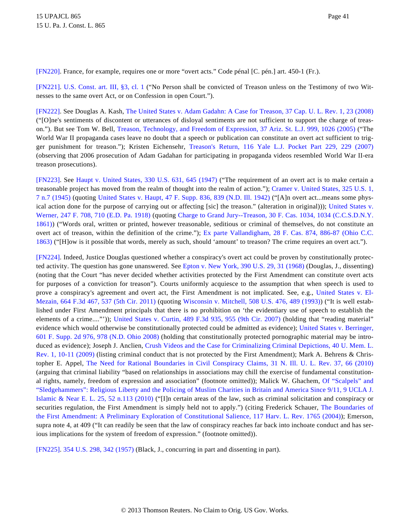<span id="page-40-0"></span>[\[FN220\]](#page-13-6). France, for example, requires one or more "overt acts." Code pénal [C. pén.] art. 450-1 (Fr.).

<span id="page-40-1"></span>[\[FN221\]](#page-13-7). [U.S. Const. art. III, §3, cl.](http://www.westlaw.com/Find/Default.wl?rs=dfa1.0&vr=2.0&DB=1000583&DocName=USCOARTIIIS3CL1&FindType=L) 1 ("No Person shall be convicted of Treason unless on the Testimony of two Witnesses to the same overt Act, or on Confession in open Court.").

<span id="page-40-2"></span>[\[FN222\]](#page-13-8). See Douglas A. Kash, [The United States v. Adam Gadahn: A Case for Treason, 37 Cap. U. L. Rev. 1, 23 \(2008\)](http://www.westlaw.com/Find/Default.wl?rs=dfa1.0&vr=2.0&DB=0002987&FindType=Y&ReferencePositionType=S&SerialNum=0343581920&ReferencePosition=23) ("[O]ne's sentiments of discontent or utterances of disloyal sentiments are not sufficient to support the charge of treason."). But see Tom W. Bell, [Treason, Technology, and Freedom of Expression, 37 Ariz. St. L.J. 999, 1026 \(2005](http://www.westlaw.com/Find/Default.wl?rs=dfa1.0&vr=2.0&DB=0001094&FindType=Y&ReferencePositionType=S&SerialNum=0307793735&ReferencePosition=1026)) ("The World War II propaganda cases leave no doubt that a speech or publication can constitute an overt act sufficient to trigger punishment for treason."); Kristen Eichensehr, [Treason's Return, 116 Yale L.J. Pocket Part 229, 229](http://www.westlaw.com/Find/Default.wl?rs=dfa1.0&vr=2.0&DB=0197617&FindType=Y&SerialNum=0330606445) (2007) (observing that 2006 prosecution of Adam Gadahan for participating in propaganda videos resembled World War II-era treason prosecutions).

<span id="page-40-3"></span>[\[FN223\]](#page-13-9). See [Haupt v. United States, 330 U.S. 631, 645 \(194](http://www.westlaw.com/Find/Default.wl?rs=dfa1.0&vr=2.0&DB=0000780&FindType=Y&ReferencePositionType=S&SerialNum=1947115422&ReferencePosition=645)7) ("The requirement of an overt act is to make certain a treasonable project has moved from the realm of thought into the realm of action."); [Cramer v. United States, 325 U.S. 1,](http://www.westlaw.com/Find/Default.wl?rs=dfa1.0&vr=2.0&DB=0000780&FindType=Y&ReferencePositionType=S&SerialNum=1945114159&ReferencePosition=7) [7 n.7 \(1945](http://www.westlaw.com/Find/Default.wl?rs=dfa1.0&vr=2.0&DB=0000780&FindType=Y&ReferencePositionType=S&SerialNum=1945114159&ReferencePosition=7)) (quoting [United States v. Haupt, 47 F. Supp. 836, 839 \(N.D. Ill. 1942](http://www.westlaw.com/Find/Default.wl?rs=dfa1.0&vr=2.0&DB=0000345&FindType=Y&ReferencePositionType=S&SerialNum=1943119664&ReferencePosition=839)) ("[A]n overt act...means some physical action done for the purpose of carrying out or affecting [sic] the treason." (alteration in original))); [United States v.](http://www.westlaw.com/Find/Default.wl?rs=dfa1.0&vr=2.0&DB=0000348&FindType=Y&ReferencePositionType=S&SerialNum=1918101713&ReferencePosition=710) [Werner, 247 F. 708, 710 \(E.D. Pa. 1918](http://www.westlaw.com/Find/Default.wl?rs=dfa1.0&vr=2.0&DB=0000348&FindType=Y&ReferencePositionType=S&SerialNum=1918101713&ReferencePosition=710)) (quoting [Charge to Grand Jury--Treason, 30 F. Cas. 1034, 1034 \(C.C.S.D.N.Y](http://www.westlaw.com/Find/Default.wl?rs=dfa1.0&vr=2.0&DB=0000349&FindType=Y&SerialNum=1800148530). [1861\)](http://www.westlaw.com/Find/Default.wl?rs=dfa1.0&vr=2.0&DB=0000349&FindType=Y&SerialNum=1800148530)) ("Words oral, written or printed, however treasonable, seditious or criminal of themselves, do not constitute an overt act of treason, within the definition of the crime."); [Ex parte Vallandigham, 28 F. Cas. 874, 886-87 \(Ohio C.](http://www.westlaw.com/Find/Default.wl?rs=dfa1.0&vr=2.0&DB=0000349&FindType=Y&ReferencePositionType=S&SerialNum=1800138242&ReferencePosition=886)C. [1863\)](http://www.westlaw.com/Find/Default.wl?rs=dfa1.0&vr=2.0&DB=0000349&FindType=Y&ReferencePositionType=S&SerialNum=1800138242&ReferencePosition=886) ("[H]ow is it possible that words, merely as such, should 'amount' to treason? The crime requires an overt act.").

<span id="page-40-4"></span>[\[FN224\]](#page-13-10). Indeed, Justice Douglas questioned whether a conspiracy's overt act could be proven by constitutionally protected activity. The question has gone unanswered. See [Epton v. New York, 390 U.S. 29, 31 \(1968\)](http://www.westlaw.com/Find/Default.wl?rs=dfa1.0&vr=2.0&DB=0000780&FindType=Y&ReferencePositionType=S&SerialNum=1968201657&ReferencePosition=31) (Douglas, J., dissenting) (noting that the Court "has never decided whether activities protected by the First Amendment can constitute overt acts for purposes of a conviction for treason"). Courts uniformly acquiesce to the assumption that when speech is used to prove a conspiracy's agreement and overt act, the First Amendment is not implicated. See, e.g., [United States v. El](http://www.westlaw.com/Find/Default.wl?rs=dfa1.0&vr=2.0&DB=0000506&FindType=Y&ReferencePositionType=S&SerialNum=2026633539&ReferencePosition=537)-[Mezain, 664 F.3d 467, 537 \(5th Cir. 2011](http://www.westlaw.com/Find/Default.wl?rs=dfa1.0&vr=2.0&DB=0000506&FindType=Y&ReferencePositionType=S&SerialNum=2026633539&ReferencePosition=537)) (quoting [Wisconsin v. Mitchell, 508 U.S. 476, 489 \(1993](http://www.westlaw.com/Find/Default.wl?rs=dfa1.0&vr=2.0&DB=0000780&FindType=Y&ReferencePositionType=S&SerialNum=1993120520&ReferencePosition=489))) ("It is well established under First Amendment principals that there is no prohibition on 'the evidentiary use of speech to establish the elements of a crime...."')); [United States v. Curtin, 489 F.3d 935, 955 \(9th Cir. 200](http://www.westlaw.com/Find/Default.wl?rs=dfa1.0&vr=2.0&DB=0000506&FindType=Y&ReferencePositionType=S&SerialNum=2012322487&ReferencePosition=955)7) (holding that "reading material" evidence which would otherwise be constitutionally protected could be admitted as evidence); [United States v. Berringer,](http://www.westlaw.com/Find/Default.wl?rs=dfa1.0&vr=2.0&DB=0004637&FindType=Y&ReferencePositionType=S&SerialNum=2018313902&ReferencePosition=978) [601 F. Supp. 2d 976, 978 \(N.D. Ohio 2008](http://www.westlaw.com/Find/Default.wl?rs=dfa1.0&vr=2.0&DB=0004637&FindType=Y&ReferencePositionType=S&SerialNum=2018313902&ReferencePosition=978)) (holding that constitutionally protected pornographic material may be intro-duced as evidence); Joseph J. Anclien, [Crush Videos and the Case for Criminalizing Criminal Depictions, 40 U. Mem. L.](http://www.westlaw.com/Find/Default.wl?rs=dfa1.0&vr=2.0&DB=0105911&FindType=Y&ReferencePositionType=S&SerialNum=0348997969&ReferencePosition=10) [Rev. 1, 10-11 \(2009\)](http://www.westlaw.com/Find/Default.wl?rs=dfa1.0&vr=2.0&DB=0105911&FindType=Y&ReferencePositionType=S&SerialNum=0348997969&ReferencePosition=10) (listing criminal conduct that is not protected by the First Amendment); Mark A. Behrens & Christopher E. Appel, [The Need for Rational Boundaries in Civil Conspiracy Claims, 31 N. Ill. U. L. Rev. 37, 66 \(](http://www.westlaw.com/Find/Default.wl?rs=dfa1.0&vr=2.0&DB=0001625&FindType=Y&ReferencePositionType=S&SerialNum=0359061068&ReferencePosition=66)2010) (arguing that criminal liability "based on relationships in associations may chill the exercise of fundamental constitutional rights, namely, freedom of expression and association" (footnote omitted)); Malick W. Ghachem, [Of "Scalpels" and](http://www.westlaw.com/Find/Default.wl?rs=dfa1.0&vr=2.0&DB=0154029&FindType=Y&ReferencePositionType=S&SerialNum=0357840457&ReferencePosition=52) ["Sledgehammers": Religious Liberty and the Policing of Muslim Charities in Britain and America Since 9/11, 9 UCLA J.](http://www.westlaw.com/Find/Default.wl?rs=dfa1.0&vr=2.0&DB=0154029&FindType=Y&ReferencePositionType=S&SerialNum=0357840457&ReferencePosition=52) [Islamic & Near E. L. 25, 52 n.113 \(2010](http://www.westlaw.com/Find/Default.wl?rs=dfa1.0&vr=2.0&DB=0154029&FindType=Y&ReferencePositionType=S&SerialNum=0357840457&ReferencePosition=52)) ("[I]n certain areas of the law, such as criminal solicitation and conspiracy or securities regulation, the First Amendment is simply held not to apply.") (citing Frederick Schauer, [The Boundaries of](http://www.westlaw.com/Find/Default.wl?rs=dfa1.0&vr=2.0&DB=0003084&FindType=Y&SerialNum=0297700875) [the First Amendment: A Preliminary Exploration of Constitutional Salience, 117 Harv. L. Rev. 1765 \(200](http://www.westlaw.com/Find/Default.wl?rs=dfa1.0&vr=2.0&DB=0003084&FindType=Y&SerialNum=0297700875)4)); Emerson, supra note 4, at 409 ("It can readily be seen that the law of conspiracy reaches far back into inchoate conduct and has serious implications for the system of freedom of expression." (footnote omitted)).

<span id="page-40-5"></span>[\[FN225\]](#page-13-11). [354 U.S. 298, 342 \(1957\)](http://www.westlaw.com/Find/Default.wl?rs=dfa1.0&vr=2.0&DB=0000780&FindType=Y&ReferencePositionType=S&SerialNum=1957120376&ReferencePosition=342) (Black, J., concurring in part and dissenting in part).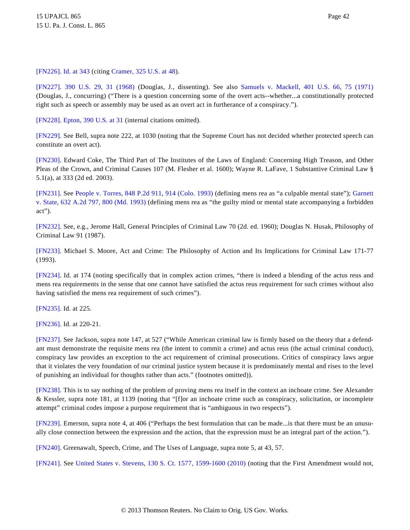<span id="page-41-0"></span>[\[FN226\]](#page-13-12). [Id. at 343](http://www.westlaw.com/Find/Default.wl?rs=dfa1.0&vr=2.0&DB=0000780&FindType=Y&ReferencePositionType=S&SerialNum=1957120376&ReferencePosition=343) (citing [Cramer, 325 U.S. at 48](http://www.westlaw.com/Find/Default.wl?rs=dfa1.0&vr=2.0&DB=0000780&FindType=Y&ReferencePositionType=S&SerialNum=1945114159&ReferencePosition=48)).

<span id="page-41-1"></span>[\[FN227\]](#page-13-13). [390 U.S. 29, 31 \(196](http://www.westlaw.com/Find/Default.wl?rs=dfa1.0&vr=2.0&DB=0000780&FindType=Y&ReferencePositionType=S&SerialNum=1968201657&ReferencePosition=31)8) (Douglas, J., dissenting). See also [Samuels v. Mackell, 401 U.S. 66, 75 \(1](http://www.westlaw.com/Find/Default.wl?rs=dfa1.0&vr=2.0&DB=0000780&FindType=Y&ReferencePositionType=S&SerialNum=1971127017&ReferencePosition=75)971) (Douglas, J., concurring) ("There is a question concerning some of the overt acts--whether...a constitutionally protected right such as speech or assembly may be used as an overt act in furtherance of a conspiracy.").

<span id="page-41-2"></span>[\[FN228\]](#page-13-14). [Epton, 390 U.S. at 31](http://www.westlaw.com/Find/Default.wl?rs=dfa1.0&vr=2.0&DB=0000780&FindType=Y&ReferencePositionType=S&SerialNum=1968201657&ReferencePosition=31) (internal citations omitted).

<span id="page-41-3"></span>[\[FN229\]](#page-13-15). See Bell, supra note 222, at 1030 (noting that the Supreme Court has not decided whether protected speech can constitute an overt act).

<span id="page-41-4"></span>[\[FN230\]](#page-14-0). Edward Coke, The Third Part of The Institutes of the Laws of England: Concerning High Treason, and Other Pleas of the Crown, and Criminal Causes 107 (M. Flesher et al. 1600); Wayne R. LaFave, 1 Substantive Criminal Law § 5.1(a), at 333 (2d ed. 2003).

<span id="page-41-5"></span>[\[FN231\]](#page-14-1). See [People v. Torres, 848 P.2d 911, 914 \(Colo. 1993](http://www.westlaw.com/Find/Default.wl?rs=dfa1.0&vr=2.0&DB=0000661&FindType=Y&ReferencePositionType=S&SerialNum=1993067738&ReferencePosition=914)) (defining mens rea as "a culpable mental state"); [Garnett](http://www.westlaw.com/Find/Default.wl?rs=dfa1.0&vr=2.0&DB=0000162&FindType=Y&ReferencePositionType=S&SerialNum=1993214932&ReferencePosition=800) [v. State, 632 A.2d 797, 800 \(Md. 1993](http://www.westlaw.com/Find/Default.wl?rs=dfa1.0&vr=2.0&DB=0000162&FindType=Y&ReferencePositionType=S&SerialNum=1993214932&ReferencePosition=800)) (defining mens rea as "the guilty mind or mental state accompanying a forbidden act").

<span id="page-41-6"></span>[\[FN232\]](#page-14-2). See, e.g., Jerome Hall, General Principles of Criminal Law 70 (2d. ed. 1960); Douglas N. Husak, Philosophy of Criminal Law 91 (1987).

<span id="page-41-7"></span>[\[FN233\]](#page-14-3). Michael S. Moore, Act and Crime: The Philosophy of Action and Its Implications for Criminal Law 171-77 (1993).

<span id="page-41-8"></span>[\[FN234\]](#page-14-4). Id. at 174 (noting specifically that in complex action crimes, "there is indeed a blending of the actus reus and mens rea requirements in the sense that one cannot have satisfied the actus reus requirement for such crimes without also having satisfied the mens rea requirement of such crimes").

<span id="page-41-9"></span>[\[FN235\]](#page-14-4). Id. at 225.

<span id="page-41-10"></span>[\[FN236\]](#page-14-5). Id. at 220-21.

<span id="page-41-11"></span>[\[FN237\]](#page-14-6). See Jackson, supra note 147, at 527 ("While American criminal law is firmly based on the theory that a defendant must demonstrate the requisite mens rea (the intent to commit a crime) and actus reus (the actual criminal conduct), conspiracy law provides an exception to the act requirement of criminal prosecutions. Critics of conspiracy laws argue that it violates the very foundation of our criminal justice system because it is predominately mental and rises to the level of punishing an individual for thoughts rather than acts." (footnotes omitted)).

<span id="page-41-12"></span>[\[FN238\]](#page-14-7). This is to say nothing of the problem of proving mens rea itself in the context an inchoate crime. See Alexander & Kessler, supra note 181, at 1139 (noting that "[f]or an inchoate crime such as conspiracy, solicitation, or incomplete attempt" criminal codes impose a purpose requirement that is "ambiguous in two respects").

<span id="page-41-13"></span>[\[FN239\]](#page-14-8). Emerson, supra note 4, at 406 ("Perhaps the best formulation that can be made...is that there must be an unusually close connection between the expression and the action, that the expression must be an integral part of the action.").

<span id="page-41-14"></span>[\[FN240\]](#page-14-9). Greenawalt, Speech, Crime, and The Uses of Language, supra note 5, at 43, 57.

<span id="page-41-15"></span>[\[FN241\]](#page-14-10). See [United States v. Stevens, 130 S. Ct. 1577, 1599-1600 \(2010](http://www.westlaw.com/Find/Default.wl?rs=dfa1.0&vr=2.0&DB=0000708&FindType=Y&ReferencePositionType=S&SerialNum=2021786171&ReferencePosition=1599)) (noting that the First Amendment would not,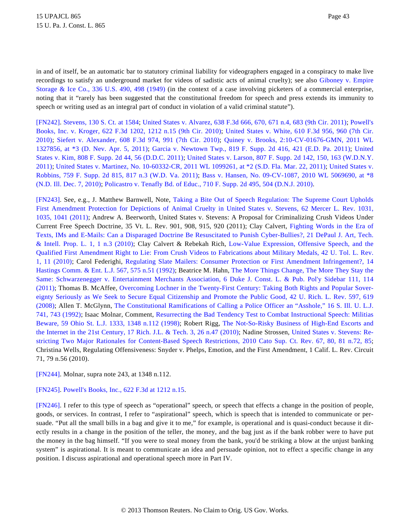in and of itself, be an automatic bar to statutory criminal liability for videographers engaged in a conspiracy to make live recordings to satisfy an underground market for videos of sadistic acts of animal cruelty); see also [Giboney v. Empire](http://www.westlaw.com/Find/Default.wl?rs=dfa1.0&vr=2.0&DB=0000780&FindType=Y&ReferencePositionType=S&SerialNum=1949117033&ReferencePosition=498) [Storage & Ice Co., 336 U.S. 490, 498 \(194](http://www.westlaw.com/Find/Default.wl?rs=dfa1.0&vr=2.0&DB=0000780&FindType=Y&ReferencePositionType=S&SerialNum=1949117033&ReferencePosition=498)9) (in the context of a case involving picketers of a commercial enterprise, noting that it "rarely has been suggested that the constitutional freedom for speech and press extends its immunity to speech or writing used as an integral part of conduct in violation of a valid criminal statute").

<span id="page-42-0"></span>[\[FN242\]](#page-15-0). [Stevens, 130 S. Ct. at 1584](http://www.westlaw.com/Find/Default.wl?rs=dfa1.0&vr=2.0&DB=0000708&FindType=Y&ReferencePositionType=S&SerialNum=2021786171&ReferencePosition=1584); [United States v. Alvarez, 638 F.3d 666, 670, 671 n.4, 683 \(9th Cir. 2011](http://www.westlaw.com/Find/Default.wl?rs=dfa1.0&vr=2.0&DB=0000506&FindType=Y&ReferencePositionType=S&SerialNum=2024822020&ReferencePosition=670)); [Powell's](http://www.westlaw.com/Find/Default.wl?rs=dfa1.0&vr=2.0&DB=0000506&FindType=Y&ReferencePositionType=S&SerialNum=2023085337&ReferencePosition=1212) [Books, Inc. v. Kroger, 622 F.3d 1202, 1212 n.15 \(9th Cir. 201](http://www.westlaw.com/Find/Default.wl?rs=dfa1.0&vr=2.0&DB=0000506&FindType=Y&ReferencePositionType=S&SerialNum=2023085337&ReferencePosition=1212)0); [United States v. White, 610 F.3d 956, 960 \(7th Ci](http://www.westlaw.com/Find/Default.wl?rs=dfa1.0&vr=2.0&DB=0000506&FindType=Y&ReferencePositionType=S&SerialNum=2022396511&ReferencePosition=960)r. [2010\)](http://www.westlaw.com/Find/Default.wl?rs=dfa1.0&vr=2.0&DB=0000506&FindType=Y&ReferencePositionType=S&SerialNum=2022396511&ReferencePosition=960); [Siefert v. Alexander, 608 F.3d 974, 991 \(7th Cir. 20](http://www.westlaw.com/Find/Default.wl?rs=dfa1.0&vr=2.0&DB=0000506&FindType=Y&ReferencePositionType=S&SerialNum=2022292985&ReferencePosition=991)10); [Quiney v. Brooks, 2:10-CV-01676-GMN, 2011 W](http://www.westlaw.com/Find/Default.wl?rs=dfa1.0&vr=2.0&DB=0000999&FindType=Y&SerialNum=2024969935)L [1327856, at \\*3 \(D. Nev. Apr. 5, 201](http://www.westlaw.com/Find/Default.wl?rs=dfa1.0&vr=2.0&DB=0000999&FindType=Y&SerialNum=2024969935)1); [Garcia v. Newtown Twp., 819 F. Supp. 2d 416, 421 \(E.D. Pa. 20](http://www.westlaw.com/Find/Default.wl?rs=dfa1.0&vr=2.0&DB=0004637&FindType=Y&ReferencePositionType=S&SerialNum=2025483426&ReferencePosition=421)11); [United](http://www.westlaw.com/Find/Default.wl?rs=dfa1.0&vr=2.0&DB=0004637&FindType=Y&ReferencePositionType=S&SerialNum=2025932815&ReferencePosition=56) [States v. Kim, 808 F. Supp. 2d 44, 56 \(D.D.C. 2011](http://www.westlaw.com/Find/Default.wl?rs=dfa1.0&vr=2.0&DB=0004637&FindType=Y&ReferencePositionType=S&SerialNum=2025932815&ReferencePosition=56)); [United States v. Larson, 807 F. Supp. 2d 142, 150, 163 \(W.D.N.Y.](http://www.westlaw.com/Find/Default.wl?rs=dfa1.0&vr=2.0&DB=0004637&FindType=Y&ReferencePositionType=S&SerialNum=2025850661&ReferencePosition=150) [2011\)](http://www.westlaw.com/Find/Default.wl?rs=dfa1.0&vr=2.0&DB=0004637&FindType=Y&ReferencePositionType=S&SerialNum=2025850661&ReferencePosition=150); [United States v. Martinez, No. 10-60332-CR, 2011 WL 1099261, at \\*2 \(S.D. Fla. Mar. 22, 2011\)](http://www.westlaw.com/Find/Default.wl?rs=dfa1.0&vr=2.0&DB=0000999&FindType=Y&SerialNum=2024871521); [United States v.](http://www.westlaw.com/Find/Default.wl?rs=dfa1.0&vr=2.0&DB=0004637&FindType=Y&ReferencePositionType=S&SerialNum=2024279962&ReferencePosition=817) [Robbins, 759 F. Supp. 2d 815, 817 n.3 \(W.D. Va. 201](http://www.westlaw.com/Find/Default.wl?rs=dfa1.0&vr=2.0&DB=0004637&FindType=Y&ReferencePositionType=S&SerialNum=2024279962&ReferencePosition=817)1); [Bass v. Hansen, No. 09-CV-1087, 2010 WL 5069690, at \\*](http://www.westlaw.com/Find/Default.wl?rs=dfa1.0&vr=2.0&DB=0000999&FindType=Y&SerialNum=2024068160)8 [\(N.D. Ill. Dec. 7, 2010\)](http://www.westlaw.com/Find/Default.wl?rs=dfa1.0&vr=2.0&DB=0000999&FindType=Y&SerialNum=2024068160); [Policastro v. Tenafly Bd. of Educ., 710 F. Supp. 2d 495, 504 \(D.N.J. 2010\)](http://www.westlaw.com/Find/Default.wl?rs=dfa1.0&vr=2.0&DB=0004637&FindType=Y&ReferencePositionType=S&SerialNum=2021951500&ReferencePosition=504).

<span id="page-42-1"></span>[\[FN243\]](#page-15-1). See, e.g., J. Matthew Barnwell, Note, [Taking a Bite Out of Speech Regulation: The Supreme Court Uphold](http://www.westlaw.com/Find/Default.wl?rs=dfa1.0&vr=2.0&DB=0001190&FindType=Y&ReferencePositionType=S&SerialNum=0364928717&ReferencePosition=1035)s [First Amendment Protection for Depictions of Animal Cruelty in United States v. Stevens, 62 Mercer L. Rev.](http://www.westlaw.com/Find/Default.wl?rs=dfa1.0&vr=2.0&DB=0001190&FindType=Y&ReferencePositionType=S&SerialNum=0364928717&ReferencePosition=1035) 1031, [1035, 1041 \(2011](http://www.westlaw.com/Find/Default.wl?rs=dfa1.0&vr=2.0&DB=0001190&FindType=Y&ReferencePositionType=S&SerialNum=0364928717&ReferencePosition=1035)); Andrew A. Beerworth, United States v. Stevens: A Proposal for Criminalizing Crush Videos Under Current Free Speech Doctrine, 35 Vt. L. Rev. 901, 908, 915, 920 (2011); Clay Calvert, [Fighting Words in the Era o](http://www.westlaw.com/Find/Default.wl?rs=dfa1.0&vr=2.0&DB=0204305&FindType=Y&SerialNum=0358142964)f [Texts, IMs and E-Mails: Can a Disparaged Doctrine Be Resuscitated to Punish Cyber-Bullies?, 21 DePaul J. Art, Tec](http://www.westlaw.com/Find/Default.wl?rs=dfa1.0&vr=2.0&DB=0204305&FindType=Y&SerialNum=0358142964)h. [& Intell. Prop. L. 1, 1 n.3 \(201](http://www.westlaw.com/Find/Default.wl?rs=dfa1.0&vr=2.0&DB=0204305&FindType=Y&SerialNum=0358142964)0); Clay Calvert & Rebekah Rich, [Low-Value Expression, Offensive Speech, and th](http://www.westlaw.com/Find/Default.wl?rs=dfa1.0&vr=2.0&DB=0002988&FindType=Y&ReferencePositionType=S&SerialNum=0362659710&ReferencePosition=11)e [Qualified First Amendment Right to Lie: From Crush Videos to Fabrications about Military Medals, 42 U. Tol. L. Re](http://www.westlaw.com/Find/Default.wl?rs=dfa1.0&vr=2.0&DB=0002988&FindType=Y&ReferencePositionType=S&SerialNum=0362659710&ReferencePosition=11)v. [1, 11 \(2010](http://www.westlaw.com/Find/Default.wl?rs=dfa1.0&vr=2.0&DB=0002988&FindType=Y&ReferencePositionType=S&SerialNum=0362659710&ReferencePosition=11)); Carol Federighi, [Regulating Slate Mailers: Consumer Protection or First Amendment Infringement?,](http://www.westlaw.com/Find/Default.wl?rs=dfa1.0&vr=2.0&DB=0101336&FindType=Y&ReferencePositionType=S&SerialNum=0102579994&ReferencePosition=575) 14 [Hastings Comm. & Ent. L.J. 567, 575 n.51 \(1992\)](http://www.westlaw.com/Find/Default.wl?rs=dfa1.0&vr=2.0&DB=0101336&FindType=Y&ReferencePositionType=S&SerialNum=0102579994&ReferencePosition=575); Beatrice M. Hahn, [The More Things Change, The More They Stay the](http://www.westlaw.com/Find/Default.wl?rs=dfa1.0&vr=2.0&DB=0207983&FindType=Y&ReferencePositionType=S&SerialNum=0358290914&ReferencePosition=114) [Same: Schwarzenegger v. Entertainment Merchants Association, 6 Duke J. Const. L. & Pub. Pol'y Sidebar 111](http://www.westlaw.com/Find/Default.wl?rs=dfa1.0&vr=2.0&DB=0207983&FindType=Y&ReferencePositionType=S&SerialNum=0358290914&ReferencePosition=114), 114 [\(2011\);](http://www.westlaw.com/Find/Default.wl?rs=dfa1.0&vr=2.0&DB=0207983&FindType=Y&ReferencePositionType=S&SerialNum=0358290914&ReferencePosition=114) Thomas B. McAffee, [Overcoming Lochner in the Twenty-First Century: Taking Both Rights and Popular Sover](http://www.westlaw.com/Find/Default.wl?rs=dfa1.0&vr=2.0&DB=0001271&FindType=Y&ReferencePositionType=S&SerialNum=0335523776&ReferencePosition=619)[eignty Seriously as We Seek to Secure Equal Citizenship and Promote the Public Good, 42 U. Rich. L. Rev. 597,](http://www.westlaw.com/Find/Default.wl?rs=dfa1.0&vr=2.0&DB=0001271&FindType=Y&ReferencePositionType=S&SerialNum=0335523776&ReferencePosition=619) 619 [\(2008\);](http://www.westlaw.com/Find/Default.wl?rs=dfa1.0&vr=2.0&DB=0001271&FindType=Y&ReferencePositionType=S&SerialNum=0335523776&ReferencePosition=619) Allen T. McGlynn, [The Constitutional Ramifications of Calling a Police Officer an "Asshole," 16 S. Ill. U. L.](http://www.westlaw.com/Find/Default.wl?rs=dfa1.0&vr=2.0&DB=0001229&FindType=Y&ReferencePositionType=S&SerialNum=0102264621&ReferencePosition=743)J. [741, 743 \(1992\)](http://www.westlaw.com/Find/Default.wl?rs=dfa1.0&vr=2.0&DB=0001229&FindType=Y&ReferencePositionType=S&SerialNum=0102264621&ReferencePosition=743); Isaac Molnar, Comment, [Resurrecting the Bad Tendency Test to Combat Instructional Speech: Militias](http://www.westlaw.com/Find/Default.wl?rs=dfa1.0&vr=2.0&DB=0001216&FindType=Y&ReferencePositionType=S&SerialNum=0110493211&ReferencePosition=1348) [Beware, 59 Ohio St. L.J. 1333, 1348 n.112 \(199](http://www.westlaw.com/Find/Default.wl?rs=dfa1.0&vr=2.0&DB=0001216&FindType=Y&ReferencePositionType=S&SerialNum=0110493211&ReferencePosition=1348)8); Robert Rigg, [The Not-So-Risky Business of High-End Escorts and](http://www.westlaw.com/Find/Default.wl?rs=dfa1.0&vr=2.0&DB=0109834&FindType=Y&ReferencePositionType=S&SerialNum=0356708094&ReferencePosition=26) [the Internet in the 21st Century, 17 Rich. J.L. & Tech. 3, 26 n.47 \(2010](http://www.westlaw.com/Find/Default.wl?rs=dfa1.0&vr=2.0&DB=0109834&FindType=Y&ReferencePositionType=S&SerialNum=0356708094&ReferencePosition=26)); Nadine Strossen, [United States v. Stevens: Re](http://www.westlaw.com/Find/Default.wl?rs=dfa1.0&vr=2.0&DB=0176828&FindType=Y&ReferencePositionType=S&SerialNum=0355464416&ReferencePosition=80)[stricting Two Major Rationales for Content-Based Speech Restrictions, 2010 Cato Sup. Ct. Rev. 67, 80, 81 n.7](http://www.westlaw.com/Find/Default.wl?rs=dfa1.0&vr=2.0&DB=0176828&FindType=Y&ReferencePositionType=S&SerialNum=0355464416&ReferencePosition=80)2, 85; Christina Wells, Regulating Offensiveness: Snyder v. Phelps, Emotion, and the First Amendment, 1 Calif. L. Rev. Circuit 71, 79 n.56 (2010).

<span id="page-42-2"></span>[\[FN244\]](#page-15-2). Molnar, supra note 243, at 1348 n.112.

# <span id="page-42-3"></span>[\[FN245\]](#page-15-3). [Powell's Books, Inc., 622 F.3d at 1212 n.15](http://www.westlaw.com/Find/Default.wl?rs=dfa1.0&vr=2.0&DB=0000506&FindType=Y&ReferencePositionType=S&SerialNum=2023085337&ReferencePosition=1212).

<span id="page-42-4"></span>[\[FN246\]](#page-15-4). I refer to this type of speech as "operational" speech, or speech that effects a change in the position of people, goods, or services. In contrast, I refer to "aspirational" speech, which is speech that is intended to communicate or persuade. "Put all the small bills in a bag and give it to me," for example, is operational and is quasi-conduct because it directly results in a change in the position of the teller, the money, and the bag just as if the bank robber were to have put the money in the bag himself. "If you were to steal money from the bank, you'd be striking a blow at the unjust banking system" is aspirational. It is meant to communicate an idea and persuade opinion, not to effect a specific change in any position. I discuss aspirational and operational speech more in Part IV.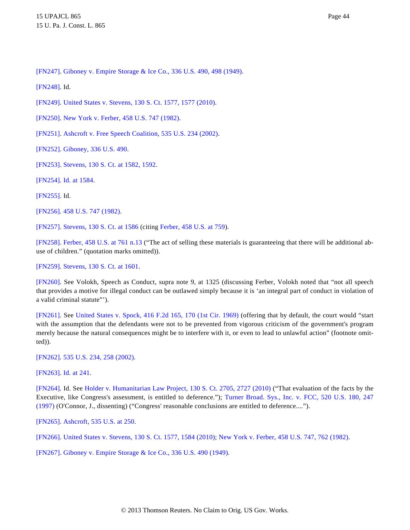<span id="page-43-0"></span>[\[FN247\]](#page-15-5). [Giboney v. Empire Storage & Ice Co., 336 U.S. 490, 498 \(1949\)](http://www.westlaw.com/Find/Default.wl?rs=dfa1.0&vr=2.0&DB=0000780&FindType=Y&ReferencePositionType=S&SerialNum=1949117033&ReferencePosition=498).

<span id="page-43-1"></span>[\[FN248\]](#page-15-6). Id.

<span id="page-43-2"></span>[\[FN249\]](#page-15-7). [United States v. Stevens, 130 S. Ct. 1577, 1577 \(2010\)](http://www.westlaw.com/Find/Default.wl?rs=dfa1.0&vr=2.0&DB=0000708&FindType=Y&SerialNum=2021786171).

<span id="page-43-3"></span>[\[FN250\]](#page-15-7). [New York v. Ferber, 458 U.S. 747 \(1982\)](http://www.westlaw.com/Find/Default.wl?rs=dfa1.0&vr=2.0&DB=0000780&FindType=Y&SerialNum=1982130116).

<span id="page-43-4"></span>[\[FN251\]](#page-15-7). [Ashcroft v. Free Speech Coalition, 535 U.S. 234 \(2002\)](http://www.westlaw.com/Find/Default.wl?rs=dfa1.0&vr=2.0&DB=0000780&FindType=Y&SerialNum=2002243889).

<span id="page-43-5"></span>[\[FN252\]](#page-15-8). [Giboney, 336 U.S. 490](http://www.westlaw.com/Find/Default.wl?rs=dfa1.0&vr=2.0&DB=0000780&FindType=Y&SerialNum=1949117033).

<span id="page-43-6"></span>[\[FN253\]](#page-15-9). [Stevens, 130 S. Ct. at 1582, 1592](http://www.westlaw.com/Find/Default.wl?rs=dfa1.0&vr=2.0&DB=0000708&FindType=Y&ReferencePositionType=S&SerialNum=2021786171&ReferencePosition=1582).

<span id="page-43-7"></span>[\[FN254\]](#page-15-10). [Id. at 1584](http://www.westlaw.com/Find/Default.wl?rs=dfa1.0&vr=2.0&DB=0000708&FindType=Y&ReferencePositionType=S&SerialNum=2021786171&ReferencePosition=1584).

<span id="page-43-8"></span>[\[FN255\]](#page-15-11). Id.

<span id="page-43-9"></span>[\[FN256\]](#page-15-12). [458 U.S. 747 \(1982\)](http://www.westlaw.com/Find/Default.wl?rs=dfa1.0&vr=2.0&DB=0000780&FindType=Y&SerialNum=1982130116).

<span id="page-43-10"></span>[\[FN257\]](#page-15-13). [Stevens, 130 S. Ct. at 1586](http://www.westlaw.com/Find/Default.wl?rs=dfa1.0&vr=2.0&DB=0000708&FindType=Y&ReferencePositionType=S&SerialNum=2021786171&ReferencePosition=1586) (citing [Ferber, 458 U.S. at 759](http://www.westlaw.com/Find/Default.wl?rs=dfa1.0&vr=2.0&DB=0000780&FindType=Y&ReferencePositionType=S&SerialNum=1982130116&ReferencePosition=759)).

<span id="page-43-11"></span>[\[FN258\]](#page-15-14). [Ferber, 458 U.S. at 761 n.13](http://www.westlaw.com/Find/Default.wl?rs=dfa1.0&vr=2.0&DB=0000780&FindType=Y&ReferencePositionType=S&SerialNum=1982130116&ReferencePosition=761) ("The act of selling these materials is guaranteeing that there will be additional abuse of children." (quotation marks omitted)).

<span id="page-43-12"></span>[\[FN259\]](#page-15-15). [Stevens, 130 S. Ct. at 1601](http://www.westlaw.com/Find/Default.wl?rs=dfa1.0&vr=2.0&DB=0000708&FindType=Y&ReferencePositionType=S&SerialNum=2021786171&ReferencePosition=1601).

<span id="page-43-13"></span>[\[FN260\]](#page-15-16). See Volokh, Speech as Conduct, supra note 9, at 1325 (discussing Ferber, Volokh noted that "not all speech that provides a motive for illegal conduct can be outlawed simply because it is 'an integral part of conduct in violation of a valid criminal statute"').

<span id="page-43-14"></span>[\[FN261\]](#page-15-17). See [United States v. Spock, 416 F.2d 165, 170 \(1st Cir. 1969](http://www.westlaw.com/Find/Default.wl?rs=dfa1.0&vr=2.0&DB=0000350&FindType=Y&ReferencePositionType=S&SerialNum=1969120268&ReferencePosition=170)) (offering that by default, the court would "start with the assumption that the defendants were not to be prevented from vigorous criticism of the government's program merely because the natural consequences might be to interfere with it, or even to lead to unlawful action" (footnote omitted)).

<span id="page-43-15"></span>[\[FN262\]](#page-15-18). [535 U.S. 234, 258 \(2002\)](http://www.westlaw.com/Find/Default.wl?rs=dfa1.0&vr=2.0&DB=0000780&FindType=Y&ReferencePositionType=S&SerialNum=2002243889&ReferencePosition=258).

<span id="page-43-16"></span>[\[FN263\]](#page-15-19). [Id. at 241](http://www.westlaw.com/Find/Default.wl?rs=dfa1.0&vr=2.0&DB=0000780&FindType=Y&ReferencePositionType=S&SerialNum=2002243889&ReferencePosition=241).

<span id="page-43-17"></span>[\[FN264\]](#page-15-20). Id. See [Holder v. Humanitarian Law Project, 130 S. Ct. 2705, 2727 \(2010](http://www.westlaw.com/Find/Default.wl?rs=dfa1.0&vr=2.0&DB=0000708&FindType=Y&ReferencePositionType=S&SerialNum=2022339668&ReferencePosition=2727)) ("That evaluation of the facts by the Executive, like Congress's assessment, is entitled to deference."); [Turner Broad. Sys., Inc. v. FCC, 520 U.S. 180, 24](http://www.westlaw.com/Find/Default.wl?rs=dfa1.0&vr=2.0&DB=0000780&FindType=Y&ReferencePositionType=S&SerialNum=1997078723&ReferencePosition=247)7 [\(1997\)](http://www.westlaw.com/Find/Default.wl?rs=dfa1.0&vr=2.0&DB=0000780&FindType=Y&ReferencePositionType=S&SerialNum=1997078723&ReferencePosition=247) (O'Connor, J., dissenting) ("Congress' reasonable conclusions are entitled to deference....").

<span id="page-43-18"></span>[\[FN265\]](#page-15-21). [Ashcroft, 535 U.S. at 250](http://www.westlaw.com/Find/Default.wl?rs=dfa1.0&vr=2.0&DB=0000780&FindType=Y&ReferencePositionType=S&SerialNum=2002243889&ReferencePosition=250).

<span id="page-43-19"></span>[\[FN266\]](#page-15-22). [United States v. Stevens, 130 S. Ct. 1577, 1584 \(2010\)](http://www.westlaw.com/Find/Default.wl?rs=dfa1.0&vr=2.0&DB=0000708&FindType=Y&ReferencePositionType=S&SerialNum=2021786171&ReferencePosition=1584); [New York v. Ferber, 458 U.S. 747, 762 \(1982\)](http://www.westlaw.com/Find/Default.wl?rs=dfa1.0&vr=2.0&DB=0000780&FindType=Y&ReferencePositionType=S&SerialNum=1982130116&ReferencePosition=762).

<span id="page-43-20"></span>[\[FN267\]](#page-16-0). [Giboney v. Empire Storage & Ice Co., 336 U.S. 490 \(1949\)](http://www.westlaw.com/Find/Default.wl?rs=dfa1.0&vr=2.0&DB=0000780&FindType=Y&SerialNum=1949117033).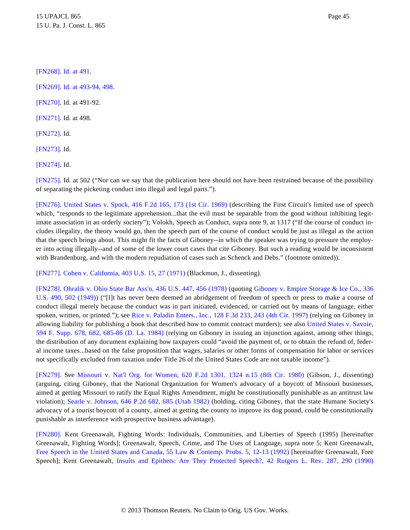<span id="page-44-0"></span>[\[FN268\]](#page-16-1). [Id. at 491](http://www.westlaw.com/Find/Default.wl?rs=dfa1.0&vr=2.0&DB=0000780&FindType=Y&ReferencePositionType=S&SerialNum=1949117033&ReferencePosition=491).

<span id="page-44-1"></span>[\[FN269\]](#page-16-1). [Id. at 493-94, 498](http://www.westlaw.com/Find/Default.wl?rs=dfa1.0&vr=2.0&DB=0000780&FindType=Y&ReferencePositionType=S&SerialNum=1949117033&ReferencePosition=493).

<span id="page-44-2"></span>[\[FN270\]](#page-16-2). Id. at 491-92.

<span id="page-44-3"></span>[\[FN271\]](#page-16-3). Id. at 498.

<span id="page-44-4"></span>[\[FN272\]](#page-16-4). Id.

<span id="page-44-5"></span>[\[FN273\]](#page-16-5). Id.

<span id="page-44-6"></span>[\[FN274\]](#page-16-6). Id.

<span id="page-44-7"></span>[\[FN275\]](#page-16-7). Id. at 502 ("Nor can we say that the publication here should not have been restrained because of the possibility of separating the picketing conduct into illegal and legal parts.").

<span id="page-44-8"></span>[\[FN276\]](#page-16-8). [United States v. Spock, 416 F.2d 165, 173 \(1st Cir. 1969](http://www.westlaw.com/Find/Default.wl?rs=dfa1.0&vr=2.0&DB=0000350&FindType=Y&ReferencePositionType=S&SerialNum=1969120268&ReferencePosition=173)) (describing the First Circuit's limited use of speech which, "responds to the legitimate apprehension...that the evil must be separable from the good without inhibiting legitimate association in an orderly society"); Volokh, Speech as Conduct, supra note 9, at 1317 ("If the course of conduct includes illegality, the theory would go, then the speech part of the course of conduct would be just as illegal as the action that the speech brings about. This might fit the facts of Giboney--in which the speaker was trying to pressure the employer into acting illegally--and of some of the lower court cases that cite Giboney. But such a reading would be inconsistent with Brandenburg, and with the modern repudiation of cases such as Schenck and Debs." (footnote omitted)).

<span id="page-44-9"></span>[\[FN277\]](#page-16-9). [Cohen v. California, 403 U.S. 15, 27 \(1971\)](http://www.westlaw.com/Find/Default.wl?rs=dfa1.0&vr=2.0&DB=0000780&FindType=Y&ReferencePositionType=S&SerialNum=1971127088&ReferencePosition=27) (Blackmun, J., dissenting).

<span id="page-44-10"></span>[\[FN278\]](#page-16-10). [Ohralik v. Ohio State Bar Ass'n, 436 U.S. 447, 456 \(1978](http://www.westlaw.com/Find/Default.wl?rs=dfa1.0&vr=2.0&DB=0000780&DocName=436US447&FindType=Y&ReferencePositionType=S&ReferencePosition=456)) (quoting [Giboney v. Empire Storage & Ice Co., 336](http://www.westlaw.com/Find/Default.wl?rs=dfa1.0&vr=2.0&DB=0000780&FindType=Y&ReferencePositionType=S&SerialNum=1949117033&ReferencePosition=502) [U.S. 490, 502 \(1949](http://www.westlaw.com/Find/Default.wl?rs=dfa1.0&vr=2.0&DB=0000780&FindType=Y&ReferencePositionType=S&SerialNum=1949117033&ReferencePosition=502))) ("[I]t has never been deemed an abridgement of freedom of speech or press to make a course of conduct illegal merely because the conduct was in part initiated, evidenced, or carried out by means of language, either spoken, written, or printed."); see [Rice v. Paladin Enters., Inc., 128 F.3d 233, 243 \(4th Cir. 1997](http://www.westlaw.com/Find/Default.wl?rs=dfa1.0&vr=2.0&DB=0000506&FindType=Y&ReferencePositionType=S&SerialNum=1997225398&ReferencePosition=243)) (relying on Giboney in allowing liability for publishing a book that described how to commit contract murders); see also [United States v. Savoie,](http://www.westlaw.com/Find/Default.wl?rs=dfa1.0&vr=2.0&DB=0000345&FindType=Y&ReferencePositionType=S&SerialNum=1984146617&ReferencePosition=682) [594 F. Supp. 678, 682, 685-86 \(D. La. 1984](http://www.westlaw.com/Find/Default.wl?rs=dfa1.0&vr=2.0&DB=0000345&FindType=Y&ReferencePositionType=S&SerialNum=1984146617&ReferencePosition=682)) (relying on Giboney in issuing an injunction against, among other things, the distribution of any document explaining how taxpayers could "avoid the payment of, or to obtain the refund of, federal income taxes...based on the false proposition that wages, salaries or other forms of compensation for labor or services not specifically excluded from taxation under Title 26 of the United States Code are not taxable income").

<span id="page-44-11"></span>[\[FN279\]](#page-16-11). See [Missouri v. Nat'l Org. for Women, 620 F.2d 1301, 1324 n.15 \(8th Cir.](http://www.westlaw.com/Find/Default.wl?rs=dfa1.0&vr=2.0&DB=0000350&FindType=Y&ReferencePositionType=S&SerialNum=1980117928&ReferencePosition=1324) 1980) (Gibson, J., dissenting) (arguing, citing Giboney, that the National Organization for Women's advocacy of a boycott of Missouri businesses, aimed at getting Missouri to ratify the Equal Rights Amendment, might be constitutionally punishable as an antitrust law violation); [Searle v. Johnson, 646 P.2d 682, 685 \(Utah 198](http://www.westlaw.com/Find/Default.wl?rs=dfa1.0&vr=2.0&DB=0000661&FindType=Y&ReferencePositionType=S&SerialNum=1982127754&ReferencePosition=685)2) (holding, citing Giboney, that the state Humane Society's advocacy of a tourist boycott of a county, aimed at getting the county to improve its dog pound, could be constitutionally punishable as interference with prospective business advantage).

<span id="page-44-12"></span>[\[FN280\]](#page-16-12). Kent Greenawalt, Fighting Words: Individuals, Communities, and Liberties of Speech (1995) [hereinafter Greenawalt, Fighting Words]; Greenawalt, Speech, Crime, and The Uses of Language, supra note 5; Kent Greenawalt, [Free Speech in the United States and Canada, 55 Law & Contemp. Probs. 5, 12-13 \(199](http://www.westlaw.com/Find/Default.wl?rs=dfa1.0&vr=2.0&DB=0001464&FindType=Y&ReferencePositionType=S&SerialNum=0102108289&ReferencePosition=12)2) [hereinafter Greenawalt, Free Speech]; Kent Greenawalt, [Insults and Epithets: Are They Protected Speech?, 42 Rutgers L. Rev. 287, 290](http://www.westlaw.com/Find/Default.wl?rs=dfa1.0&vr=2.0&DB=0002999&FindType=Y&ReferencePositionType=S&SerialNum=0101386836&ReferencePosition=290) (1990)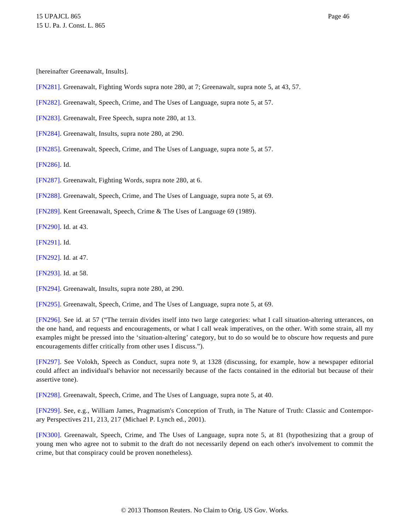[hereinafter Greenawalt, Insults].

- <span id="page-45-0"></span>[\[FN281\]](#page-16-13). Greenawalt, Fighting Words supra note 280, at 7; Greenawalt, supra note 5, at 43, 57.
- <span id="page-45-1"></span>[\[FN282\]](#page-16-14). Greenawalt, Speech, Crime, and The Uses of Language, supra note 5, at 57.
- <span id="page-45-2"></span>[\[FN283\]](#page-16-15). Greenawalt, Free Speech, supra note 280, at 13.
- <span id="page-45-3"></span>[\[FN284\]](#page-16-16). Greenawalt, Insults, supra note 280, at 290.
- <span id="page-45-4"></span>[\[FN285\]](#page-16-17). Greenawalt, Speech, Crime, and The Uses of Language, supra note 5, at 57.

<span id="page-45-5"></span>[\[FN286\]](#page-16-18). Id.

- <span id="page-45-6"></span>[\[FN287\]](#page-16-19). Greenawalt, Fighting Words, supra note 280, at 6.
- <span id="page-45-7"></span>[\[FN288\]](#page-16-19). Greenawalt, Speech, Crime, and The Uses of Language, supra note 5, at 69.
- <span id="page-45-8"></span>[\[FN289\]](#page-17-0). Kent Greenawalt, Speech, Crime & The Uses of Language 69 (1989).

<span id="page-45-9"></span>[\[FN290\]](#page-17-1). Id. at 43.

- <span id="page-45-10"></span>[\[FN291\]](#page-17-2). Id.
- <span id="page-45-11"></span>[\[FN292\]](#page-17-3). Id. at 47.
- <span id="page-45-12"></span>[\[FN293\]](#page-17-4). Id. at 58.

<span id="page-45-13"></span>[\[FN294\]](#page-17-5). Greenawalt, Insults, supra note 280, at 290.

<span id="page-45-14"></span>[\[FN295\]](#page-17-6). Greenawalt, Speech, Crime, and The Uses of Language, supra note 5, at 69.

<span id="page-45-15"></span>[\[FN296\]](#page-17-7). See id. at 57 ("The terrain divides itself into two large categories: what I call situation-altering utterances, on the one hand, and requests and encouragements, or what I call weak imperatives, on the other. With some strain, all my examples might be pressed into the 'situation-altering' category, but to do so would be to obscure how requests and pure encouragements differ critically from other uses I discuss.").

<span id="page-45-16"></span>[\[FN297\]](#page-17-8). See Volokh, Speech as Conduct, supra note 9, at 1328 (discussing, for example, how a newspaper editorial could affect an individual's behavior not necessarily because of the facts contained in the editorial but because of their assertive tone).

<span id="page-45-17"></span>[\[FN298\]](#page-17-9). Greenawalt, Speech, Crime, and The Uses of Language, supra note 5, at 40.

<span id="page-45-18"></span>[\[FN299\]](#page-17-10). See, e.g., William James, Pragmatism's Conception of Truth, in The Nature of Truth: Classic and Contemporary Perspectives 211, 213, 217 (Michael P. Lynch ed., 2001).

<span id="page-45-19"></span>[\[FN300\]](#page-17-11). Greenawalt, Speech, Crime, and The Uses of Language, supra note 5, at 81 (hypothesizing that a group of young men who agree not to submit to the draft do not necessarily depend on each other's involvement to commit the crime, but that conspiracy could be proven nonetheless).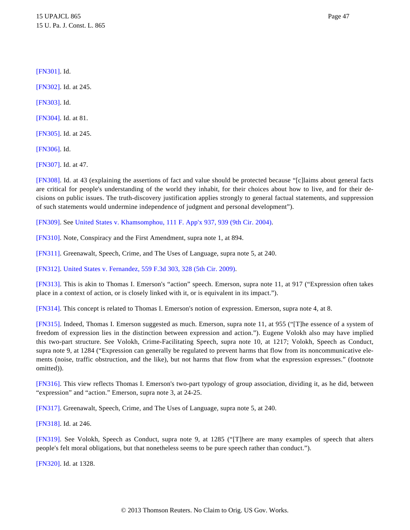<span id="page-46-0"></span>[\[FN301\]](#page-17-12). Id.

<span id="page-46-1"></span>[\[FN302\]](#page-17-13). Id. at 245.

<span id="page-46-2"></span>[\[FN303\]](#page-17-14). Id.

<span id="page-46-3"></span>[\[FN304\]](#page-18-0). Id. at 81.

<span id="page-46-4"></span>[\[FN305\]](#page-18-1). Id. at 245.

<span id="page-46-5"></span>[\[FN306\]](#page-18-2). Id.

<span id="page-46-6"></span>[\[FN307\]](#page-18-3). Id. at 47.

<span id="page-46-7"></span>[\[FN308\]](#page-18-4). Id. at 43 (explaining the assertions of fact and value should be protected because "[c]laims about general facts are critical for people's understanding of the world they inhabit, for their choices about how to live, and for their decisions on public issues. The truth-discovery justification applies strongly to general factual statements, and suppression of such statements would undermine independence of judgment and personal development").

<span id="page-46-8"></span>[\[FN309\]](#page-18-5). See [United States v. Khamsomphou, 111 F. App'x 937, 939 \(9th Cir. 2004\)](http://www.westlaw.com/Find/Default.wl?rs=dfa1.0&vr=2.0&DB=0006538&FindType=Y&ReferencePositionType=S&SerialNum=2005393329&ReferencePosition=939).

<span id="page-46-9"></span>[\[FN310\]](#page-18-6). Note, Conspiracy and the First Amendment, supra note 1, at 894.

<span id="page-46-10"></span>[\[FN311\]](#page-18-7). Greenawalt, Speech, Crime, and The Uses of Language, supra note 5, at 240.

<span id="page-46-11"></span>[\[FN312\]](#page-18-8). [United States v. Fernandez, 559 F.3d 303, 328 \(5th Cir. 2009\)](http://www.westlaw.com/Find/Default.wl?rs=dfa1.0&vr=2.0&DB=0000506&FindType=Y&ReferencePositionType=S&SerialNum=2018120776&ReferencePosition=328).

<span id="page-46-12"></span>[\[FN313\]](#page-18-9). This is akin to Thomas I. Emerson's "action" speech. Emerson, supra note 11, at 917 ("Expression often takes place in a context of action, or is closely linked with it, or is equivalent in its impact.").

<span id="page-46-13"></span>[\[FN314\]](#page-18-9). This concept is related to Thomas I. Emerson's notion of expression. Emerson, supra note 4, at 8.

<span id="page-46-14"></span>[\[FN315\]](#page-18-10). Indeed, Thomas I. Emerson suggested as much. Emerson, supra note 11, at 955 ("[T]he essence of a system of freedom of expression lies in the distinction between expression and action."). Eugene Volokh also may have implied this two-part structure. See Volokh, Crime-Facilitating Speech, supra note 10, at 1217; Volokh, Speech as Conduct, supra note 9, at 1284 ("Expression can generally be regulated to prevent harms that flow from its noncommunicative elements (noise, traffic obstruction, and the like), but not harms that flow from what the expression expresses." (footnote omitted)).

<span id="page-46-15"></span>[\[FN316\]](#page-19-0). This view reflects Thomas I. Emerson's two-part typology of group association, dividing it, as he did, between "expression" and "action." Emerson, supra note 3, at 24-25.

<span id="page-46-16"></span>[\[FN317\]](#page-19-1). Greenawalt, Speech, Crime, and The Uses of Language, supra note 5, at 240.

<span id="page-46-17"></span>[\[FN318\]](#page-19-2). Id. at 246.

<span id="page-46-18"></span>[\[FN319\]](#page-19-3). See Volokh, Speech as Conduct, supra note 9, at 1285 ("[T]here are many examples of speech that alters people's felt moral obligations, but that nonetheless seems to be pure speech rather than conduct.").

<span id="page-46-19"></span>[\[FN320\]](#page-19-3). Id. at 1328.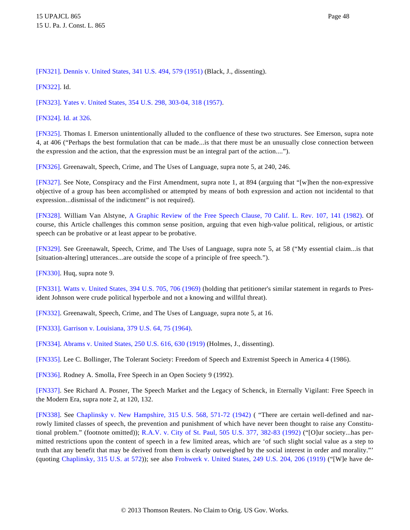<span id="page-47-0"></span>[\[FN321\]](#page-19-4). [Dennis v. United States, 341 U.S. 494, 579 \(1951\)](http://www.westlaw.com/Find/Default.wl?rs=dfa1.0&vr=2.0&DB=0000780&FindType=Y&ReferencePositionType=S&SerialNum=1951116953&ReferencePosition=579) (Black, J., dissenting).

<span id="page-47-1"></span>[\[FN322\]](#page-19-5). Id.

<span id="page-47-2"></span>[\[FN323\]](#page-19-6). [Yates v. United States, 354 U.S. 298, 303-04, 318 \(1957\)](http://www.westlaw.com/Find/Default.wl?rs=dfa1.0&vr=2.0&DB=0000780&FindType=Y&ReferencePositionType=S&SerialNum=1957120376&ReferencePosition=303).

<span id="page-47-3"></span>[\[FN324\]](#page-19-7). [Id. at 326](http://www.westlaw.com/Find/Default.wl?rs=dfa1.0&vr=2.0&DB=0000780&FindType=Y&ReferencePositionType=S&SerialNum=1957120376&ReferencePosition=326).

<span id="page-47-4"></span>[\[FN325\]](#page-19-8). Thomas I. Emerson unintentionally alluded to the confluence of these two structures. See Emerson, supra note 4, at 406 ("Perhaps the best formulation that can be made...is that there must be an unusually close connection between the expression and the action, that the expression must be an integral part of the action....").

<span id="page-47-5"></span>[\[FN326\]](#page-20-0). Greenawalt, Speech, Crime, and The Uses of Language, supra note 5, at 240, 246.

<span id="page-47-6"></span>[\[FN327\]](#page-20-1). See Note, Conspiracy and the First Amendment, supra note 1, at 894 (arguing that "[w]hen the non-expressive objective of a group has been accomplished or attempted by means of both expression and action not incidental to that expression...dismissal of the indictment" is not required).

<span id="page-47-7"></span>[\[FN328\]](#page-20-1). William Van Alstyne, [A Graphic Review of the Free Speech Clause, 70 Calif. L. Rev. 107, 141 \(19](http://www.westlaw.com/Find/Default.wl?rs=dfa1.0&vr=2.0&DB=0001107&FindType=Y&ReferencePositionType=S&SerialNum=0103053008&ReferencePosition=141)82). Of course, this Article challenges this common sense position, arguing that even high-value political, religious, or artistic speech can be probative or at least appear to be probative.

<span id="page-47-8"></span>[\[FN329\]](#page-20-2). See Greenawalt, Speech, Crime, and The Uses of Language, supra note 5, at 58 ("My essential claim...is that [situation-altering] utterances...are outside the scope of a principle of free speech.").

<span id="page-47-9"></span>[\[FN330\]](#page-20-3). Huq, supra note 9.

<span id="page-47-10"></span>[\[FN331\]](#page-20-4). [Watts v. United States, 394 U.S. 705, 706 \(1969](http://www.westlaw.com/Find/Default.wl?rs=dfa1.0&vr=2.0&DB=0000780&FindType=Y&ReferencePositionType=S&SerialNum=1969141744&ReferencePosition=706)) (holding that petitioner's similar statement in regards to President Johnson were crude political hyperbole and not a knowing and willful threat).

<span id="page-47-11"></span>[\[FN332\]](#page-20-5). Greenawalt, Speech, Crime, and The Uses of Language, supra note 5, at 16.

<span id="page-47-12"></span>[\[FN333\]](#page-20-5). [Garrison v. Louisiana, 379 U.S. 64, 75 \(1964\)](http://www.westlaw.com/Find/Default.wl?rs=dfa1.0&vr=2.0&DB=0000780&FindType=Y&ReferencePositionType=S&SerialNum=1964124884&ReferencePosition=75).

<span id="page-47-13"></span>[\[FN334\]](#page-20-6). [Abrams v. United States, 250 U.S. 616, 630 \(1919\)](http://www.westlaw.com/Find/Default.wl?rs=dfa1.0&vr=2.0&DB=0000780&FindType=Y&ReferencePositionType=S&SerialNum=1919100515&ReferencePosition=630) (Holmes, J., dissenting).

<span id="page-47-14"></span>[\[FN335\]](#page-20-6). Lee C. Bollinger, The Tolerant Society: Freedom of Speech and Extremist Speech in America 4 (1986).

<span id="page-47-15"></span>[\[FN336\]](#page-20-6). Rodney A. Smolla, Free Speech in an Open Society 9 (1992).

<span id="page-47-16"></span>[\[FN337\]](#page-20-7). See Richard A. Posner, The Speech Market and the Legacy of Schenck, in Eternally Vigilant: Free Speech in the Modern Era, supra note 2, at 120, 132.

<span id="page-47-17"></span>[\[FN338\]](#page-20-8). See [Chaplinsky v. New Hampshire, 315 U.S. 568, 571-72 \(194](http://www.westlaw.com/Find/Default.wl?rs=dfa1.0&vr=2.0&DB=0000780&FindType=Y&ReferencePositionType=S&SerialNum=1942122060&ReferencePosition=571)2) ( "There are certain well-defined and narrowly limited classes of speech, the prevention and punishment of which have never been thought to raise any Constitutional problem." (footnote omitted)); [R.A.V. v. City of St. Paul, 505 U.S. 377, 382-83 \(199](http://www.westlaw.com/Find/Default.wl?rs=dfa1.0&vr=2.0&DB=0000780&FindType=Y&ReferencePositionType=S&SerialNum=1992111890&ReferencePosition=382)2) ("[O]ur society...has permitted restrictions upon the content of speech in a few limited areas, which are 'of such slight social value as a step to truth that any benefit that may be derived from them is clearly outweighed by the social interest in order and morality."' (quoting [Chaplinsky, 315 U.S. at 572](http://www.westlaw.com/Find/Default.wl?rs=dfa1.0&vr=2.0&DB=0000780&FindType=Y&ReferencePositionType=S&SerialNum=1942122060&ReferencePosition=572))); see also [Frohwerk v. United States, 249 U.S. 204, 206 \(1919](http://www.westlaw.com/Find/Default.wl?rs=dfa1.0&vr=2.0&DB=0000780&FindType=Y&ReferencePositionType=S&SerialNum=1919100361&ReferencePosition=206)) ("[W]e have de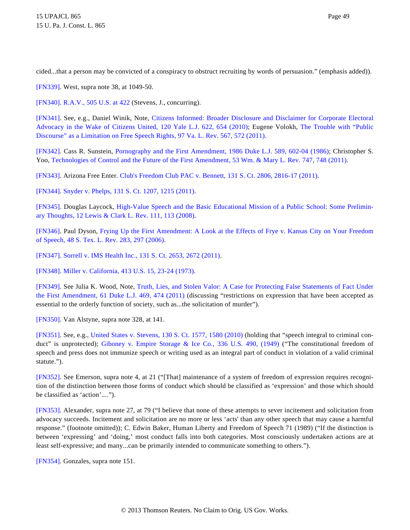cided...that a person may be convicted of a conspiracy to obstruct recruiting by words of persuasion." (emphasis added)).

<span id="page-48-0"></span>[\[FN339\]](#page-20-9). West, supra note 38, at 1049-50.

<span id="page-48-1"></span>[\[FN340\]](#page-20-9). [R.A.V., 505 U.S. at 422](http://www.westlaw.com/Find/Default.wl?rs=dfa1.0&vr=2.0&DB=0000780&FindType=Y&ReferencePositionType=S&SerialNum=1992111890&ReferencePosition=422) (Stevens, J., concurring).

<span id="page-48-2"></span>[\[FN341\]](#page-20-9). See, e.g., Daniel Winik, Note, [Citizens Informed: Broader Disclosure and Disclaimer for Corporate Electora](http://www.westlaw.com/Find/Default.wl?rs=dfa1.0&vr=2.0&DB=0001292&FindType=Y&ReferencePositionType=S&SerialNum=0357670632&ReferencePosition=654)l [Advocacy in the Wake of Citizens United, 120 Yale L.J. 622, 654 \(20](http://www.westlaw.com/Find/Default.wl?rs=dfa1.0&vr=2.0&DB=0001292&FindType=Y&ReferencePositionType=S&SerialNum=0357670632&ReferencePosition=654)10); Eugene Volokh, [The Trouble with "Public](http://www.westlaw.com/Find/Default.wl?rs=dfa1.0&vr=2.0&DB=0001359&FindType=Y&ReferencePositionType=S&SerialNum=0363573716&ReferencePosition=572) [Discourse" as a Limitation on Free Speech Rights, 97 Va. L. Rev. 567, 572 \(2011\)](http://www.westlaw.com/Find/Default.wl?rs=dfa1.0&vr=2.0&DB=0001359&FindType=Y&ReferencePositionType=S&SerialNum=0363573716&ReferencePosition=572).

<span id="page-48-3"></span>[\[FN342\]](#page-20-9). Cass R. Sunstein, [Pornography and the First Amendment, 1986 Duke L.J. 589, 602-04 \(198](http://www.westlaw.com/Find/Default.wl?rs=dfa1.0&vr=2.0&DB=0001133&FindType=Y&ReferencePositionType=S&SerialNum=0101984070&ReferencePosition=602)6); Christopher S. Yoo, [Technologies of Control and the Future of the First Amendment, 53 Wm. & Mary L. Rev. 747, 748 \(2011\)](http://www.westlaw.com/Find/Default.wl?rs=dfa1.0&vr=2.0&DB=0002984&FindType=Y&ReferencePositionType=S&SerialNum=0368485159&ReferencePosition=748).

<span id="page-48-4"></span>[\[FN343\]](#page-20-10). Arizona Free Enter. [Club's Freedom Club PAC v. Bennett, 131 S. Ct. 2806, 2816-17 \(2011\)](http://www.westlaw.com/Find/Default.wl?rs=dfa1.0&vr=2.0&DB=0000708&FindType=Y&ReferencePositionType=S&SerialNum=2025554474&ReferencePosition=2816).

<span id="page-48-5"></span>[\[FN344\]](#page-20-10). [Snyder v. Phelps, 131 S. Ct. 1207, 1215 \(2011\)](http://www.westlaw.com/Find/Default.wl?rs=dfa1.0&vr=2.0&DB=0000708&FindType=Y&ReferencePositionType=S&SerialNum=2024695209&ReferencePosition=1215).

<span id="page-48-6"></span>[\[FN345\]](#page-20-10). Douglas Laycock, [High-Value Speech and the Basic Educational Mission of a Public School: Some Prelimin](http://www.westlaw.com/Find/Default.wl?rs=dfa1.0&vr=2.0&DB=0184049&FindType=Y&ReferencePositionType=S&SerialNum=0337640226&ReferencePosition=113)[ary Thoughts, 12 Lewis & Clark L. Rev. 111, 113 \(2008\)](http://www.westlaw.com/Find/Default.wl?rs=dfa1.0&vr=2.0&DB=0184049&FindType=Y&ReferencePositionType=S&SerialNum=0337640226&ReferencePosition=113).

<span id="page-48-7"></span>[\[FN346\]](#page-20-11). Paul Dyson, [Frying Up the First Amendment: A Look at the Effects of Frye v. Kansas City on Your Freedo](http://www.westlaw.com/Find/Default.wl?rs=dfa1.0&vr=2.0&DB=0100490&FindType=Y&ReferencePositionType=S&SerialNum=0328979580&ReferencePosition=297)m [of Speech, 48 S. Tex. L. Rev. 283, 297 \(2006\)](http://www.westlaw.com/Find/Default.wl?rs=dfa1.0&vr=2.0&DB=0100490&FindType=Y&ReferencePositionType=S&SerialNum=0328979580&ReferencePosition=297).

<span id="page-48-8"></span>[\[FN347\]](#page-20-11). [Sorrell v. IMS Health Inc., 131 S. Ct. 2653, 2672 \(2011\)](http://www.westlaw.com/Find/Default.wl?rs=dfa1.0&vr=2.0&DB=0000708&FindType=Y&ReferencePositionType=S&SerialNum=2025536619&ReferencePosition=2672).

<span id="page-48-9"></span>[\[FN348\]](#page-20-12). [Miller v. California, 413 U.S. 15, 23-24 \(1973\)](http://www.westlaw.com/Find/Default.wl?rs=dfa1.0&vr=2.0&DB=0000780&FindType=Y&ReferencePositionType=S&SerialNum=1973126439&ReferencePosition=23).

<span id="page-48-10"></span>[\[FN349\]](#page-20-12). See Julia K. Wood, Note, [Truth, Lies, and Stolen Valor: A Case for Protecting False Statements of Fact Unde](http://www.westlaw.com/Find/Default.wl?rs=dfa1.0&vr=2.0&DB=0001133&FindType=Y&ReferencePositionType=S&SerialNum=0367718155&ReferencePosition=474)r [the First Amendment, 61 Duke L.J. 469, 474 \(201](http://www.westlaw.com/Find/Default.wl?rs=dfa1.0&vr=2.0&DB=0001133&FindType=Y&ReferencePositionType=S&SerialNum=0367718155&ReferencePosition=474)1) (discussing "restrictions on expression that have been accepted as essential to the orderly function of society, such as...the solicitation of murder").

<span id="page-48-11"></span>[\[FN350\]](#page-20-13). Van Alstyne, supra note 328, at 141.

<span id="page-48-12"></span>[\[FN351\]](#page-20-14). See, e.g., [United States v. Stevens, 130 S. Ct. 1577, 1580 \(2010](http://www.westlaw.com/Find/Default.wl?rs=dfa1.0&vr=2.0&DB=0000708&FindType=Y&ReferencePositionType=S&SerialNum=2021786171&ReferencePosition=1580)) (holding that "speech integral to criminal con-duct" is unprotected); [Giboney v. Empire Storage & Ice Co., 336 U.S. 490, \(1](http://www.westlaw.com/Find/Default.wl?rs=dfa1.0&vr=2.0&DB=0000780&FindType=Y&SerialNum=1949117033)949) ("The constitutional freedom of speech and press does not immunize speech or writing used as an integral part of conduct in violation of a valid criminal statute.").

<span id="page-48-13"></span>[\[FN352\]](#page-21-0). See Emerson, supra note 4, at 21 ("[That] maintenance of a system of freedom of expression requires recognition of the distinction between those forms of conduct which should be classified as 'expression' and those which should be classified as 'action'....").

<span id="page-48-14"></span>[\[FN353\]](#page-21-1). Alexander, supra note 27, at 79 ("I believe that none of these attempts to sever incitement and solicitation from advocacy succeeds. Incitement and solicitation are no more or less 'acts' than any other speech that may cause a harmful response." (footnote omitted)); C. Edwin Baker, Human Liberty and Freedom of Speech 71 (1989) ("If the distinction is between 'expressing' and 'doing,' most conduct falls into both categories. Most consciously undertaken actions are at least self-expressive; and many...can be primarily intended to communicate something to others.").

<span id="page-48-15"></span>[\[FN354\]](#page-21-2). Gonzales, supra note 151.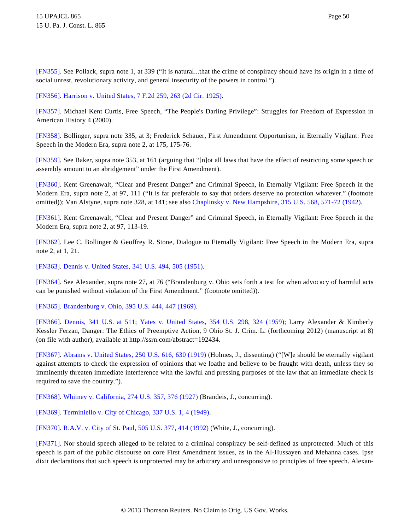<span id="page-49-0"></span>[\[FN355\]](#page-21-3). See Pollack, supra note 1, at 339 ("It is natural...that the crime of conspiracy should have its origin in a time of social unrest, revolutionary activity, and general insecurity of the powers in control.").

<span id="page-49-1"></span>[\[FN356\]](#page-21-4). [Harrison v. United States, 7 F.2d 259, 263 \(2d Cir. 1925\)](http://www.westlaw.com/Find/Default.wl?rs=dfa1.0&vr=2.0&DB=0000350&FindType=Y&ReferencePositionType=S&SerialNum=1925122399&ReferencePosition=263).

<span id="page-49-2"></span>[\[FN357\]](#page-21-5). Michael Kent Curtis, Free Speech, "The People's Darling Privilege": Struggles for Freedom of Expression in American History 4 (2000).

<span id="page-49-3"></span>[\[FN358\]](#page-21-6). Bollinger, supra note 335, at 3; Frederick Schauer, First Amendment Opportunism, in Eternally Vigilant: Free Speech in the Modern Era, supra note 2, at 175, 175-76.

<span id="page-49-4"></span>[\[FN359\]](#page-22-1). See Baker, supra note 353, at 161 (arguing that "[n]ot all laws that have the effect of restricting some speech or assembly amount to an abridgement" under the First Amendment).

<span id="page-49-5"></span>[\[FN360\]](#page-22-2). Kent Greenawalt, "Clear and Present Danger" and Criminal Speech, in Eternally Vigilant: Free Speech in the Modern Era, supra note 2, at 97, 111 ("It is far preferable to say that orders deserve no protection whatever." (footnote omitted)); Van Alstyne, supra note 328, at 141; see also [Chaplinsky v. New Hampshire, 315 U.S. 568, 571-72 \(1942\)](http://www.westlaw.com/Find/Default.wl?rs=dfa1.0&vr=2.0&DB=0000780&FindType=Y&ReferencePositionType=S&SerialNum=1942122060&ReferencePosition=571).

<span id="page-49-6"></span>[\[FN361\]](#page-22-3). Kent Greenawalt, "Clear and Present Danger" and Criminal Speech, in Eternally Vigilant: Free Speech in the Modern Era, supra note 2, at 97, 113-19.

<span id="page-49-7"></span>[\[FN362\]](#page-22-4). Lee C. Bollinger & Geoffrey R. Stone, Dialogue to Eternally Vigilant: Free Speech in the Modern Era, supra note 2, at 1, 21.

<span id="page-49-8"></span>[\[FN363\]](#page-22-5). [Dennis v. United States, 341 U.S. 494, 505 \(1951\)](http://www.westlaw.com/Find/Default.wl?rs=dfa1.0&vr=2.0&DB=0000780&FindType=Y&ReferencePositionType=S&SerialNum=1951116953&ReferencePosition=505).

<span id="page-49-9"></span>[\[FN364\]](#page-22-6). See Alexander, supra note 27, at 76 ("Brandenburg v. Ohio sets forth a test for when advocacy of harmful acts can be punished without violation of the First Amendment." (footnote omitted)).

<span id="page-49-10"></span>[\[FN365\]](#page-22-7). [Brandenburg v. Ohio, 395 U.S. 444, 447 \(1969\)](http://www.westlaw.com/Find/Default.wl?rs=dfa1.0&vr=2.0&DB=0000780&FindType=Y&ReferencePositionType=S&SerialNum=1969133007&ReferencePosition=447).

<span id="page-49-11"></span>[\[FN366\]](#page-22-8). [Dennis, 341 U.S. at 51](http://www.westlaw.com/Find/Default.wl?rs=dfa1.0&vr=2.0&DB=0000780&FindType=Y&ReferencePositionType=S&SerialNum=1951116953&ReferencePosition=511)1; [Yates v. United States, 354 U.S. 298, 324 \(19](http://www.westlaw.com/Find/Default.wl?rs=dfa1.0&vr=2.0&DB=0000780&FindType=Y&ReferencePositionType=S&SerialNum=1957120376&ReferencePosition=324)59); Larry Alexander & Kimberly Kessler Ferzan, Danger: The Ethics of Preemptive Action, 9 Ohio St. J. Crim. L. (forthcoming 2012) (manuscript at 8) (on file with author), available at http://ssrn.com/abstract=192434.

<span id="page-49-12"></span>[\[FN367\]](#page-22-9). [Abrams v. United States, 250 U.S. 616, 630 \(1919](http://www.westlaw.com/Find/Default.wl?rs=dfa1.0&vr=2.0&DB=0000780&FindType=Y&ReferencePositionType=S&SerialNum=1919100515&ReferencePosition=630)) (Holmes, J., dissenting) ("[W]e should be eternally vigilant against attempts to check the expression of opinions that we loathe and believe to be fraught with death, unless they so imminently threaten immediate interference with the lawful and pressing purposes of the law that an immediate check is required to save the country.").

<span id="page-49-13"></span>[\[FN368\]](#page-22-9). [Whitney v. California, 274 U.S. 357, 376 \(1927\)](http://www.westlaw.com/Find/Default.wl?rs=dfa1.0&vr=2.0&DB=0000780&FindType=Y&ReferencePositionType=S&SerialNum=1927124508&ReferencePosition=376) (Brandeis, J., concurring).

<span id="page-49-14"></span>[\[FN369\]](#page-22-10). [Terminiello v. City of Chicago, 337 U.S. 1, 4 \(1949\)](http://www.westlaw.com/Find/Default.wl?rs=dfa1.0&vr=2.0&DB=0000780&FindType=Y&ReferencePositionType=S&SerialNum=1949118900&ReferencePosition=4).

<span id="page-49-15"></span>[\[FN370\]](#page-22-11). [R.A.V. v. City of St. Paul, 505 U.S. 377, 414 \(1992\)](http://www.westlaw.com/Find/Default.wl?rs=dfa1.0&vr=2.0&DB=0000780&FindType=Y&ReferencePositionType=S&SerialNum=1992111890&ReferencePosition=414) (White, J., concurring).

<span id="page-49-16"></span>[\[FN371\]](#page-22-12). Nor should speech alleged to be related to a criminal conspiracy be self-defined as unprotected. Much of this speech is part of the public discourse on core First Amendment issues, as in the Al-Hussayen and Mehanna cases. Ipse dixit declarations that such speech is unprotected may be arbitrary and unresponsive to principles of free speech. Alexan